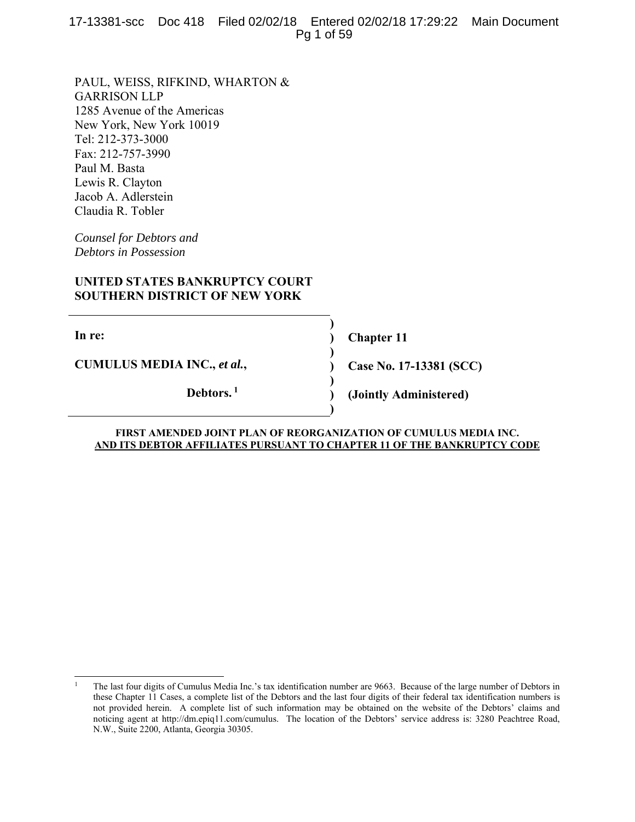17-13381-scc Doc 418 Filed 02/02/18 Entered 02/02/18 17:29:22 Main Document Pg 1 of 59

PAUL, WEISS, RIFKIND, WHARTON & GARRISON LLP 1285 Avenue of the Americas New York, New York 10019 Tel: 212-373-3000 Fax: 212-757-3990 Paul M. Basta Lewis R. Clayton Jacob A. Adlerstein Claudia R. Tobler

*Counsel for Debtors and Debtors in Possession* 

# **UNITED STATES BANKRUPTCY COURT SOUTHERN DISTRICT OF NEW YORK**

**In re:** 

 $\overline{\phantom{a}}$ 

**CUMULUS MEDIA INC.,** *et al.***,** 

**Debtors. 1**

**Chapter 11** 

**Case No. 17-13381 (SCC)** 

**(Jointly Administered)** 

#### **FIRST AMENDED JOINT PLAN OF REORGANIZATION OF CUMULUS MEDIA INC. AND ITS DEBTOR AFFILIATES PURSUANT TO CHAPTER 11 OF THE BANKRUPTCY CODE**

**) ) ) ) ) ) )** 

<sup>1</sup> The last four digits of Cumulus Media Inc.'s tax identification number are 9663. Because of the large number of Debtors in these Chapter 11 Cases, a complete list of the Debtors and the last four digits of their federal tax identification numbers is not provided herein. A complete list of such information may be obtained on the website of the Debtors' claims and noticing agent at http://dm.epiq11.com/cumulus. The location of the Debtors' service address is: 3280 Peachtree Road, N.W., Suite 2200, Atlanta, Georgia 30305.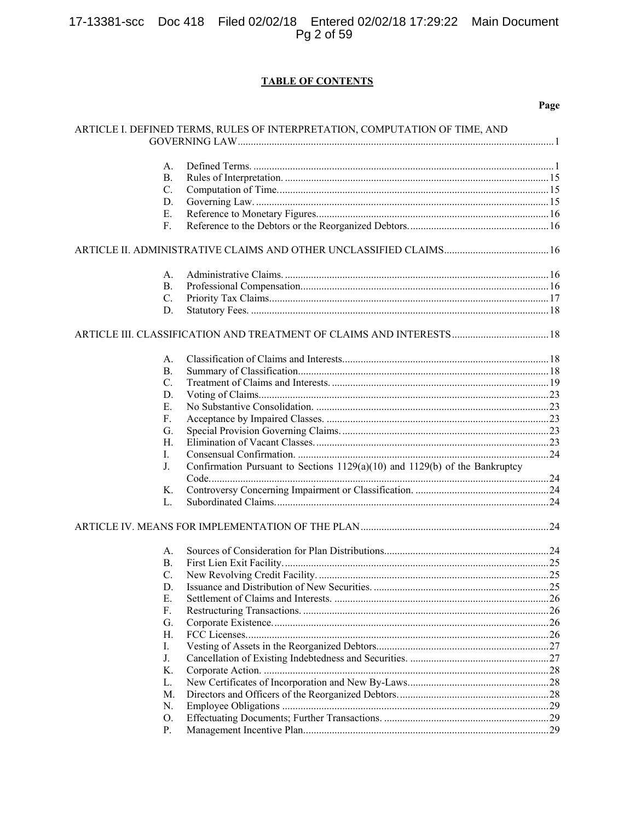# 17-13381-scc Doc 418 Filed 02/02/18 Entered 02/02/18 17:29:22 Main Document<br>Pg 2 of 59

# **TABLE OF CONTENTS**

|           | ARTICLE I. DEFINED TERMS, RULES OF INTERPRETATION, COMPUTATION OF TIME, AND |  |
|-----------|-----------------------------------------------------------------------------|--|
| A.        |                                                                             |  |
| В.        |                                                                             |  |
| C.        |                                                                             |  |
| D.        |                                                                             |  |
| Е.        |                                                                             |  |
| F.        |                                                                             |  |
|           |                                                                             |  |
|           |                                                                             |  |
| А.        |                                                                             |  |
| <b>B.</b> |                                                                             |  |
| C.        |                                                                             |  |
| D.        |                                                                             |  |
|           |                                                                             |  |
| А.        |                                                                             |  |
| <b>B.</b> |                                                                             |  |
| C.        |                                                                             |  |
| D.        |                                                                             |  |
| Ε.        |                                                                             |  |
| F.        |                                                                             |  |
| G.        |                                                                             |  |
| H.        |                                                                             |  |
| I.        |                                                                             |  |
| J.        | Confirmation Pursuant to Sections 1129(a)(10) and 1129(b) of the Bankruptcy |  |
|           |                                                                             |  |
| Κ.        |                                                                             |  |
| L.        |                                                                             |  |
|           |                                                                             |  |
| А.        |                                                                             |  |
| <b>B.</b> |                                                                             |  |
| C.        |                                                                             |  |
| D.        |                                                                             |  |
| Ε.        |                                                                             |  |
| F.        |                                                                             |  |
| G.        |                                                                             |  |
| Η.        |                                                                             |  |
| I.        |                                                                             |  |
| J.        |                                                                             |  |
| Κ.        |                                                                             |  |
| L.        |                                                                             |  |
| M.        |                                                                             |  |
| N.        |                                                                             |  |
| O.        |                                                                             |  |
| Ρ.        |                                                                             |  |
|           |                                                                             |  |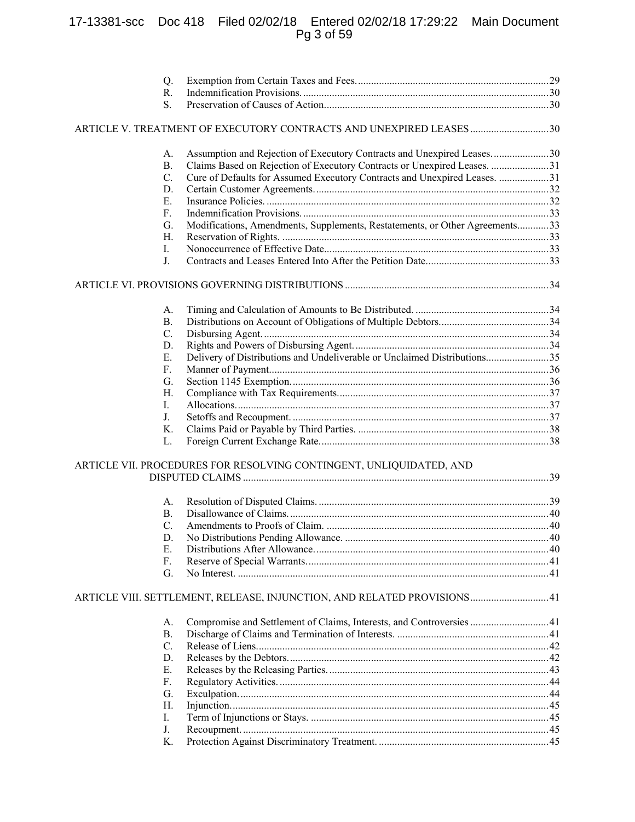# 17-13381-scc Doc 418 Filed 02/02/18 Entered 02/02/18 17:29:22 Main Document Pg 3 of 59

| Q.        |                                                                             |  |
|-----------|-----------------------------------------------------------------------------|--|
| R.        |                                                                             |  |
| S.        |                                                                             |  |
|           | 48 ARTICLE V. TREATMENT OF EXECUTORY CONTRACTS AND UNEXPIRED LEASES         |  |
| А.        | Assumption and Rejection of Executory Contracts and Unexpired Leases30      |  |
| <b>B.</b> | Claims Based on Rejection of Executory Contracts or Unexpired Leases. 31    |  |
| C.        | Cure of Defaults for Assumed Executory Contracts and Unexpired Leases. 31   |  |
| D.        |                                                                             |  |
| Ε.        |                                                                             |  |
| F.        |                                                                             |  |
| G.        | Modifications, Amendments, Supplements, Restatements, or Other Agreements33 |  |
| Н.        |                                                                             |  |
| I.        |                                                                             |  |
| J.        |                                                                             |  |
|           |                                                                             |  |
| A.        |                                                                             |  |
| <b>B.</b> |                                                                             |  |
| C.        |                                                                             |  |
| D.        |                                                                             |  |
| Ε.        | Delivery of Distributions and Undeliverable or Unclaimed Distributions35    |  |
| F.        |                                                                             |  |
| G.        |                                                                             |  |
| Н.        |                                                                             |  |
| I.        |                                                                             |  |
| J.        |                                                                             |  |
| K.        |                                                                             |  |
| L.        |                                                                             |  |
|           | ARTICLE VII. PROCEDURES FOR RESOLVING CONTINGENT, UNLIQUIDATED, AND         |  |
|           |                                                                             |  |
| А.        |                                                                             |  |
| <b>B.</b> |                                                                             |  |
| C.        |                                                                             |  |
| D.        |                                                                             |  |
| Ε.        |                                                                             |  |
| F.<br>G.  |                                                                             |  |
|           |                                                                             |  |
|           | 41 ARTICLE VIII. SETTLEMENT, RELEASE, INJUNCTION, AND RELATED PROVISIONS41  |  |
| А.        | Compromise and Settlement of Claims, Interests, and Controversies 41        |  |
| <b>B.</b> |                                                                             |  |
| C.        |                                                                             |  |
| D.        |                                                                             |  |
| Е.        |                                                                             |  |
| F.        |                                                                             |  |
| G.        |                                                                             |  |
| Н.        |                                                                             |  |
| Ι.<br>J.  |                                                                             |  |
| Κ.        |                                                                             |  |
|           |                                                                             |  |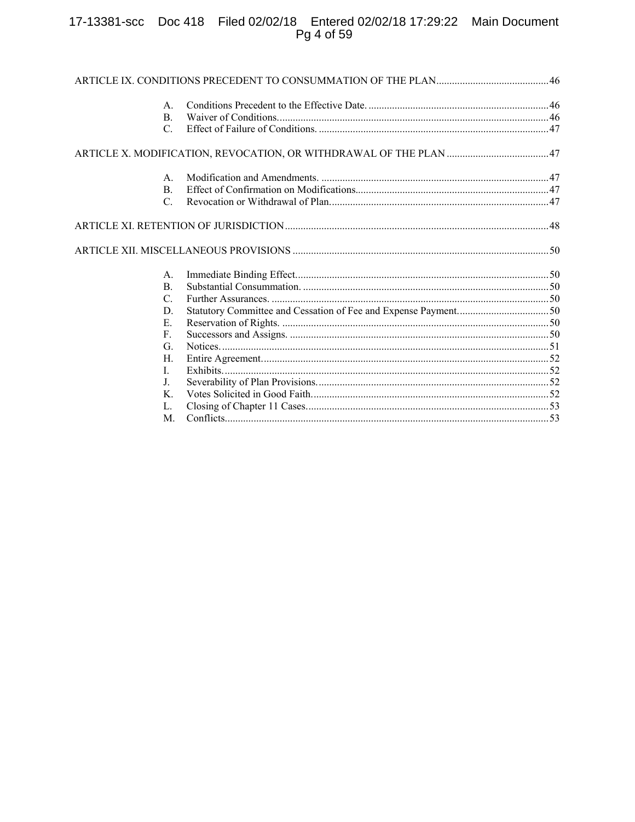# 17-13381-scc Doc 418 Filed 02/02/18 Entered 02/02/18 17:29:22 Main Document<br>Pg 4 of 59

| A.              |                                                                   |  |
|-----------------|-------------------------------------------------------------------|--|
| В.              |                                                                   |  |
| C.              |                                                                   |  |
|                 | ARTICLE X. MODIFICATION, REVOCATION, OR WITHDRAWAL OF THE PLAN 47 |  |
| А.              |                                                                   |  |
| <b>B.</b>       |                                                                   |  |
| $\mathcal{C}$ . |                                                                   |  |
|                 |                                                                   |  |
|                 |                                                                   |  |
| A.              |                                                                   |  |
| <b>B.</b>       |                                                                   |  |
| C.              |                                                                   |  |
| D.              | Statutory Committee and Cessation of Fee and Expense Payment50    |  |
| E.              |                                                                   |  |
| F.              |                                                                   |  |
| G.              |                                                                   |  |
| Н.              |                                                                   |  |
| L               |                                                                   |  |
| J.              |                                                                   |  |
| K.              |                                                                   |  |
| L.              |                                                                   |  |
| M.              |                                                                   |  |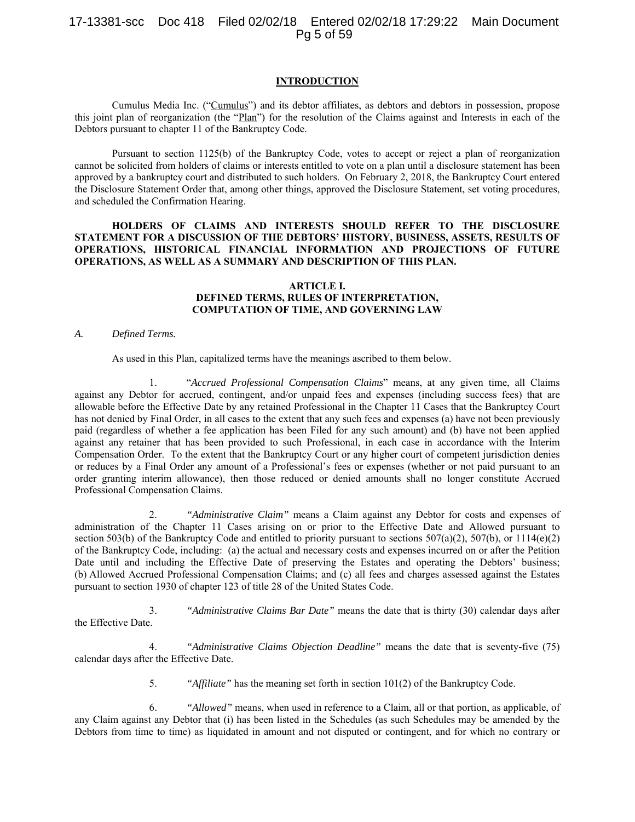## 17-13381-scc Doc 418 Filed 02/02/18 Entered 02/02/18 17:29:22 Main Document Pg 5 of 59

#### **INTRODUCTION**

Cumulus Media Inc. ("Cumulus") and its debtor affiliates, as debtors and debtors in possession, propose this joint plan of reorganization (the "Plan") for the resolution of the Claims against and Interests in each of the Debtors pursuant to chapter 11 of the Bankruptcy Code.

Pursuant to section 1125(b) of the Bankruptcy Code, votes to accept or reject a plan of reorganization cannot be solicited from holders of claims or interests entitled to vote on a plan until a disclosure statement has been approved by a bankruptcy court and distributed to such holders. On February 2, 2018, the Bankruptcy Court entered the Disclosure Statement Order that, among other things, approved the Disclosure Statement, set voting procedures, and scheduled the Confirmation Hearing.

## **HOLDERS OF CLAIMS AND INTERESTS SHOULD REFER TO THE DISCLOSURE STATEMENT FOR A DISCUSSION OF THE DEBTORS' HISTORY, BUSINESS, ASSETS, RESULTS OF OPERATIONS, HISTORICAL FINANCIAL INFORMATION AND PROJECTIONS OF FUTURE OPERATIONS, AS WELL AS A SUMMARY AND DESCRIPTION OF THIS PLAN.**

#### **ARTICLE I. DEFINED TERMS, RULES OF INTERPRETATION, COMPUTATION OF TIME, AND GOVERNING LAW**

#### *A. Defined Terms.*

As used in this Plan, capitalized terms have the meanings ascribed to them below.

1. "*Accrued Professional Compensation Claims*" means, at any given time, all Claims against any Debtor for accrued, contingent, and/or unpaid fees and expenses (including success fees) that are allowable before the Effective Date by any retained Professional in the Chapter 11 Cases that the Bankruptcy Court has not denied by Final Order, in all cases to the extent that any such fees and expenses (a) have not been previously paid (regardless of whether a fee application has been Filed for any such amount) and (b) have not been applied against any retainer that has been provided to such Professional, in each case in accordance with the Interim Compensation Order. To the extent that the Bankruptcy Court or any higher court of competent jurisdiction denies or reduces by a Final Order any amount of a Professional's fees or expenses (whether or not paid pursuant to an order granting interim allowance), then those reduced or denied amounts shall no longer constitute Accrued Professional Compensation Claims.

2. *"Administrative Claim"* means a Claim against any Debtor for costs and expenses of administration of the Chapter 11 Cases arising on or prior to the Effective Date and Allowed pursuant to section 503(b) of the Bankruptcy Code and entitled to priority pursuant to sections 507(a)(2), 507(b), or 1114(e)(2) of the Bankruptcy Code, including: (a) the actual and necessary costs and expenses incurred on or after the Petition Date until and including the Effective Date of preserving the Estates and operating the Debtors' business; (b) Allowed Accrued Professional Compensation Claims; and (c) all fees and charges assessed against the Estates pursuant to section 1930 of chapter 123 of title 28 of the United States Code.

3. *"Administrative Claims Bar Date"* means the date that is thirty (30) calendar days after the Effective Date.

4. *"Administrative Claims Objection Deadline"* means the date that is seventy-five (75) calendar days after the Effective Date.

5. *"Affiliate"* has the meaning set forth in section 101(2) of the Bankruptcy Code.

6. *"Allowed"* means, when used in reference to a Claim, all or that portion, as applicable, of any Claim against any Debtor that (i) has been listed in the Schedules (as such Schedules may be amended by the Debtors from time to time) as liquidated in amount and not disputed or contingent, and for which no contrary or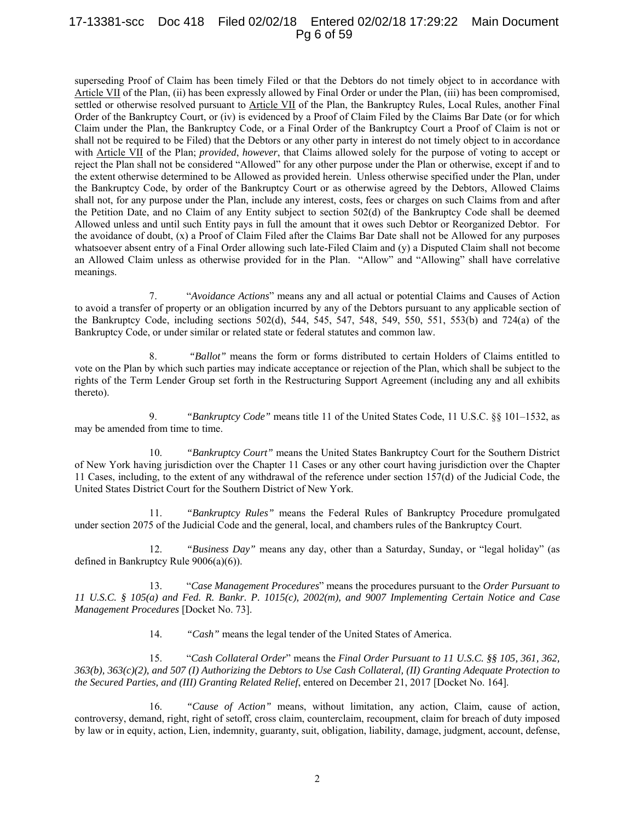## 17-13381-scc Doc 418 Filed 02/02/18 Entered 02/02/18 17:29:22 Main Document Pg 6 of 59

superseding Proof of Claim has been timely Filed or that the Debtors do not timely object to in accordance with Article VII of the Plan, (ii) has been expressly allowed by Final Order or under the Plan, (iii) has been compromised, settled or otherwise resolved pursuant to Article VII of the Plan, the Bankruptcy Rules, Local Rules, another Final Order of the Bankruptcy Court, or (iv) is evidenced by a Proof of Claim Filed by the Claims Bar Date (or for which Claim under the Plan, the Bankruptcy Code, or a Final Order of the Bankruptcy Court a Proof of Claim is not or shall not be required to be Filed) that the Debtors or any other party in interest do not timely object to in accordance with Article VII of the Plan; *provided*, *however*, that Claims allowed solely for the purpose of voting to accept or reject the Plan shall not be considered "Allowed" for any other purpose under the Plan or otherwise, except if and to the extent otherwise determined to be Allowed as provided herein. Unless otherwise specified under the Plan, under the Bankruptcy Code, by order of the Bankruptcy Court or as otherwise agreed by the Debtors, Allowed Claims shall not, for any purpose under the Plan, include any interest, costs, fees or charges on such Claims from and after the Petition Date, and no Claim of any Entity subject to section 502(d) of the Bankruptcy Code shall be deemed Allowed unless and until such Entity pays in full the amount that it owes such Debtor or Reorganized Debtor. For the avoidance of doubt, (x) a Proof of Claim Filed after the Claims Bar Date shall not be Allowed for any purposes whatsoever absent entry of a Final Order allowing such late-Filed Claim and (y) a Disputed Claim shall not become an Allowed Claim unless as otherwise provided for in the Plan. "Allow" and "Allowing" shall have correlative meanings.

7. "*Avoidance Actions*" means any and all actual or potential Claims and Causes of Action to avoid a transfer of property or an obligation incurred by any of the Debtors pursuant to any applicable section of the Bankruptcy Code, including sections 502(d), 544, 545, 547, 548, 549, 550, 551, 553(b) and 724(a) of the Bankruptcy Code, or under similar or related state or federal statutes and common law.

8. *"Ballot"* means the form or forms distributed to certain Holders of Claims entitled to vote on the Plan by which such parties may indicate acceptance or rejection of the Plan, which shall be subject to the rights of the Term Lender Group set forth in the Restructuring Support Agreement (including any and all exhibits thereto).

9. *"Bankruptcy Code"* means title 11 of the United States Code, 11 U.S.C. §§ 101–1532, as may be amended from time to time.

10. *"Bankruptcy Court"* means the United States Bankruptcy Court for the Southern District of New York having jurisdiction over the Chapter 11 Cases or any other court having jurisdiction over the Chapter 11 Cases, including, to the extent of any withdrawal of the reference under section 157(d) of the Judicial Code, the United States District Court for the Southern District of New York.

11. *"Bankruptcy Rules"* means the Federal Rules of Bankruptcy Procedure promulgated under section 2075 of the Judicial Code and the general, local, and chambers rules of the Bankruptcy Court.

12. *"Business Day"* means any day, other than a Saturday, Sunday, or "legal holiday" (as defined in Bankruptcy Rule 9006(a)(6)).

13. "*Case Management Procedures*" means the procedures pursuant to the *Order Pursuant to 11 U.S.C. § 105(a) and Fed. R. Bankr. P. 1015(c), 2002(m), and 9007 Implementing Certain Notice and Case Management Procedures* [Docket No. 73].

14. *"Cash"* means the legal tender of the United States of America.

15. "*Cash Collateral Order*" means the *Final Order Pursuant to 11 U.S.C. §§ 105, 361, 362, 363(b), 363(c)(2), and 507 (I) Authorizing the Debtors to Use Cash Collateral, (II) Granting Adequate Protection to the Secured Parties, and (III) Granting Related Relief*, entered on December 21, 2017 [Docket No. 164].

16. *"Cause of Action"* means, without limitation, any action, Claim, cause of action, controversy, demand, right, right of setoff, cross claim, counterclaim, recoupment, claim for breach of duty imposed by law or in equity, action, Lien, indemnity, guaranty, suit, obligation, liability, damage, judgment, account, defense,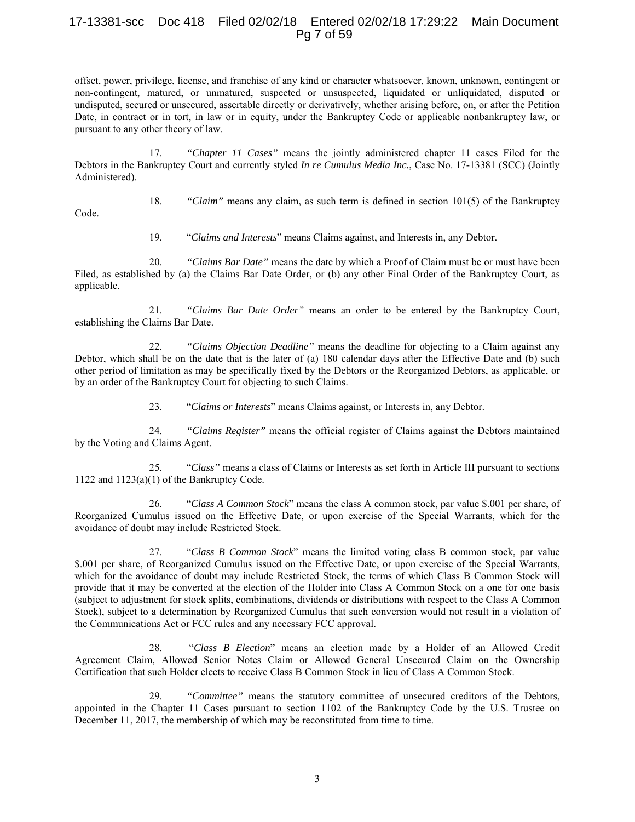## 17-13381-scc Doc 418 Filed 02/02/18 Entered 02/02/18 17:29:22 Main Document Pg 7 of 59

offset, power, privilege, license, and franchise of any kind or character whatsoever, known, unknown, contingent or non-contingent, matured, or unmatured, suspected or unsuspected, liquidated or unliquidated, disputed or undisputed, secured or unsecured, assertable directly or derivatively, whether arising before, on, or after the Petition Date, in contract or in tort, in law or in equity, under the Bankruptcy Code or applicable nonbankruptcy law, or pursuant to any other theory of law.

17. *"Chapter 11 Cases"* means the jointly administered chapter 11 cases Filed for the Debtors in the Bankruptcy Court and currently styled *In re Cumulus Media Inc.*, Case No. 17-13381 (SCC) (Jointly Administered).

18. *"Claim"* means any claim, as such term is defined in section 101(5) of the Bankruptcy

Code.

19. "*Claims and Interests*" means Claims against, and Interests in, any Debtor.

20. *"Claims Bar Date"* means the date by which a Proof of Claim must be or must have been Filed, as established by (a) the Claims Bar Date Order, or (b) any other Final Order of the Bankruptcy Court, as applicable.

21. *"Claims Bar Date Order"* means an order to be entered by the Bankruptcy Court, establishing the Claims Bar Date.

22. *"Claims Objection Deadline"* means the deadline for objecting to a Claim against any Debtor, which shall be on the date that is the later of (a) 180 calendar days after the Effective Date and (b) such other period of limitation as may be specifically fixed by the Debtors or the Reorganized Debtors, as applicable, or by an order of the Bankruptcy Court for objecting to such Claims.

23. "*Claims or Interests*" means Claims against, or Interests in, any Debtor.

24. *"Claims Register"* means the official register of Claims against the Debtors maintained by the Voting and Claims Agent.

25. "*Class"* means a class of Claims or Interests as set forth in Article III pursuant to sections 1122 and 1123(a)(1) of the Bankruptcy Code.

26. "*Class A Common Stock*" means the class A common stock, par value \$.001 per share, of Reorganized Cumulus issued on the Effective Date, or upon exercise of the Special Warrants, which for the avoidance of doubt may include Restricted Stock.

27. "*Class B Common Stock*" means the limited voting class B common stock, par value \$.001 per share, of Reorganized Cumulus issued on the Effective Date, or upon exercise of the Special Warrants, which for the avoidance of doubt may include Restricted Stock, the terms of which Class B Common Stock will provide that it may be converted at the election of the Holder into Class A Common Stock on a one for one basis (subject to adjustment for stock splits, combinations, dividends or distributions with respect to the Class A Common Stock), subject to a determination by Reorganized Cumulus that such conversion would not result in a violation of the Communications Act or FCC rules and any necessary FCC approval.

28. "*Class B Election*" means an election made by a Holder of an Allowed Credit Agreement Claim, Allowed Senior Notes Claim or Allowed General Unsecured Claim on the Ownership Certification that such Holder elects to receive Class B Common Stock in lieu of Class A Common Stock.

29. *"Committee"* means the statutory committee of unsecured creditors of the Debtors, appointed in the Chapter 11 Cases pursuant to section 1102 of the Bankruptcy Code by the U.S. Trustee on December 11, 2017, the membership of which may be reconstituted from time to time.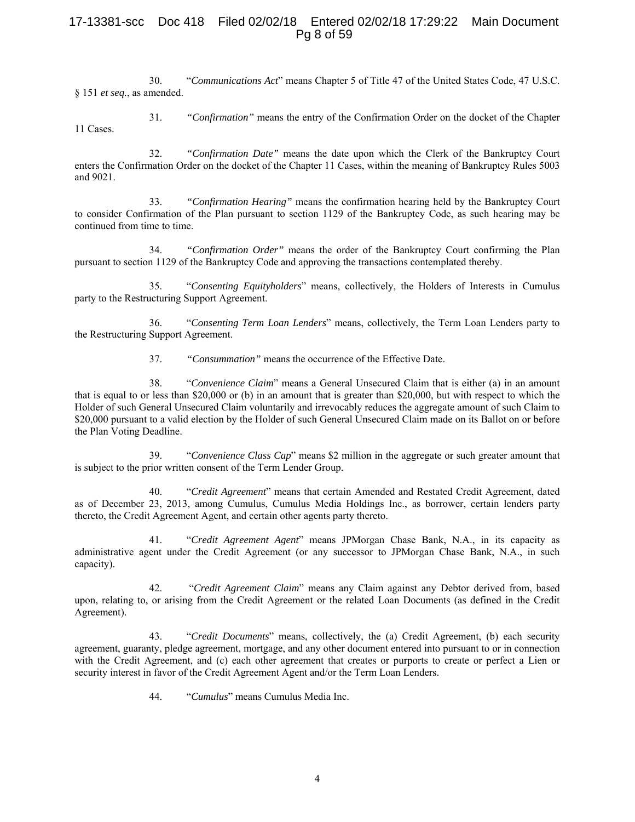## 17-13381-scc Doc 418 Filed 02/02/18 Entered 02/02/18 17:29:22 Main Document Pg 8 of 59

30. "*Communications Act*" means Chapter 5 of Title 47 of the United States Code, 47 U.S.C. § 151 *et seq.*, as amended.

31. *"Confirmation"* means the entry of the Confirmation Order on the docket of the Chapter 11 Cases.

32. *"Confirmation Date"* means the date upon which the Clerk of the Bankruptcy Court enters the Confirmation Order on the docket of the Chapter 11 Cases, within the meaning of Bankruptcy Rules 5003 and 9021.

33. *"Confirmation Hearing"* means the confirmation hearing held by the Bankruptcy Court to consider Confirmation of the Plan pursuant to section 1129 of the Bankruptcy Code, as such hearing may be continued from time to time.

34. *"Confirmation Order"* means the order of the Bankruptcy Court confirming the Plan pursuant to section 1129 of the Bankruptcy Code and approving the transactions contemplated thereby.

35. "*Consenting Equityholders*" means, collectively, the Holders of Interests in Cumulus party to the Restructuring Support Agreement.

36. "*Consenting Term Loan Lenders*" means, collectively, the Term Loan Lenders party to the Restructuring Support Agreement.

37. *"Consummation"* means the occurrence of the Effective Date.

38. "*Convenience Claim*" means a General Unsecured Claim that is either (a) in an amount that is equal to or less than \$20,000 or (b) in an amount that is greater than \$20,000, but with respect to which the Holder of such General Unsecured Claim voluntarily and irrevocably reduces the aggregate amount of such Claim to \$20,000 pursuant to a valid election by the Holder of such General Unsecured Claim made on its Ballot on or before the Plan Voting Deadline.

39. "*Convenience Class Cap*" means \$2 million in the aggregate or such greater amount that is subject to the prior written consent of the Term Lender Group.

40. "*Credit Agreement*" means that certain Amended and Restated Credit Agreement, dated as of December 23, 2013, among Cumulus, Cumulus Media Holdings Inc., as borrower, certain lenders party thereto, the Credit Agreement Agent, and certain other agents party thereto.

41. "*Credit Agreement Agent*" means JPMorgan Chase Bank, N.A., in its capacity as administrative agent under the Credit Agreement (or any successor to JPMorgan Chase Bank, N.A., in such capacity).

42. "*Credit Agreement Claim*" means any Claim against any Debtor derived from, based upon, relating to, or arising from the Credit Agreement or the related Loan Documents (as defined in the Credit Agreement).

43. "*Credit Documents*" means, collectively, the (a) Credit Agreement, (b) each security agreement, guaranty, pledge agreement, mortgage, and any other document entered into pursuant to or in connection with the Credit Agreement, and (c) each other agreement that creates or purports to create or perfect a Lien or security interest in favor of the Credit Agreement Agent and/or the Term Loan Lenders.

44. "*Cumulus*" means Cumulus Media Inc.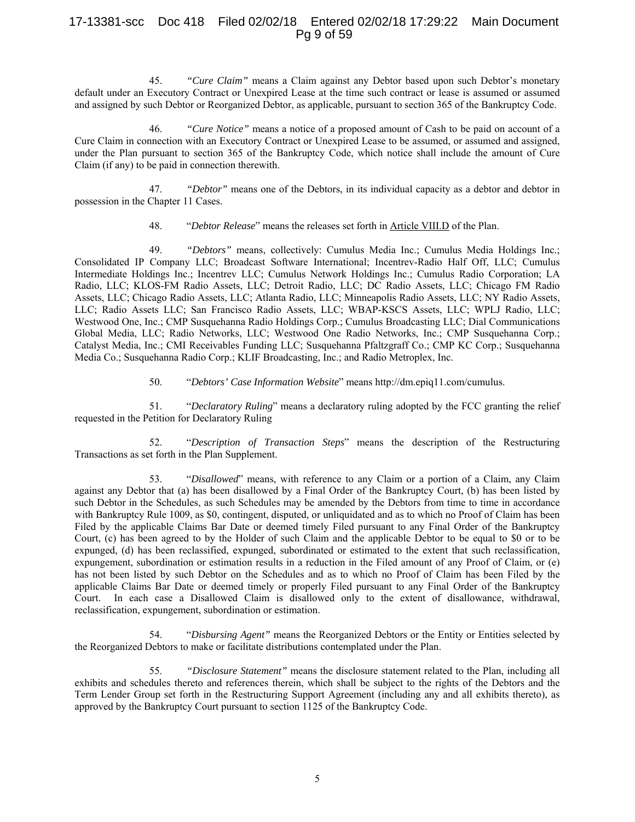## 17-13381-scc Doc 418 Filed 02/02/18 Entered 02/02/18 17:29:22 Main Document Pg 9 of 59

45. *"Cure Claim"* means a Claim against any Debtor based upon such Debtor's monetary default under an Executory Contract or Unexpired Lease at the time such contract or lease is assumed or assumed and assigned by such Debtor or Reorganized Debtor, as applicable, pursuant to section 365 of the Bankruptcy Code.

46. *"Cure Notice"* means a notice of a proposed amount of Cash to be paid on account of a Cure Claim in connection with an Executory Contract or Unexpired Lease to be assumed, or assumed and assigned, under the Plan pursuant to section 365 of the Bankruptcy Code, which notice shall include the amount of Cure Claim (if any) to be paid in connection therewith.

47. *"Debtor"* means one of the Debtors, in its individual capacity as a debtor and debtor in possession in the Chapter 11 Cases.

48. "*Debtor Release*" means the releases set forth in Article VIII.D of the Plan.

49. *"Debtors"* means, collectively: Cumulus Media Inc.; Cumulus Media Holdings Inc.; Consolidated IP Company LLC; Broadcast Software International; Incentrev-Radio Half Off, LLC; Cumulus Intermediate Holdings Inc.; Incentrev LLC; Cumulus Network Holdings Inc.; Cumulus Radio Corporation; LA Radio, LLC; KLOS-FM Radio Assets, LLC; Detroit Radio, LLC; DC Radio Assets, LLC; Chicago FM Radio Assets, LLC; Chicago Radio Assets, LLC; Atlanta Radio, LLC; Minneapolis Radio Assets, LLC; NY Radio Assets, LLC; Radio Assets LLC; San Francisco Radio Assets, LLC; WBAP-KSCS Assets, LLC; WPLJ Radio, LLC; Westwood One, Inc.; CMP Susquehanna Radio Holdings Corp.; Cumulus Broadcasting LLC; Dial Communications Global Media, LLC; Radio Networks, LLC; Westwood One Radio Networks, Inc.; CMP Susquehanna Corp.; Catalyst Media, Inc.; CMI Receivables Funding LLC; Susquehanna Pfaltzgraff Co.; CMP KC Corp.; Susquehanna Media Co.; Susquehanna Radio Corp.; KLIF Broadcasting, Inc.; and Radio Metroplex, Inc.

50. "*Debtors' Case Information Website*" means http://dm.epiq11.com/cumulus.

51. "*Declaratory Ruling*" means a declaratory ruling adopted by the FCC granting the relief requested in the Petition for Declaratory Ruling

52. "*Description of Transaction Steps*" means the description of the Restructuring Transactions as set forth in the Plan Supplement.

53. "*Disallowed*" means, with reference to any Claim or a portion of a Claim, any Claim against any Debtor that (a) has been disallowed by a Final Order of the Bankruptcy Court, (b) has been listed by such Debtor in the Schedules, as such Schedules may be amended by the Debtors from time to time in accordance with Bankruptcy Rule 1009, as \$0, contingent, disputed, or unliquidated and as to which no Proof of Claim has been Filed by the applicable Claims Bar Date or deemed timely Filed pursuant to any Final Order of the Bankruptcy Court, (c) has been agreed to by the Holder of such Claim and the applicable Debtor to be equal to \$0 or to be expunged, (d) has been reclassified, expunged, subordinated or estimated to the extent that such reclassification, expungement, subordination or estimation results in a reduction in the Filed amount of any Proof of Claim, or (e) has not been listed by such Debtor on the Schedules and as to which no Proof of Claim has been Filed by the applicable Claims Bar Date or deemed timely or properly Filed pursuant to any Final Order of the Bankruptcy Court. In each case a Disallowed Claim is disallowed only to the extent of disallowance, withdrawal, reclassification, expungement, subordination or estimation.

54. "*Disbursing Agent"* means the Reorganized Debtors or the Entity or Entities selected by the Reorganized Debtors to make or facilitate distributions contemplated under the Plan.

55. *"Disclosure Statement"* means the disclosure statement related to the Plan, including all exhibits and schedules thereto and references therein, which shall be subject to the rights of the Debtors and the Term Lender Group set forth in the Restructuring Support Agreement (including any and all exhibits thereto), as approved by the Bankruptcy Court pursuant to section 1125 of the Bankruptcy Code.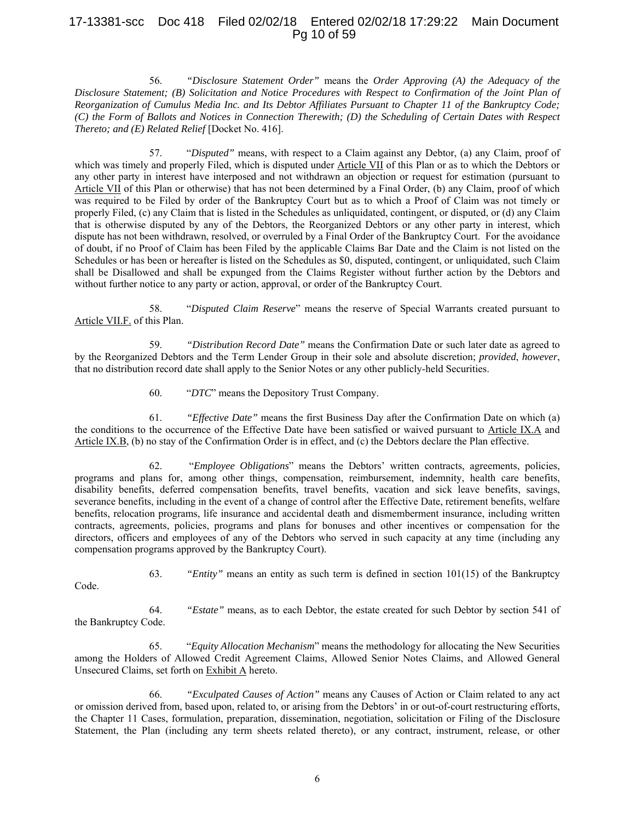# 17-13381-scc Doc 418 Filed 02/02/18 Entered 02/02/18 17:29:22 Main Document Pg 10 of 59

56. *"Disclosure Statement Order"* means the *Order Approving (A) the Adequacy of the Disclosure Statement; (B) Solicitation and Notice Procedures with Respect to Confirmation of the Joint Plan of Reorganization of Cumulus Media Inc. and Its Debtor Affiliates Pursuant to Chapter 11 of the Bankruptcy Code; (C) the Form of Ballots and Notices in Connection Therewith; (D) the Scheduling of Certain Dates with Respect Thereto; and (E) Related Relief* [Docket No. 416].

57. "*Disputed"* means, with respect to a Claim against any Debtor, (a) any Claim, proof of which was timely and properly Filed, which is disputed under Article VII of this Plan or as to which the Debtors or any other party in interest have interposed and not withdrawn an objection or request for estimation (pursuant to Article VII of this Plan or otherwise) that has not been determined by a Final Order, (b) any Claim, proof of which was required to be Filed by order of the Bankruptcy Court but as to which a Proof of Claim was not timely or properly Filed, (c) any Claim that is listed in the Schedules as unliquidated, contingent, or disputed, or (d) any Claim that is otherwise disputed by any of the Debtors, the Reorganized Debtors or any other party in interest, which dispute has not been withdrawn, resolved, or overruled by a Final Order of the Bankruptcy Court. For the avoidance of doubt, if no Proof of Claim has been Filed by the applicable Claims Bar Date and the Claim is not listed on the Schedules or has been or hereafter is listed on the Schedules as \$0, disputed, contingent, or unliquidated, such Claim shall be Disallowed and shall be expunged from the Claims Register without further action by the Debtors and without further notice to any party or action, approval, or order of the Bankruptcy Court.

58. "*Disputed Claim Reserve*" means the reserve of Special Warrants created pursuant to Article VII.F. of this Plan.

59. *"Distribution Record Date"* means the Confirmation Date or such later date as agreed to by the Reorganized Debtors and the Term Lender Group in their sole and absolute discretion; *provided*, *however*, that no distribution record date shall apply to the Senior Notes or any other publicly-held Securities.

60. "*DTC*" means the Depository Trust Company.

61. *"Effective Date"* means the first Business Day after the Confirmation Date on which (a) the conditions to the occurrence of the Effective Date have been satisfied or waived pursuant to Article IX.A and Article IX.B, (b) no stay of the Confirmation Order is in effect, and (c) the Debtors declare the Plan effective.

62. "*Employee Obligations*" means the Debtors' written contracts, agreements, policies, programs and plans for, among other things, compensation, reimbursement, indemnity, health care benefits, disability benefits, deferred compensation benefits, travel benefits, vacation and sick leave benefits, savings, severance benefits, including in the event of a change of control after the Effective Date, retirement benefits, welfare benefits, relocation programs, life insurance and accidental death and dismemberment insurance, including written contracts, agreements, policies, programs and plans for bonuses and other incentives or compensation for the directors, officers and employees of any of the Debtors who served in such capacity at any time (including any compensation programs approved by the Bankruptcy Court).

63. *"Entity"* means an entity as such term is defined in section 101(15) of the Bankruptcy

Code.

64. *"Estate"* means, as to each Debtor, the estate created for such Debtor by section 541 of the Bankruptcy Code.

65. "*Equity Allocation Mechanism*" means the methodology for allocating the New Securities among the Holders of Allowed Credit Agreement Claims, Allowed Senior Notes Claims, and Allowed General Unsecured Claims, set forth on Exhibit A hereto.

66. *"Exculpated Causes of Action"* means any Causes of Action or Claim related to any act or omission derived from, based upon, related to, or arising from the Debtors' in or out-of-court restructuring efforts, the Chapter 11 Cases, formulation, preparation, dissemination, negotiation, solicitation or Filing of the Disclosure Statement, the Plan (including any term sheets related thereto), or any contract, instrument, release, or other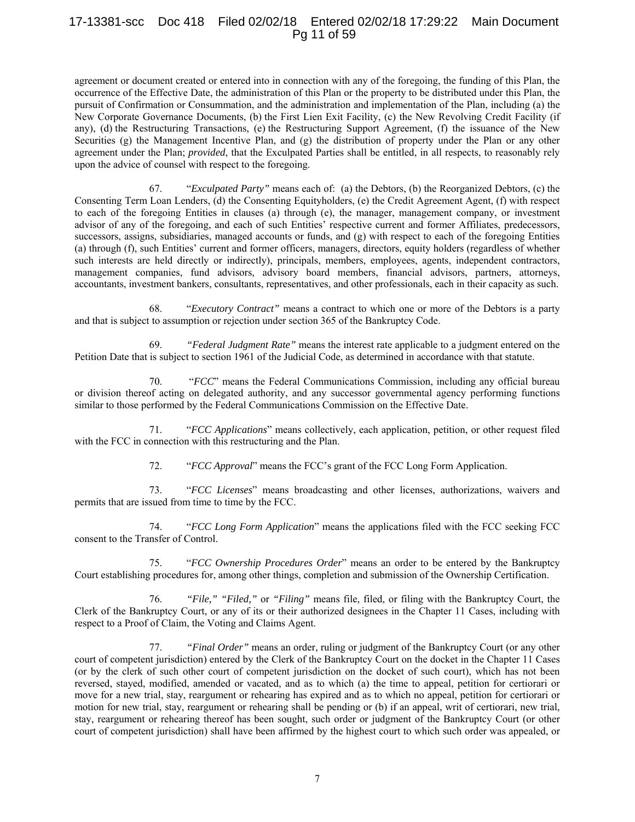## 17-13381-scc Doc 418 Filed 02/02/18 Entered 02/02/18 17:29:22 Main Document Pg 11 of 59

agreement or document created or entered into in connection with any of the foregoing, the funding of this Plan, the occurrence of the Effective Date, the administration of this Plan or the property to be distributed under this Plan, the pursuit of Confirmation or Consummation, and the administration and implementation of the Plan, including (a) the New Corporate Governance Documents, (b) the First Lien Exit Facility, (c) the New Revolving Credit Facility (if any), (d) the Restructuring Transactions, (e) the Restructuring Support Agreement, (f) the issuance of the New Securities (g) the Management Incentive Plan, and (g) the distribution of property under the Plan or any other agreement under the Plan; *provided*, that the Exculpated Parties shall be entitled, in all respects, to reasonably rely upon the advice of counsel with respect to the foregoing.

67. "*Exculpated Party"* means each of: (a) the Debtors, (b) the Reorganized Debtors, (c) the Consenting Term Loan Lenders, (d) the Consenting Equityholders, (e) the Credit Agreement Agent, (f) with respect to each of the foregoing Entities in clauses (a) through (e), the manager, management company, or investment advisor of any of the foregoing, and each of such Entities' respective current and former Affiliates, predecessors, successors, assigns, subsidiaries, managed accounts or funds, and (g) with respect to each of the foregoing Entities (a) through (f), such Entities' current and former officers, managers, directors, equity holders (regardless of whether such interests are held directly or indirectly), principals, members, employees, agents, independent contractors, management companies, fund advisors, advisory board members, financial advisors, partners, attorneys, accountants, investment bankers, consultants, representatives, and other professionals, each in their capacity as such.

68. "*Executory Contract"* means a contract to which one or more of the Debtors is a party and that is subject to assumption or rejection under section 365 of the Bankruptcy Code.

69. *"Federal Judgment Rate"* means the interest rate applicable to a judgment entered on the Petition Date that is subject to section 1961 of the Judicial Code, as determined in accordance with that statute.

70. "*FCC*" means the Federal Communications Commission, including any official bureau or division thereof acting on delegated authority, and any successor governmental agency performing functions similar to those performed by the Federal Communications Commission on the Effective Date.

71. "*FCC Applications*" means collectively, each application, petition, or other request filed with the FCC in connection with this restructuring and the Plan.

72. "*FCC Approval*" means the FCC's grant of the FCC Long Form Application.

73. "*FCC Licenses*" means broadcasting and other licenses, authorizations, waivers and permits that are issued from time to time by the FCC.

74. "*FCC Long Form Application*" means the applications filed with the FCC seeking FCC consent to the Transfer of Control.

75. "*FCC Ownership Procedures Order*" means an order to be entered by the Bankruptcy Court establishing procedures for, among other things, completion and submission of the Ownership Certification.

76. *"File," "Filed,"* or *"Filing"* means file, filed, or filing with the Bankruptcy Court, the Clerk of the Bankruptcy Court, or any of its or their authorized designees in the Chapter 11 Cases, including with respect to a Proof of Claim, the Voting and Claims Agent.

77. *"Final Order"* means an order, ruling or judgment of the Bankruptcy Court (or any other court of competent jurisdiction) entered by the Clerk of the Bankruptcy Court on the docket in the Chapter 11 Cases (or by the clerk of such other court of competent jurisdiction on the docket of such court), which has not been reversed, stayed, modified, amended or vacated, and as to which (a) the time to appeal, petition for certiorari or move for a new trial, stay, reargument or rehearing has expired and as to which no appeal, petition for certiorari or motion for new trial, stay, reargument or rehearing shall be pending or (b) if an appeal, writ of certiorari, new trial, stay, reargument or rehearing thereof has been sought, such order or judgment of the Bankruptcy Court (or other court of competent jurisdiction) shall have been affirmed by the highest court to which such order was appealed, or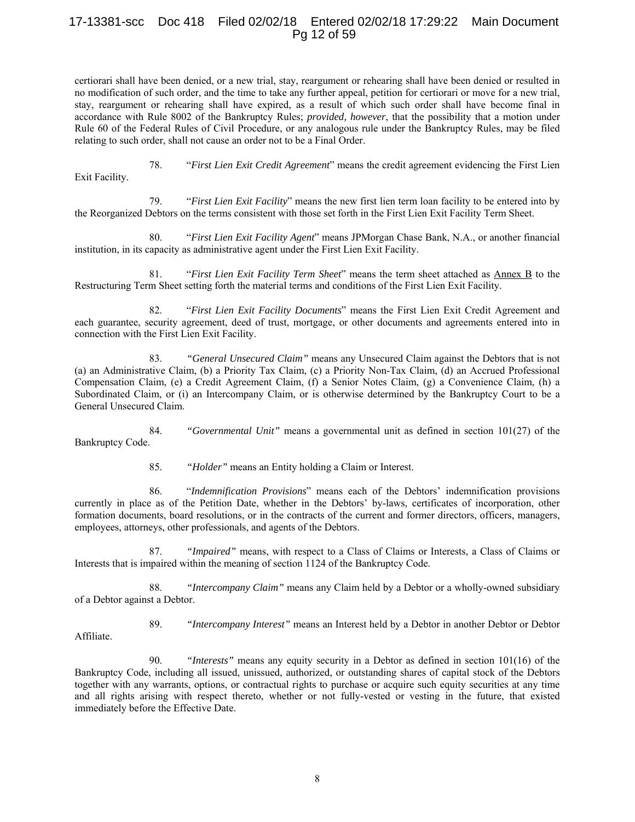# 17-13381-scc Doc 418 Filed 02/02/18 Entered 02/02/18 17:29:22 Main Document Pg 12 of 59

certiorari shall have been denied, or a new trial, stay, reargument or rehearing shall have been denied or resulted in no modification of such order, and the time to take any further appeal, petition for certiorari or move for a new trial, stay, reargument or rehearing shall have expired, as a result of which such order shall have become final in accordance with Rule 8002 of the Bankruptcy Rules; *provided, however*, that the possibility that a motion under Rule 60 of the Federal Rules of Civil Procedure, or any analogous rule under the Bankruptcy Rules, may be filed relating to such order, shall not cause an order not to be a Final Order.

78. "*First Lien Exit Credit Agreement*" means the credit agreement evidencing the First Lien

Exit Facility.

79. "*First Lien Exit Facility*" means the new first lien term loan facility to be entered into by the Reorganized Debtors on the terms consistent with those set forth in the First Lien Exit Facility Term Sheet.

80. "*First Lien Exit Facility Agent*" means JPMorgan Chase Bank, N.A., or another financial institution, in its capacity as administrative agent under the First Lien Exit Facility.

81. "*First Lien Exit Facility Term Sheet*" means the term sheet attached as Annex B to the Restructuring Term Sheet setting forth the material terms and conditions of the First Lien Exit Facility.

82. "*First Lien Exit Facility Documents*" means the First Lien Exit Credit Agreement and each guarantee, security agreement, deed of trust, mortgage, or other documents and agreements entered into in connection with the First Lien Exit Facility.

83. *"General Unsecured Claim"* means any Unsecured Claim against the Debtors that is not (a) an Administrative Claim, (b) a Priority Tax Claim, (c) a Priority Non-Tax Claim, (d) an Accrued Professional Compensation Claim, (e) a Credit Agreement Claim, (f) a Senior Notes Claim, (g) a Convenience Claim, (h) a Subordinated Claim, or (i) an Intercompany Claim, or is otherwise determined by the Bankruptcy Court to be a General Unsecured Claim.

84. *"Governmental Unit"* means a governmental unit as defined in section 101(27) of the Bankruptcy Code.

85. *"Holder"* means an Entity holding a Claim or Interest.

86. "*Indemnification Provisions*" means each of the Debtors' indemnification provisions currently in place as of the Petition Date, whether in the Debtors' by-laws, certificates of incorporation, other formation documents, board resolutions, or in the contracts of the current and former directors, officers, managers, employees, attorneys, other professionals, and agents of the Debtors.

87. *"Impaired"* means, with respect to a Class of Claims or Interests, a Class of Claims or Interests that is impaired within the meaning of section 1124 of the Bankruptcy Code.

88. *"Intercompany Claim"* means any Claim held by a Debtor or a wholly-owned subsidiary of a Debtor against a Debtor.

Affiliate.

89. *"Intercompany Interest"* means an Interest held by a Debtor in another Debtor or Debtor

90. *"Interests"* means any equity security in a Debtor as defined in section 101(16) of the Bankruptcy Code, including all issued, unissued, authorized, or outstanding shares of capital stock of the Debtors together with any warrants, options, or contractual rights to purchase or acquire such equity securities at any time and all rights arising with respect thereto, whether or not fully-vested or vesting in the future, that existed immediately before the Effective Date.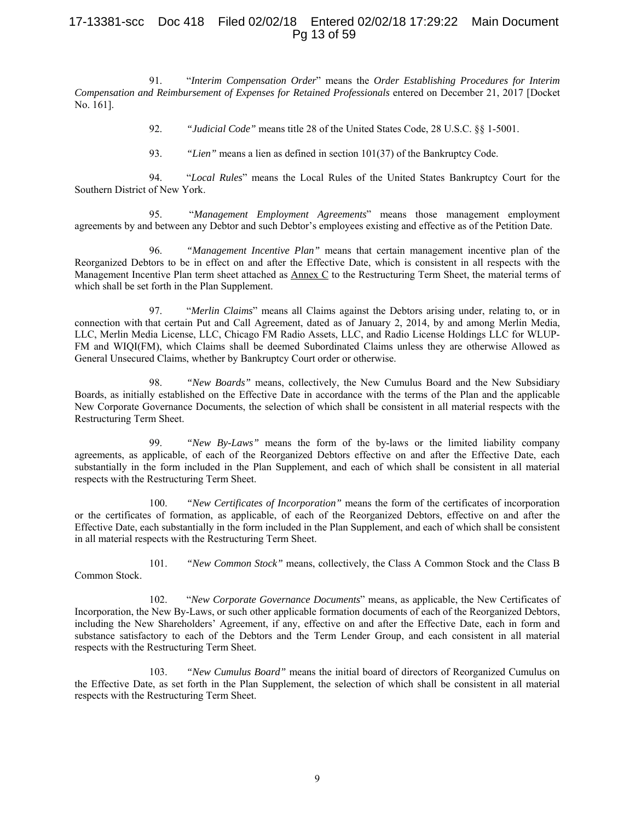## 17-13381-scc Doc 418 Filed 02/02/18 Entered 02/02/18 17:29:22 Main Document Pg 13 of 59

91. "*Interim Compensation Order*" means the *Order Establishing Procedures for Interim Compensation and Reimbursement of Expenses for Retained Professionals* entered on December 21, 2017 [Docket No. 161].

92. *"Judicial Code"* means title 28 of the United States Code, 28 U.S.C. §§ 1-5001.

93. *"Lien"* means a lien as defined in section 101(37) of the Bankruptcy Code.

94. "*Local Rules*" means the Local Rules of the United States Bankruptcy Court for the Southern District of New York.

95. "*Management Employment Agreements*" means those management employment agreements by and between any Debtor and such Debtor's employees existing and effective as of the Petition Date.

96. *"Management Incentive Plan"* means that certain management incentive plan of the Reorganized Debtors to be in effect on and after the Effective Date, which is consistent in all respects with the Management Incentive Plan term sheet attached as  $\Delta$ nnex  $C$  to the Restructuring Term Sheet, the material terms of which shall be set forth in the Plan Supplement.

97. "*Merlin Claims*" means all Claims against the Debtors arising under, relating to, or in connection with that certain Put and Call Agreement, dated as of January 2, 2014, by and among Merlin Media, LLC, Merlin Media License, LLC, Chicago FM Radio Assets, LLC, and Radio License Holdings LLC for WLUP-FM and WIQI(FM), which Claims shall be deemed Subordinated Claims unless they are otherwise Allowed as General Unsecured Claims, whether by Bankruptcy Court order or otherwise.

98. *"New Boards"* means, collectively, the New Cumulus Board and the New Subsidiary Boards, as initially established on the Effective Date in accordance with the terms of the Plan and the applicable New Corporate Governance Documents, the selection of which shall be consistent in all material respects with the Restructuring Term Sheet.

99. *"New By-Laws"* means the form of the by-laws or the limited liability company agreements, as applicable, of each of the Reorganized Debtors effective on and after the Effective Date, each substantially in the form included in the Plan Supplement, and each of which shall be consistent in all material respects with the Restructuring Term Sheet.

100. *"New Certificates of Incorporation"* means the form of the certificates of incorporation or the certificates of formation, as applicable, of each of the Reorganized Debtors, effective on and after the Effective Date, each substantially in the form included in the Plan Supplement, and each of which shall be consistent in all material respects with the Restructuring Term Sheet.

101. *"New Common Stock"* means, collectively, the Class A Common Stock and the Class B

102. "*New Corporate Governance Documents*" means, as applicable, the New Certificates of Incorporation, the New By-Laws, or such other applicable formation documents of each of the Reorganized Debtors, including the New Shareholders' Agreement, if any, effective on and after the Effective Date, each in form and substance satisfactory to each of the Debtors and the Term Lender Group, and each consistent in all material respects with the Restructuring Term Sheet.

Common Stock.

103. *"New Cumulus Board"* means the initial board of directors of Reorganized Cumulus on the Effective Date, as set forth in the Plan Supplement, the selection of which shall be consistent in all material respects with the Restructuring Term Sheet.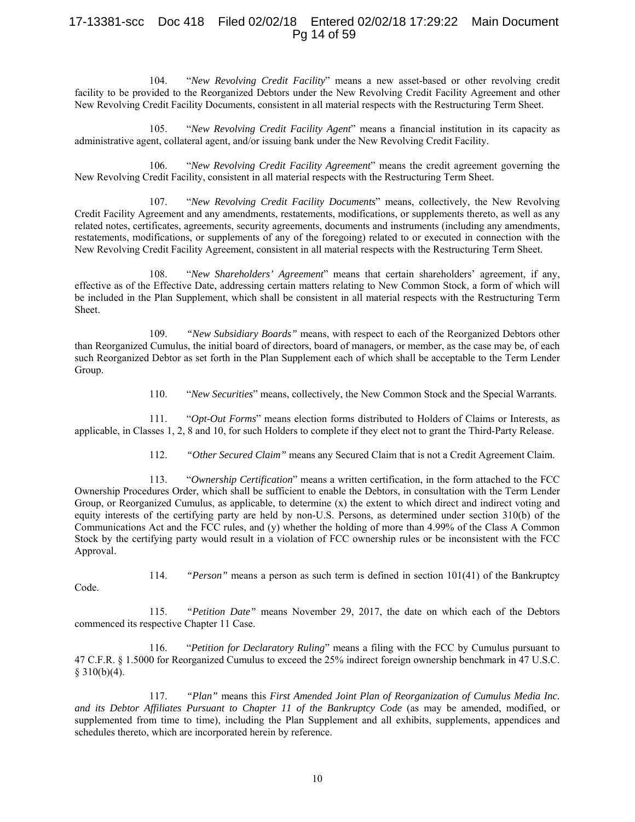## 17-13381-scc Doc 418 Filed 02/02/18 Entered 02/02/18 17:29:22 Main Document Pg 14 of 59

104. "*New Revolving Credit Facility*" means a new asset-based or other revolving credit facility to be provided to the Reorganized Debtors under the New Revolving Credit Facility Agreement and other New Revolving Credit Facility Documents, consistent in all material respects with the Restructuring Term Sheet.

105. "*New Revolving Credit Facility Agent*" means a financial institution in its capacity as administrative agent, collateral agent, and/or issuing bank under the New Revolving Credit Facility.

106. "*New Revolving Credit Facility Agreement*" means the credit agreement governing the New Revolving Credit Facility, consistent in all material respects with the Restructuring Term Sheet.

107. "*New Revolving Credit Facility Documents*" means, collectively, the New Revolving Credit Facility Agreement and any amendments, restatements, modifications, or supplements thereto, as well as any related notes, certificates, agreements, security agreements, documents and instruments (including any amendments, restatements, modifications, or supplements of any of the foregoing) related to or executed in connection with the New Revolving Credit Facility Agreement, consistent in all material respects with the Restructuring Term Sheet.

108. "*New Shareholders' Agreement*" means that certain shareholders' agreement, if any, effective as of the Effective Date, addressing certain matters relating to New Common Stock, a form of which will be included in the Plan Supplement, which shall be consistent in all material respects with the Restructuring Term Sheet.

109. *"New Subsidiary Boards"* means, with respect to each of the Reorganized Debtors other than Reorganized Cumulus, the initial board of directors, board of managers, or member, as the case may be, of each such Reorganized Debtor as set forth in the Plan Supplement each of which shall be acceptable to the Term Lender Group.

110. "*New Securities*" means, collectively, the New Common Stock and the Special Warrants.

111. "*Opt-Out Forms*" means election forms distributed to Holders of Claims or Interests, as applicable, in Classes 1, 2, 8 and 10, for such Holders to complete if they elect not to grant the Third-Party Release.

112. *"Other Secured Claim"* means any Secured Claim that is not a Credit Agreement Claim.

113. "*Ownership Certification*" means a written certification, in the form attached to the FCC Ownership Procedures Order, which shall be sufficient to enable the Debtors, in consultation with the Term Lender Group, or Reorganized Cumulus, as applicable, to determine (x) the extent to which direct and indirect voting and equity interests of the certifying party are held by non-U.S. Persons, as determined under section 310(b) of the Communications Act and the FCC rules, and (y) whether the holding of more than 4.99% of the Class A Common Stock by the certifying party would result in a violation of FCC ownership rules or be inconsistent with the FCC Approval.

114. *"Person"* means a person as such term is defined in section 101(41) of the Bankruptcy

Code.

115. *"Petition Date"* means November 29, 2017, the date on which each of the Debtors commenced its respective Chapter 11 Case.

116. "*Petition for Declaratory Ruling*" means a filing with the FCC by Cumulus pursuant to 47 C.F.R. § 1.5000 for Reorganized Cumulus to exceed the 25% indirect foreign ownership benchmark in 47 U.S.C.  $§ 310(b)(4).$ 

117. *"Plan"* means this *First Amended Joint Plan of Reorganization of Cumulus Media Inc. and its Debtor Affiliates Pursuant to Chapter 11 of the Bankruptcy Code* (as may be amended, modified, or supplemented from time to time), including the Plan Supplement and all exhibits, supplements, appendices and schedules thereto, which are incorporated herein by reference.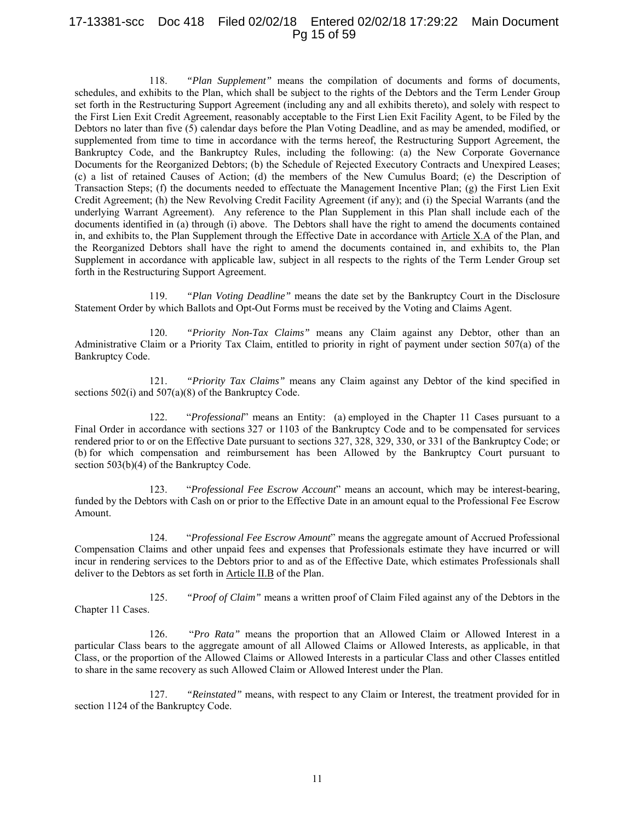## 17-13381-scc Doc 418 Filed 02/02/18 Entered 02/02/18 17:29:22 Main Document Pg 15 of 59

118. *"Plan Supplement"* means the compilation of documents and forms of documents, schedules, and exhibits to the Plan, which shall be subject to the rights of the Debtors and the Term Lender Group set forth in the Restructuring Support Agreement (including any and all exhibits thereto), and solely with respect to the First Lien Exit Credit Agreement, reasonably acceptable to the First Lien Exit Facility Agent, to be Filed by the Debtors no later than five (5) calendar days before the Plan Voting Deadline, and as may be amended, modified, or supplemented from time to time in accordance with the terms hereof, the Restructuring Support Agreement, the Bankruptcy Code, and the Bankruptcy Rules, including the following: (a) the New Corporate Governance Documents for the Reorganized Debtors; (b) the Schedule of Rejected Executory Contracts and Unexpired Leases; (c) a list of retained Causes of Action; (d) the members of the New Cumulus Board; (e) the Description of Transaction Steps; (f) the documents needed to effectuate the Management Incentive Plan; (g) the First Lien Exit Credit Agreement; (h) the New Revolving Credit Facility Agreement (if any); and (i) the Special Warrants (and the underlying Warrant Agreement). Any reference to the Plan Supplement in this Plan shall include each of the documents identified in (a) through (i) above. The Debtors shall have the right to amend the documents contained in, and exhibits to, the Plan Supplement through the Effective Date in accordance with Article X.A of the Plan, and the Reorganized Debtors shall have the right to amend the documents contained in, and exhibits to, the Plan Supplement in accordance with applicable law, subject in all respects to the rights of the Term Lender Group set forth in the Restructuring Support Agreement.

119. *"Plan Voting Deadline"* means the date set by the Bankruptcy Court in the Disclosure Statement Order by which Ballots and Opt-Out Forms must be received by the Voting and Claims Agent.

120. *"Priority Non-Tax Claims"* means any Claim against any Debtor, other than an Administrative Claim or a Priority Tax Claim, entitled to priority in right of payment under section 507(a) of the Bankruptcy Code.

121. *"Priority Tax Claims"* means any Claim against any Debtor of the kind specified in sections 502(i) and 507(a)(8) of the Bankruptcy Code.

122. "*Professional*" means an Entity: (a) employed in the Chapter 11 Cases pursuant to a Final Order in accordance with sections 327 or 1103 of the Bankruptcy Code and to be compensated for services rendered prior to or on the Effective Date pursuant to sections 327, 328, 329, 330, or 331 of the Bankruptcy Code; or (b) for which compensation and reimbursement has been Allowed by the Bankruptcy Court pursuant to section 503(b)(4) of the Bankruptcy Code.

123. "*Professional Fee Escrow Account*" means an account, which may be interest-bearing, funded by the Debtors with Cash on or prior to the Effective Date in an amount equal to the Professional Fee Escrow Amount.

124. "*Professional Fee Escrow Amount*" means the aggregate amount of Accrued Professional Compensation Claims and other unpaid fees and expenses that Professionals estimate they have incurred or will incur in rendering services to the Debtors prior to and as of the Effective Date, which estimates Professionals shall deliver to the Debtors as set forth in Article II.B of the Plan.

125. *"Proof of Claim"* means a written proof of Claim Filed against any of the Debtors in the Chapter 11 Cases.

126. "*Pro Rata"* means the proportion that an Allowed Claim or Allowed Interest in a particular Class bears to the aggregate amount of all Allowed Claims or Allowed Interests, as applicable, in that Class, or the proportion of the Allowed Claims or Allowed Interests in a particular Class and other Classes entitled to share in the same recovery as such Allowed Claim or Allowed Interest under the Plan.

127. *"Reinstated"* means, with respect to any Claim or Interest, the treatment provided for in section 1124 of the Bankruptcy Code.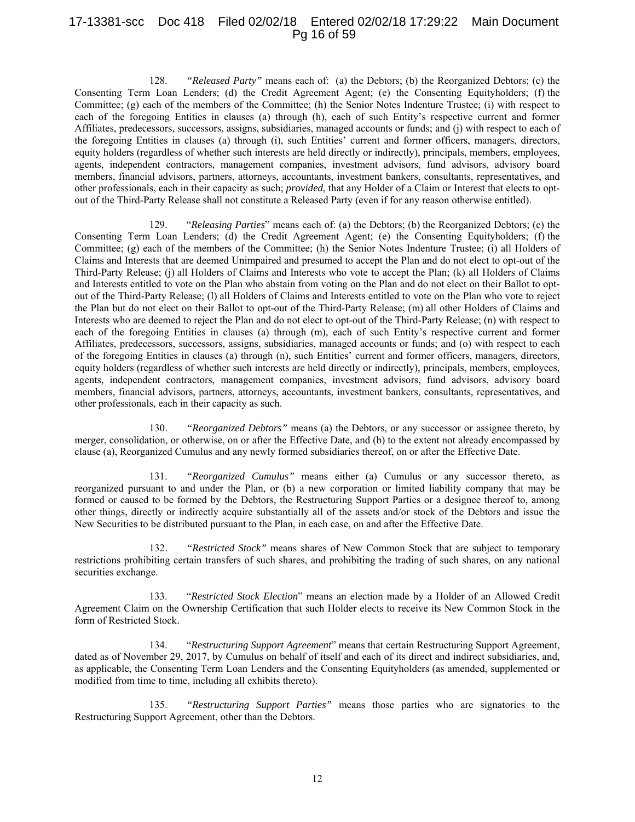## 17-13381-scc Doc 418 Filed 02/02/18 Entered 02/02/18 17:29:22 Main Document Pg 16 of 59

128. *"Released Party"* means each of: (a) the Debtors; (b) the Reorganized Debtors; (c) the Consenting Term Loan Lenders; (d) the Credit Agreement Agent; (e) the Consenting Equityholders; (f) the Committee; (g) each of the members of the Committee; (h) the Senior Notes Indenture Trustee; (i) with respect to each of the foregoing Entities in clauses (a) through (h), each of such Entity's respective current and former Affiliates, predecessors, successors, assigns, subsidiaries, managed accounts or funds; and (j) with respect to each of the foregoing Entities in clauses (a) through (i), such Entities' current and former officers, managers, directors, equity holders (regardless of whether such interests are held directly or indirectly), principals, members, employees, agents, independent contractors, management companies, investment advisors, fund advisors, advisory board members, financial advisors, partners, attorneys, accountants, investment bankers, consultants, representatives, and other professionals, each in their capacity as such; *provided*, that any Holder of a Claim or Interest that elects to optout of the Third-Party Release shall not constitute a Released Party (even if for any reason otherwise entitled).

129. "*Releasing Parties*" means each of: (a) the Debtors; (b) the Reorganized Debtors; (c) the Consenting Term Loan Lenders; (d) the Credit Agreement Agent; (e) the Consenting Equityholders; (f) the Committee; (g) each of the members of the Committee; (h) the Senior Notes Indenture Trustee; (i) all Holders of Claims and Interests that are deemed Unimpaired and presumed to accept the Plan and do not elect to opt-out of the Third-Party Release; (j) all Holders of Claims and Interests who vote to accept the Plan; (k) all Holders of Claims and Interests entitled to vote on the Plan who abstain from voting on the Plan and do not elect on their Ballot to optout of the Third-Party Release; (l) all Holders of Claims and Interests entitled to vote on the Plan who vote to reject the Plan but do not elect on their Ballot to opt-out of the Third-Party Release; (m) all other Holders of Claims and Interests who are deemed to reject the Plan and do not elect to opt-out of the Third-Party Release; (n) with respect to each of the foregoing Entities in clauses (a) through (m), each of such Entity's respective current and former Affiliates, predecessors, successors, assigns, subsidiaries, managed accounts or funds; and (o) with respect to each of the foregoing Entities in clauses (a) through (n), such Entities' current and former officers, managers, directors, equity holders (regardless of whether such interests are held directly or indirectly), principals, members, employees, agents, independent contractors, management companies, investment advisors, fund advisors, advisory board members, financial advisors, partners, attorneys, accountants, investment bankers, consultants, representatives, and other professionals, each in their capacity as such.

130. *"Reorganized Debtors"* means (a) the Debtors, or any successor or assignee thereto, by merger, consolidation, or otherwise, on or after the Effective Date, and (b) to the extent not already encompassed by clause (a), Reorganized Cumulus and any newly formed subsidiaries thereof, on or after the Effective Date.

131. *"Reorganized Cumulus"* means either (a) Cumulus or any successor thereto, as reorganized pursuant to and under the Plan, or (b) a new corporation or limited liability company that may be formed or caused to be formed by the Debtors, the Restructuring Support Parties or a designee thereof to, among other things, directly or indirectly acquire substantially all of the assets and/or stock of the Debtors and issue the New Securities to be distributed pursuant to the Plan, in each case, on and after the Effective Date.

132. *"Restricted Stock"* means shares of New Common Stock that are subject to temporary restrictions prohibiting certain transfers of such shares, and prohibiting the trading of such shares, on any national securities exchange.

133. "*Restricted Stock Election*" means an election made by a Holder of an Allowed Credit Agreement Claim on the Ownership Certification that such Holder elects to receive its New Common Stock in the form of Restricted Stock.

134. "*Restructuring Support Agreement*" means that certain Restructuring Support Agreement, dated as of November 29, 2017, by Cumulus on behalf of itself and each of its direct and indirect subsidiaries, and, as applicable, the Consenting Term Loan Lenders and the Consenting Equityholders (as amended, supplemented or modified from time to time, including all exhibits thereto).

135. *"Restructuring Support Parties"* means those parties who are signatories to the Restructuring Support Agreement, other than the Debtors.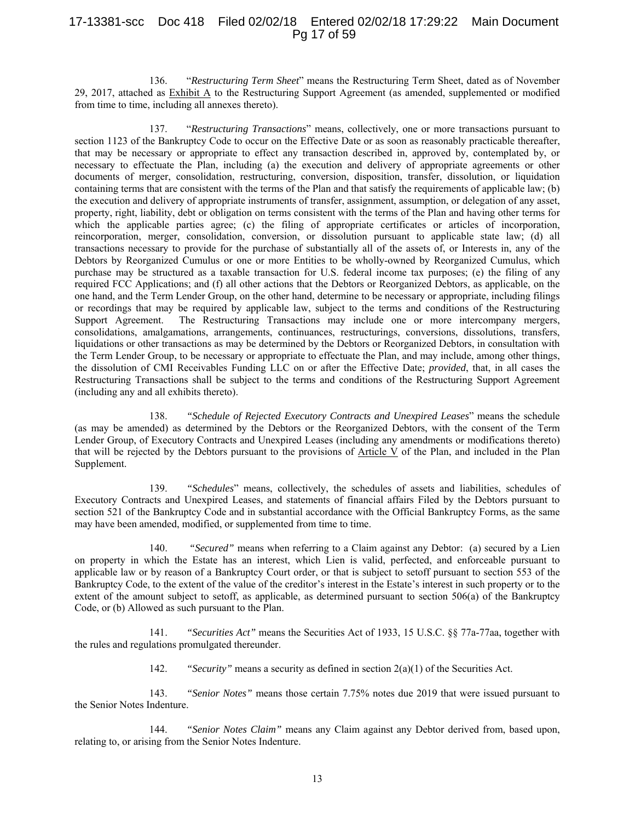## 17-13381-scc Doc 418 Filed 02/02/18 Entered 02/02/18 17:29:22 Main Document Pg 17 of 59

136. "*Restructuring Term Sheet*" means the Restructuring Term Sheet, dated as of November 29, 2017, attached as Exhibit A to the Restructuring Support Agreement (as amended, supplemented or modified from time to time, including all annexes thereto).

137. "*Restructuring Transactions*" means, collectively, one or more transactions pursuant to section 1123 of the Bankruptcy Code to occur on the Effective Date or as soon as reasonably practicable thereafter, that may be necessary or appropriate to effect any transaction described in, approved by, contemplated by, or necessary to effectuate the Plan, including (a) the execution and delivery of appropriate agreements or other documents of merger, consolidation, restructuring, conversion, disposition, transfer, dissolution, or liquidation containing terms that are consistent with the terms of the Plan and that satisfy the requirements of applicable law; (b) the execution and delivery of appropriate instruments of transfer, assignment, assumption, or delegation of any asset, property, right, liability, debt or obligation on terms consistent with the terms of the Plan and having other terms for which the applicable parties agree; (c) the filing of appropriate certificates or articles of incorporation, reincorporation, merger, consolidation, conversion, or dissolution pursuant to applicable state law; (d) all transactions necessary to provide for the purchase of substantially all of the assets of, or Interests in, any of the Debtors by Reorganized Cumulus or one or more Entities to be wholly-owned by Reorganized Cumulus, which purchase may be structured as a taxable transaction for U.S. federal income tax purposes; (e) the filing of any required FCC Applications; and (f) all other actions that the Debtors or Reorganized Debtors, as applicable, on the one hand, and the Term Lender Group, on the other hand, determine to be necessary or appropriate, including filings or recordings that may be required by applicable law, subject to the terms and conditions of the Restructuring Support Agreement. The Restructuring Transactions may include one or more intercompany mergers, consolidations, amalgamations, arrangements, continuances, restructurings, conversions, dissolutions, transfers, liquidations or other transactions as may be determined by the Debtors or Reorganized Debtors, in consultation with the Term Lender Group, to be necessary or appropriate to effectuate the Plan, and may include, among other things, the dissolution of CMI Receivables Funding LLC on or after the Effective Date; *provided*, that, in all cases the Restructuring Transactions shall be subject to the terms and conditions of the Restructuring Support Agreement (including any and all exhibits thereto).

138. *"Schedule of Rejected Executory Contracts and Unexpired Leases*" means the schedule (as may be amended) as determined by the Debtors or the Reorganized Debtors, with the consent of the Term Lender Group, of Executory Contracts and Unexpired Leases (including any amendments or modifications thereto) that will be rejected by the Debtors pursuant to the provisions of Article V of the Plan, and included in the Plan Supplement.

139. *"Schedules*" means, collectively, the schedules of assets and liabilities, schedules of Executory Contracts and Unexpired Leases, and statements of financial affairs Filed by the Debtors pursuant to section 521 of the Bankruptcy Code and in substantial accordance with the Official Bankruptcy Forms, as the same may have been amended, modified, or supplemented from time to time.

140. *"Secured"* means when referring to a Claim against any Debtor: (a) secured by a Lien on property in which the Estate has an interest, which Lien is valid, perfected, and enforceable pursuant to applicable law or by reason of a Bankruptcy Court order, or that is subject to setoff pursuant to section 553 of the Bankruptcy Code, to the extent of the value of the creditor's interest in the Estate's interest in such property or to the extent of the amount subject to setoff, as applicable, as determined pursuant to section  $506(a)$  of the Bankruptcy Code, or (b) Allowed as such pursuant to the Plan.

141. *"Securities Act"* means the Securities Act of 1933, 15 U.S.C. §§ 77a-77aa, together with the rules and regulations promulgated thereunder.

142. *"Security"* means a security as defined in section 2(a)(1) of the Securities Act.

143. *"Senior Notes"* means those certain 7.75% notes due 2019 that were issued pursuant to the Senior Notes Indenture.

144. *"Senior Notes Claim"* means any Claim against any Debtor derived from, based upon, relating to, or arising from the Senior Notes Indenture.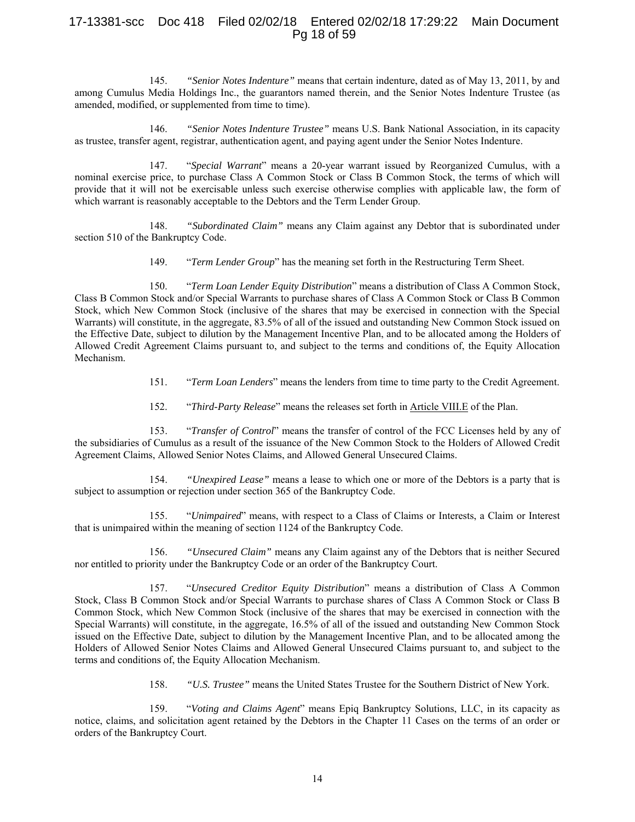# 17-13381-scc Doc 418 Filed 02/02/18 Entered 02/02/18 17:29:22 Main Document Pg 18 of 59

145. *"Senior Notes Indenture"* means that certain indenture, dated as of May 13, 2011, by and among Cumulus Media Holdings Inc., the guarantors named therein, and the Senior Notes Indenture Trustee (as amended, modified, or supplemented from time to time).

146. *"Senior Notes Indenture Trustee"* means U.S. Bank National Association, in its capacity as trustee, transfer agent, registrar, authentication agent, and paying agent under the Senior Notes Indenture.

147. "*Special Warrant*" means a 20-year warrant issued by Reorganized Cumulus, with a nominal exercise price, to purchase Class A Common Stock or Class B Common Stock, the terms of which will provide that it will not be exercisable unless such exercise otherwise complies with applicable law, the form of which warrant is reasonably acceptable to the Debtors and the Term Lender Group.

148. *"Subordinated Claim"* means any Claim against any Debtor that is subordinated under section 510 of the Bankruptcy Code.

149. "*Term Lender Group*" has the meaning set forth in the Restructuring Term Sheet.

150. "*Term Loan Lender Equity Distribution*" means a distribution of Class A Common Stock, Class B Common Stock and/or Special Warrants to purchase shares of Class A Common Stock or Class B Common Stock, which New Common Stock (inclusive of the shares that may be exercised in connection with the Special Warrants) will constitute, in the aggregate, 83.5% of all of the issued and outstanding New Common Stock issued on the Effective Date, subject to dilution by the Management Incentive Plan, and to be allocated among the Holders of Allowed Credit Agreement Claims pursuant to, and subject to the terms and conditions of, the Equity Allocation Mechanism.

- 151. "*Term Loan Lenders*" means the lenders from time to time party to the Credit Agreement.
- 152. "*Third-Party Release*" means the releases set forth in Article VIII.E of the Plan.

153. "*Transfer of Control*" means the transfer of control of the FCC Licenses held by any of the subsidiaries of Cumulus as a result of the issuance of the New Common Stock to the Holders of Allowed Credit Agreement Claims, Allowed Senior Notes Claims, and Allowed General Unsecured Claims.

154. *"Unexpired Lease"* means a lease to which one or more of the Debtors is a party that is subject to assumption or rejection under section 365 of the Bankruptcy Code.

155. "*Unimpaired*" means, with respect to a Class of Claims or Interests, a Claim or Interest that is unimpaired within the meaning of section 1124 of the Bankruptcy Code.

156. *"Unsecured Claim"* means any Claim against any of the Debtors that is neither Secured nor entitled to priority under the Bankruptcy Code or an order of the Bankruptcy Court.

157. "*Unsecured Creditor Equity Distribution*" means a distribution of Class A Common Stock, Class B Common Stock and/or Special Warrants to purchase shares of Class A Common Stock or Class B Common Stock, which New Common Stock (inclusive of the shares that may be exercised in connection with the Special Warrants) will constitute, in the aggregate, 16.5% of all of the issued and outstanding New Common Stock issued on the Effective Date, subject to dilution by the Management Incentive Plan, and to be allocated among the Holders of Allowed Senior Notes Claims and Allowed General Unsecured Claims pursuant to, and subject to the terms and conditions of, the Equity Allocation Mechanism.

158. *"U.S. Trustee"* means the United States Trustee for the Southern District of New York.

159. "*Voting and Claims Agent*" means Epiq Bankruptcy Solutions, LLC, in its capacity as notice, claims, and solicitation agent retained by the Debtors in the Chapter 11 Cases on the terms of an order or orders of the Bankruptcy Court.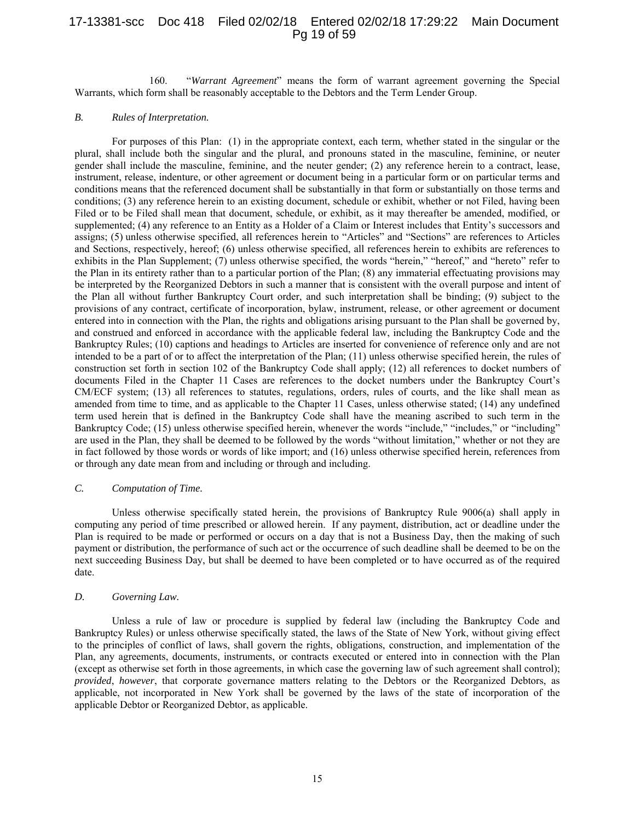## 17-13381-scc Doc 418 Filed 02/02/18 Entered 02/02/18 17:29:22 Main Document Pg 19 of 59

160. "*Warrant Agreement*" means the form of warrant agreement governing the Special Warrants, which form shall be reasonably acceptable to the Debtors and the Term Lender Group.

#### *B. Rules of Interpretation.*

For purposes of this Plan: (1) in the appropriate context, each term, whether stated in the singular or the plural, shall include both the singular and the plural, and pronouns stated in the masculine, feminine, or neuter gender shall include the masculine, feminine, and the neuter gender; (2) any reference herein to a contract, lease, instrument, release, indenture, or other agreement or document being in a particular form or on particular terms and conditions means that the referenced document shall be substantially in that form or substantially on those terms and conditions; (3) any reference herein to an existing document, schedule or exhibit, whether or not Filed, having been Filed or to be Filed shall mean that document, schedule, or exhibit, as it may thereafter be amended, modified, or supplemented; (4) any reference to an Entity as a Holder of a Claim or Interest includes that Entity's successors and assigns; (5) unless otherwise specified, all references herein to "Articles" and "Sections" are references to Articles and Sections, respectively, hereof; (6) unless otherwise specified, all references herein to exhibits are references to exhibits in the Plan Supplement; (7) unless otherwise specified, the words "herein," "hereof," and "hereto" refer to the Plan in its entirety rather than to a particular portion of the Plan; (8) any immaterial effectuating provisions may be interpreted by the Reorganized Debtors in such a manner that is consistent with the overall purpose and intent of the Plan all without further Bankruptcy Court order, and such interpretation shall be binding; (9) subject to the provisions of any contract, certificate of incorporation, bylaw, instrument, release, or other agreement or document entered into in connection with the Plan, the rights and obligations arising pursuant to the Plan shall be governed by, and construed and enforced in accordance with the applicable federal law, including the Bankruptcy Code and the Bankruptcy Rules; (10) captions and headings to Articles are inserted for convenience of reference only and are not intended to be a part of or to affect the interpretation of the Plan; (11) unless otherwise specified herein, the rules of construction set forth in section 102 of the Bankruptcy Code shall apply; (12) all references to docket numbers of documents Filed in the Chapter 11 Cases are references to the docket numbers under the Bankruptcy Court's CM/ECF system; (13) all references to statutes, regulations, orders, rules of courts, and the like shall mean as amended from time to time, and as applicable to the Chapter 11 Cases, unless otherwise stated; (14) any undefined term used herein that is defined in the Bankruptcy Code shall have the meaning ascribed to such term in the Bankruptcy Code; (15) unless otherwise specified herein, whenever the words "include," "includes," or "including" are used in the Plan, they shall be deemed to be followed by the words "without limitation," whether or not they are in fact followed by those words or words of like import; and (16) unless otherwise specified herein, references from or through any date mean from and including or through and including.

#### *C. Computation of Time.*

Unless otherwise specifically stated herein, the provisions of Bankruptcy Rule 9006(a) shall apply in computing any period of time prescribed or allowed herein. If any payment, distribution, act or deadline under the Plan is required to be made or performed or occurs on a day that is not a Business Day, then the making of such payment or distribution, the performance of such act or the occurrence of such deadline shall be deemed to be on the next succeeding Business Day, but shall be deemed to have been completed or to have occurred as of the required date.

## *D. Governing Law.*

Unless a rule of law or procedure is supplied by federal law (including the Bankruptcy Code and Bankruptcy Rules) or unless otherwise specifically stated, the laws of the State of New York, without giving effect to the principles of conflict of laws, shall govern the rights, obligations, construction, and implementation of the Plan, any agreements, documents, instruments, or contracts executed or entered into in connection with the Plan (except as otherwise set forth in those agreements, in which case the governing law of such agreement shall control); *provided*, *however*, that corporate governance matters relating to the Debtors or the Reorganized Debtors, as applicable, not incorporated in New York shall be governed by the laws of the state of incorporation of the applicable Debtor or Reorganized Debtor, as applicable.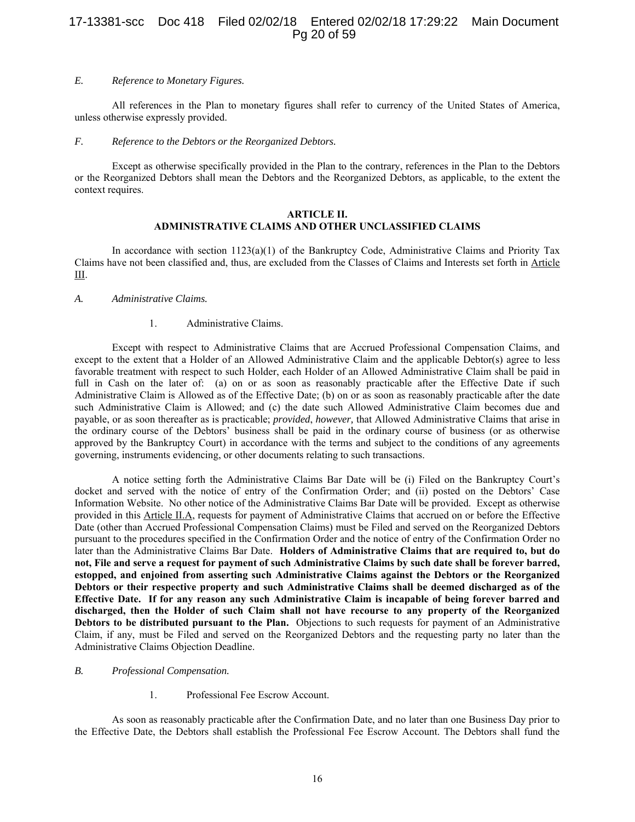# 17-13381-scc Doc 418 Filed 02/02/18 Entered 02/02/18 17:29:22 Main Document Pg 20 of 59

#### *E. Reference to Monetary Figures.*

All references in the Plan to monetary figures shall refer to currency of the United States of America, unless otherwise expressly provided.

#### *F. Reference to the Debtors or the Reorganized Debtors.*

Except as otherwise specifically provided in the Plan to the contrary, references in the Plan to the Debtors or the Reorganized Debtors shall mean the Debtors and the Reorganized Debtors, as applicable, to the extent the context requires.

#### **ARTICLE II. ADMINISTRATIVE CLAIMS AND OTHER UNCLASSIFIED CLAIMS**

In accordance with section  $1123(a)(1)$  of the Bankruptcy Code, Administrative Claims and Priority Tax Claims have not been classified and, thus, are excluded from the Classes of Claims and Interests set forth in Article III.

#### *A. Administrative Claims.*

#### 1. Administrative Claims.

Except with respect to Administrative Claims that are Accrued Professional Compensation Claims, and except to the extent that a Holder of an Allowed Administrative Claim and the applicable Debtor(s) agree to less favorable treatment with respect to such Holder, each Holder of an Allowed Administrative Claim shall be paid in full in Cash on the later of: (a) on or as soon as reasonably practicable after the Effective Date if such Administrative Claim is Allowed as of the Effective Date; (b) on or as soon as reasonably practicable after the date such Administrative Claim is Allowed; and (c) the date such Allowed Administrative Claim becomes due and payable, or as soon thereafter as is practicable; *provided*, *however,* that Allowed Administrative Claims that arise in the ordinary course of the Debtors' business shall be paid in the ordinary course of business (or as otherwise approved by the Bankruptcy Court) in accordance with the terms and subject to the conditions of any agreements governing, instruments evidencing, or other documents relating to such transactions.

A notice setting forth the Administrative Claims Bar Date will be (i) Filed on the Bankruptcy Court's docket and served with the notice of entry of the Confirmation Order; and (ii) posted on the Debtors' Case Information Website. No other notice of the Administrative Claims Bar Date will be provided. Except as otherwise provided in this Article II.A, requests for payment of Administrative Claims that accrued on or before the Effective Date (other than Accrued Professional Compensation Claims) must be Filed and served on the Reorganized Debtors pursuant to the procedures specified in the Confirmation Order and the notice of entry of the Confirmation Order no later than the Administrative Claims Bar Date. **Holders of Administrative Claims that are required to, but do not, File and serve a request for payment of such Administrative Claims by such date shall be forever barred, estopped, and enjoined from asserting such Administrative Claims against the Debtors or the Reorganized Debtors or their respective property and such Administrative Claims shall be deemed discharged as of the Effective Date. If for any reason any such Administrative Claim is incapable of being forever barred and discharged, then the Holder of such Claim shall not have recourse to any property of the Reorganized Debtors to be distributed pursuant to the Plan.** Objections to such requests for payment of an Administrative Claim, if any, must be Filed and served on the Reorganized Debtors and the requesting party no later than the Administrative Claims Objection Deadline.

#### *B. Professional Compensation.*

1. Professional Fee Escrow Account.

As soon as reasonably practicable after the Confirmation Date, and no later than one Business Day prior to the Effective Date, the Debtors shall establish the Professional Fee Escrow Account. The Debtors shall fund the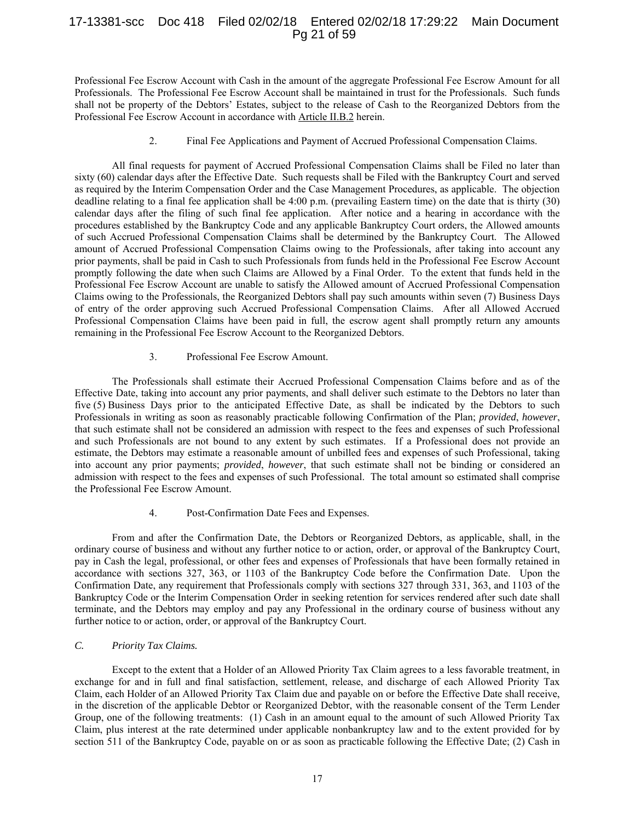## 17-13381-scc Doc 418 Filed 02/02/18 Entered 02/02/18 17:29:22 Main Document Pg 21 of 59

Professional Fee Escrow Account with Cash in the amount of the aggregate Professional Fee Escrow Amount for all Professionals. The Professional Fee Escrow Account shall be maintained in trust for the Professionals. Such funds shall not be property of the Debtors' Estates, subject to the release of Cash to the Reorganized Debtors from the Professional Fee Escrow Account in accordance with Article II.B.2 herein.

#### 2. Final Fee Applications and Payment of Accrued Professional Compensation Claims.

All final requests for payment of Accrued Professional Compensation Claims shall be Filed no later than sixty (60) calendar days after the Effective Date. Such requests shall be Filed with the Bankruptcy Court and served as required by the Interim Compensation Order and the Case Management Procedures, as applicable. The objection deadline relating to a final fee application shall be 4:00 p.m. (prevailing Eastern time) on the date that is thirty (30) calendar days after the filing of such final fee application. After notice and a hearing in accordance with the procedures established by the Bankruptcy Code and any applicable Bankruptcy Court orders, the Allowed amounts of such Accrued Professional Compensation Claims shall be determined by the Bankruptcy Court. The Allowed amount of Accrued Professional Compensation Claims owing to the Professionals, after taking into account any prior payments, shall be paid in Cash to such Professionals from funds held in the Professional Fee Escrow Account promptly following the date when such Claims are Allowed by a Final Order. To the extent that funds held in the Professional Fee Escrow Account are unable to satisfy the Allowed amount of Accrued Professional Compensation Claims owing to the Professionals, the Reorganized Debtors shall pay such amounts within seven (7) Business Days of entry of the order approving such Accrued Professional Compensation Claims. After all Allowed Accrued Professional Compensation Claims have been paid in full, the escrow agent shall promptly return any amounts remaining in the Professional Fee Escrow Account to the Reorganized Debtors.

#### 3. Professional Fee Escrow Amount.

The Professionals shall estimate their Accrued Professional Compensation Claims before and as of the Effective Date, taking into account any prior payments, and shall deliver such estimate to the Debtors no later than five (5) Business Days prior to the anticipated Effective Date, as shall be indicated by the Debtors to such Professionals in writing as soon as reasonably practicable following Confirmation of the Plan; *provided*, *however*, that such estimate shall not be considered an admission with respect to the fees and expenses of such Professional and such Professionals are not bound to any extent by such estimates. If a Professional does not provide an estimate, the Debtors may estimate a reasonable amount of unbilled fees and expenses of such Professional, taking into account any prior payments; *provided*, *however*, that such estimate shall not be binding or considered an admission with respect to the fees and expenses of such Professional. The total amount so estimated shall comprise the Professional Fee Escrow Amount.

#### 4. Post-Confirmation Date Fees and Expenses.

From and after the Confirmation Date, the Debtors or Reorganized Debtors, as applicable, shall, in the ordinary course of business and without any further notice to or action, order, or approval of the Bankruptcy Court, pay in Cash the legal, professional, or other fees and expenses of Professionals that have been formally retained in accordance with sections 327, 363, or 1103 of the Bankruptcy Code before the Confirmation Date. Upon the Confirmation Date, any requirement that Professionals comply with sections 327 through 331, 363, and 1103 of the Bankruptcy Code or the Interim Compensation Order in seeking retention for services rendered after such date shall terminate, and the Debtors may employ and pay any Professional in the ordinary course of business without any further notice to or action, order, or approval of the Bankruptcy Court.

## *C. Priority Tax Claims.*

Except to the extent that a Holder of an Allowed Priority Tax Claim agrees to a less favorable treatment, in exchange for and in full and final satisfaction, settlement, release, and discharge of each Allowed Priority Tax Claim, each Holder of an Allowed Priority Tax Claim due and payable on or before the Effective Date shall receive, in the discretion of the applicable Debtor or Reorganized Debtor, with the reasonable consent of the Term Lender Group, one of the following treatments: (1) Cash in an amount equal to the amount of such Allowed Priority Tax Claim, plus interest at the rate determined under applicable nonbankruptcy law and to the extent provided for by section 511 of the Bankruptcy Code, payable on or as soon as practicable following the Effective Date; (2) Cash in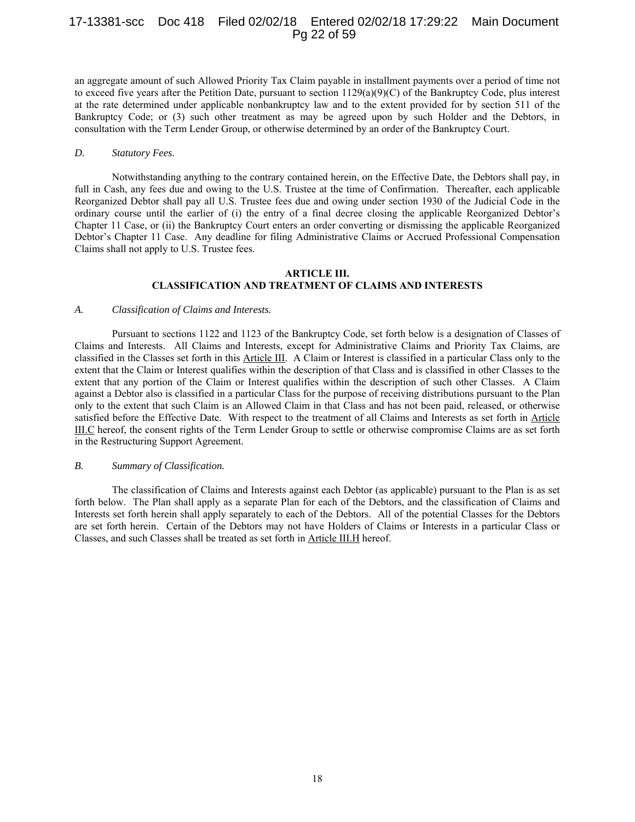## 17-13381-scc Doc 418 Filed 02/02/18 Entered 02/02/18 17:29:22 Main Document Pg 22 of 59

an aggregate amount of such Allowed Priority Tax Claim payable in installment payments over a period of time not to exceed five years after the Petition Date, pursuant to section  $1129(a)(9)(C)$  of the Bankruptcy Code, plus interest at the rate determined under applicable nonbankruptcy law and to the extent provided for by section 511 of the Bankruptcy Code; or (3) such other treatment as may be agreed upon by such Holder and the Debtors, in consultation with the Term Lender Group, or otherwise determined by an order of the Bankruptcy Court.

#### *D. Statutory Fees.*

Notwithstanding anything to the contrary contained herein, on the Effective Date, the Debtors shall pay, in full in Cash, any fees due and owing to the U.S. Trustee at the time of Confirmation. Thereafter, each applicable Reorganized Debtor shall pay all U.S. Trustee fees due and owing under section 1930 of the Judicial Code in the ordinary course until the earlier of (i) the entry of a final decree closing the applicable Reorganized Debtor's Chapter 11 Case, or (ii) the Bankruptcy Court enters an order converting or dismissing the applicable Reorganized Debtor's Chapter 11 Case. Any deadline for filing Administrative Claims or Accrued Professional Compensation Claims shall not apply to U.S. Trustee fees.

#### **ARTICLE III. CLASSIFICATION AND TREATMENT OF CLAIMS AND INTERESTS**

#### *A. Classification of Claims and Interests.*

Pursuant to sections 1122 and 1123 of the Bankruptcy Code, set forth below is a designation of Classes of Claims and Interests. All Claims and Interests, except for Administrative Claims and Priority Tax Claims, are classified in the Classes set forth in this Article III. A Claim or Interest is classified in a particular Class only to the extent that the Claim or Interest qualifies within the description of that Class and is classified in other Classes to the extent that any portion of the Claim or Interest qualifies within the description of such other Classes. A Claim against a Debtor also is classified in a particular Class for the purpose of receiving distributions pursuant to the Plan only to the extent that such Claim is an Allowed Claim in that Class and has not been paid, released, or otherwise satisfied before the Effective Date. With respect to the treatment of all Claims and Interests as set forth in Article III.C hereof, the consent rights of the Term Lender Group to settle or otherwise compromise Claims are as set forth in the Restructuring Support Agreement.

#### *B. Summary of Classification.*

The classification of Claims and Interests against each Debtor (as applicable) pursuant to the Plan is as set forth below. The Plan shall apply as a separate Plan for each of the Debtors, and the classification of Claims and Interests set forth herein shall apply separately to each of the Debtors. All of the potential Classes for the Debtors are set forth herein. Certain of the Debtors may not have Holders of Claims or Interests in a particular Class or Classes, and such Classes shall be treated as set forth in Article III.H hereof.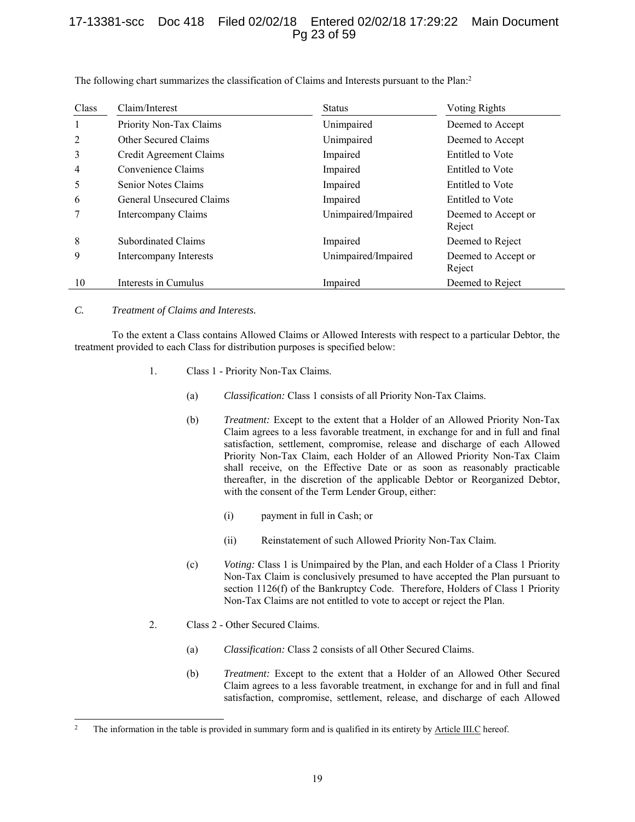# 17-13381-scc Doc 418 Filed 02/02/18 Entered 02/02/18 17:29:22 Main Document Pg 23 of 59

| Class | Claim/Interest           | <b>Status</b>       | <b>Voting Rights</b>          |
|-------|--------------------------|---------------------|-------------------------------|
|       | Priority Non-Tax Claims  | Unimpaired          | Deemed to Accept              |
| 2     | Other Secured Claims     | Unimpaired          | Deemed to Accept              |
| 3     | Credit Agreement Claims  | Impaired            | Entitled to Vote              |
| 4     | Convenience Claims       | Impaired            | Entitled to Vote              |
| 5     | Senior Notes Claims      | Impaired            | Entitled to Vote              |
| 6     | General Unsecured Claims | Impaired            | Entitled to Vote              |
|       | Intercompany Claims      | Unimpaired/Impaired | Deemed to Accept or<br>Reject |
| 8     | Subordinated Claims      | Impaired            | Deemed to Reject              |
| 9     | Intercompany Interests   | Unimpaired/Impaired | Deemed to Accept or<br>Reject |
| 10    | Interests in Cumulus     | Impaired            | Deemed to Reject              |

The following chart summarizes the classification of Claims and Interests pursuant to the Plan:<sup>2</sup>

#### *C. Treatment of Claims and Interests.*

-

To the extent a Class contains Allowed Claims or Allowed Interests with respect to a particular Debtor, the treatment provided to each Class for distribution purposes is specified below:

- 1. Class 1 Priority Non-Tax Claims.
	- (a) *Classification:* Class 1 consists of all Priority Non-Tax Claims.
	- (b) *Treatment:* Except to the extent that a Holder of an Allowed Priority Non-Tax Claim agrees to a less favorable treatment, in exchange for and in full and final satisfaction, settlement, compromise, release and discharge of each Allowed Priority Non-Tax Claim, each Holder of an Allowed Priority Non-Tax Claim shall receive, on the Effective Date or as soon as reasonably practicable thereafter, in the discretion of the applicable Debtor or Reorganized Debtor, with the consent of the Term Lender Group, either:
		- (i) payment in full in Cash; or
		- (ii) Reinstatement of such Allowed Priority Non-Tax Claim.
	- (c) *Voting:* Class 1 is Unimpaired by the Plan, and each Holder of a Class 1 Priority Non-Tax Claim is conclusively presumed to have accepted the Plan pursuant to section 1126(f) of the Bankruptcy Code. Therefore, Holders of Class 1 Priority Non-Tax Claims are not entitled to vote to accept or reject the Plan.
- 2. Class 2 Other Secured Claims.
	- (a) *Classification:* Class 2 consists of all Other Secured Claims.
	- (b) *Treatment:* Except to the extent that a Holder of an Allowed Other Secured Claim agrees to a less favorable treatment, in exchange for and in full and final satisfaction, compromise, settlement, release, and discharge of each Allowed

<sup>&</sup>lt;sup>2</sup> The information in the table is provided in summary form and is qualified in its entirety by Article III.C hereof.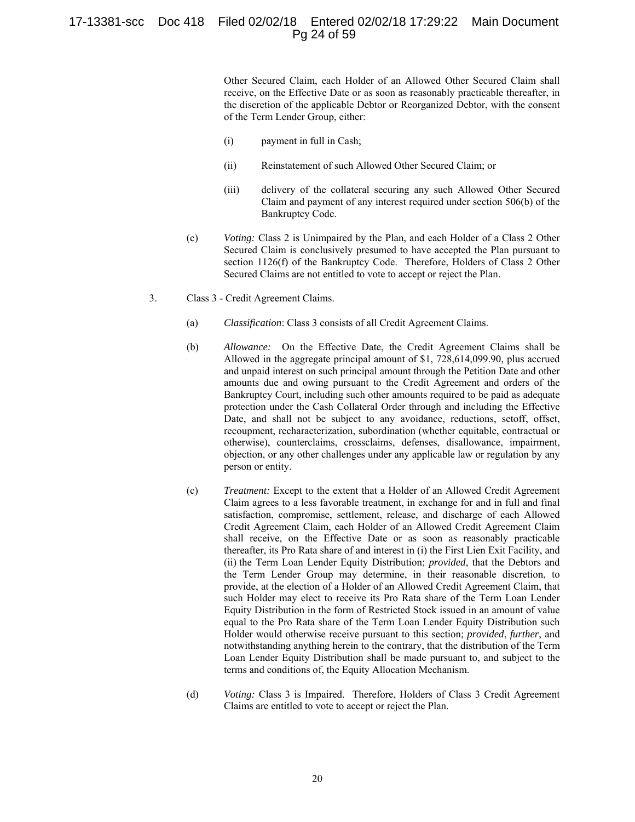# 17-13381-scc Doc 418 Filed 02/02/18 Entered 02/02/18 17:29:22 Main Document Pg 24 of 59

Other Secured Claim, each Holder of an Allowed Other Secured Claim shall receive, on the Effective Date or as soon as reasonably practicable thereafter, in the discretion of the applicable Debtor or Reorganized Debtor, with the consent of the Term Lender Group, either:

- (i) payment in full in Cash;
- (ii) Reinstatement of such Allowed Other Secured Claim; or
- (iii) delivery of the collateral securing any such Allowed Other Secured Claim and payment of any interest required under section 506(b) of the Bankruptcy Code.
- (c) *Voting:* Class 2 is Unimpaired by the Plan, and each Holder of a Class 2 Other Secured Claim is conclusively presumed to have accepted the Plan pursuant to section 1126(f) of the Bankruptcy Code. Therefore, Holders of Class 2 Other Secured Claims are not entitled to vote to accept or reject the Plan.
- 3. Class 3 Credit Agreement Claims.
	- (a) *Classification*: Class 3 consists of all Credit Agreement Claims.
	- (b) *Allowance:* On the Effective Date, the Credit Agreement Claims shall be Allowed in the aggregate principal amount of \$1, 728,614,099.90, plus accrued and unpaid interest on such principal amount through the Petition Date and other amounts due and owing pursuant to the Credit Agreement and orders of the Bankruptcy Court, including such other amounts required to be paid as adequate protection under the Cash Collateral Order through and including the Effective Date, and shall not be subject to any avoidance, reductions, setoff, offset, recoupment, recharacterization, subordination (whether equitable, contractual or otherwise), counterclaims, crossclaims, defenses, disallowance, impairment, objection, or any other challenges under any applicable law or regulation by any person or entity.
	- (c) *Treatment:* Except to the extent that a Holder of an Allowed Credit Agreement Claim agrees to a less favorable treatment, in exchange for and in full and final satisfaction, compromise, settlement, release, and discharge of each Allowed Credit Agreement Claim, each Holder of an Allowed Credit Agreement Claim shall receive, on the Effective Date or as soon as reasonably practicable thereafter, its Pro Rata share of and interest in (i) the First Lien Exit Facility, and (ii) the Term Loan Lender Equity Distribution; *provided*, that the Debtors and the Term Lender Group may determine, in their reasonable discretion, to provide, at the election of a Holder of an Allowed Credit Agreement Claim, that such Holder may elect to receive its Pro Rata share of the Term Loan Lender Equity Distribution in the form of Restricted Stock issued in an amount of value equal to the Pro Rata share of the Term Loan Lender Equity Distribution such Holder would otherwise receive pursuant to this section; *provided*, *further*, and notwithstanding anything herein to the contrary, that the distribution of the Term Loan Lender Equity Distribution shall be made pursuant to, and subject to the terms and conditions of, the Equity Allocation Mechanism.
	- (d) *Voting:* Class 3 is Impaired. Therefore, Holders of Class 3 Credit Agreement Claims are entitled to vote to accept or reject the Plan.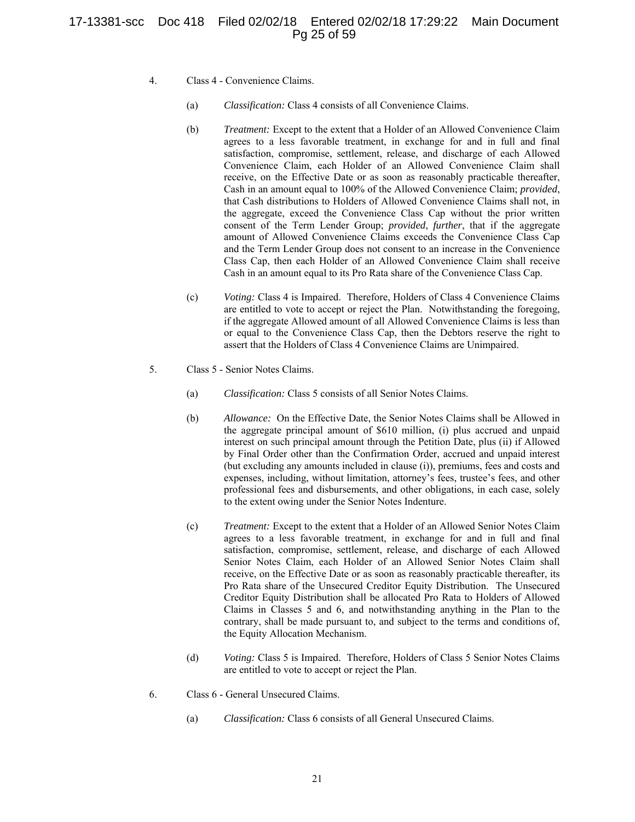# 17-13381-scc Doc 418 Filed 02/02/18 Entered 02/02/18 17:29:22 Main Document Pg 25 of 59

- 4. Class 4 Convenience Claims.
	- (a) *Classification:* Class 4 consists of all Convenience Claims.
	- (b) *Treatment:* Except to the extent that a Holder of an Allowed Convenience Claim agrees to a less favorable treatment, in exchange for and in full and final satisfaction, compromise, settlement, release, and discharge of each Allowed Convenience Claim, each Holder of an Allowed Convenience Claim shall receive, on the Effective Date or as soon as reasonably practicable thereafter, Cash in an amount equal to 100% of the Allowed Convenience Claim; *provided*, that Cash distributions to Holders of Allowed Convenience Claims shall not, in the aggregate, exceed the Convenience Class Cap without the prior written consent of the Term Lender Group; *provided*, *further*, that if the aggregate amount of Allowed Convenience Claims exceeds the Convenience Class Cap and the Term Lender Group does not consent to an increase in the Convenience Class Cap, then each Holder of an Allowed Convenience Claim shall receive Cash in an amount equal to its Pro Rata share of the Convenience Class Cap.
	- (c) *Voting:* Class 4 is Impaired. Therefore, Holders of Class 4 Convenience Claims are entitled to vote to accept or reject the Plan. Notwithstanding the foregoing, if the aggregate Allowed amount of all Allowed Convenience Claims is less than or equal to the Convenience Class Cap, then the Debtors reserve the right to assert that the Holders of Class 4 Convenience Claims are Unimpaired.
- 5. Class 5 Senior Notes Claims.
	- (a) *Classification:* Class 5 consists of all Senior Notes Claims.
	- (b) *Allowance:* On the Effective Date, the Senior Notes Claims shall be Allowed in the aggregate principal amount of \$610 million, (i) plus accrued and unpaid interest on such principal amount through the Petition Date, plus (ii) if Allowed by Final Order other than the Confirmation Order, accrued and unpaid interest (but excluding any amounts included in clause (i)), premiums, fees and costs and expenses, including, without limitation, attorney's fees, trustee's fees, and other professional fees and disbursements, and other obligations, in each case, solely to the extent owing under the Senior Notes Indenture.
	- (c) *Treatment:* Except to the extent that a Holder of an Allowed Senior Notes Claim agrees to a less favorable treatment, in exchange for and in full and final satisfaction, compromise, settlement, release, and discharge of each Allowed Senior Notes Claim, each Holder of an Allowed Senior Notes Claim shall receive, on the Effective Date or as soon as reasonably practicable thereafter, its Pro Rata share of the Unsecured Creditor Equity Distribution. The Unsecured Creditor Equity Distribution shall be allocated Pro Rata to Holders of Allowed Claims in Classes 5 and 6, and notwithstanding anything in the Plan to the contrary, shall be made pursuant to, and subject to the terms and conditions of, the Equity Allocation Mechanism.
	- (d) *Voting:* Class 5 is Impaired. Therefore, Holders of Class 5 Senior Notes Claims are entitled to vote to accept or reject the Plan.
- 6. Class 6 General Unsecured Claims.
	- (a) *Classification:* Class 6 consists of all General Unsecured Claims.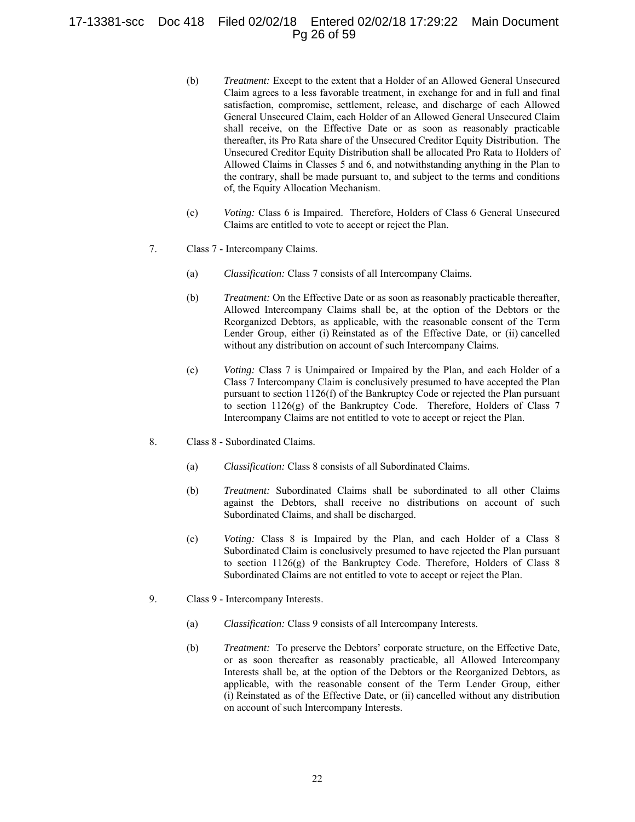# 17-13381-scc Doc 418 Filed 02/02/18 Entered 02/02/18 17:29:22 Main Document Pg 26 of 59

- (b) *Treatment:* Except to the extent that a Holder of an Allowed General Unsecured Claim agrees to a less favorable treatment, in exchange for and in full and final satisfaction, compromise, settlement, release, and discharge of each Allowed General Unsecured Claim, each Holder of an Allowed General Unsecured Claim shall receive, on the Effective Date or as soon as reasonably practicable thereafter, its Pro Rata share of the Unsecured Creditor Equity Distribution. The Unsecured Creditor Equity Distribution shall be allocated Pro Rata to Holders of Allowed Claims in Classes 5 and 6, and notwithstanding anything in the Plan to the contrary, shall be made pursuant to, and subject to the terms and conditions of, the Equity Allocation Mechanism.
- (c) *Voting:* Class 6 is Impaired. Therefore, Holders of Class 6 General Unsecured Claims are entitled to vote to accept or reject the Plan.
- 7. Class 7 Intercompany Claims.
	- (a) *Classification:* Class 7 consists of all Intercompany Claims.
	- (b) *Treatment:* On the Effective Date or as soon as reasonably practicable thereafter, Allowed Intercompany Claims shall be, at the option of the Debtors or the Reorganized Debtors, as applicable, with the reasonable consent of the Term Lender Group, either (i) Reinstated as of the Effective Date, or (ii) cancelled without any distribution on account of such Intercompany Claims.
	- (c) *Voting:* Class 7 is Unimpaired or Impaired by the Plan, and each Holder of a Class 7 Intercompany Claim is conclusively presumed to have accepted the Plan pursuant to section 1126(f) of the Bankruptcy Code or rejected the Plan pursuant to section 1126(g) of the Bankruptcy Code. Therefore, Holders of Class 7 Intercompany Claims are not entitled to vote to accept or reject the Plan.
- 8. Class 8 Subordinated Claims.
	- (a) *Classification:* Class 8 consists of all Subordinated Claims.
	- (b) *Treatment:* Subordinated Claims shall be subordinated to all other Claims against the Debtors, shall receive no distributions on account of such Subordinated Claims, and shall be discharged.
	- (c) *Voting:* Class 8 is Impaired by the Plan, and each Holder of a Class 8 Subordinated Claim is conclusively presumed to have rejected the Plan pursuant to section 1126(g) of the Bankruptcy Code. Therefore, Holders of Class 8 Subordinated Claims are not entitled to vote to accept or reject the Plan.
- 9. Class 9 Intercompany Interests.
	- (a) *Classification:* Class 9 consists of all Intercompany Interests.
	- (b) *Treatment:* To preserve the Debtors' corporate structure, on the Effective Date, or as soon thereafter as reasonably practicable, all Allowed Intercompany Interests shall be, at the option of the Debtors or the Reorganized Debtors, as applicable, with the reasonable consent of the Term Lender Group, either (i) Reinstated as of the Effective Date, or (ii) cancelled without any distribution on account of such Intercompany Interests.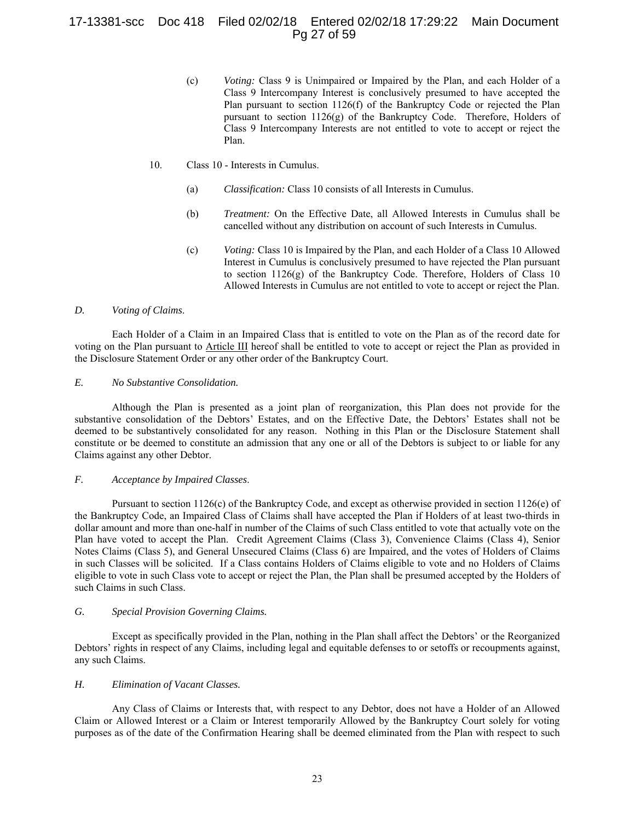# 17-13381-scc Doc 418 Filed 02/02/18 Entered 02/02/18 17:29:22 Main Document Pg 27 of 59

(c) *Voting:* Class 9 is Unimpaired or Impaired by the Plan, and each Holder of a Class 9 Intercompany Interest is conclusively presumed to have accepted the Plan pursuant to section 1126(f) of the Bankruptcy Code or rejected the Plan pursuant to section 1126(g) of the Bankruptcy Code. Therefore, Holders of Class 9 Intercompany Interests are not entitled to vote to accept or reject the Plan.

#### 10. Class 10 - Interests in Cumulus.

- (a) *Classification:* Class 10 consists of all Interests in Cumulus.
- (b) *Treatment:* On the Effective Date, all Allowed Interests in Cumulus shall be cancelled without any distribution on account of such Interests in Cumulus.
- (c) *Voting:* Class 10 is Impaired by the Plan, and each Holder of a Class 10 Allowed Interest in Cumulus is conclusively presumed to have rejected the Plan pursuant to section 1126(g) of the Bankruptcy Code. Therefore, Holders of Class 10 Allowed Interests in Cumulus are not entitled to vote to accept or reject the Plan.

#### *D. Voting of Claims*.

Each Holder of a Claim in an Impaired Class that is entitled to vote on the Plan as of the record date for voting on the Plan pursuant to Article III hereof shall be entitled to vote to accept or reject the Plan as provided in the Disclosure Statement Order or any other order of the Bankruptcy Court.

## *E. No Substantive Consolidation.*

Although the Plan is presented as a joint plan of reorganization, this Plan does not provide for the substantive consolidation of the Debtors' Estates, and on the Effective Date, the Debtors' Estates shall not be deemed to be substantively consolidated for any reason. Nothing in this Plan or the Disclosure Statement shall constitute or be deemed to constitute an admission that any one or all of the Debtors is subject to or liable for any Claims against any other Debtor.

#### *F. Acceptance by Impaired Classes*.

Pursuant to section 1126(c) of the Bankruptcy Code, and except as otherwise provided in section 1126(e) of the Bankruptcy Code, an Impaired Class of Claims shall have accepted the Plan if Holders of at least two-thirds in dollar amount and more than one-half in number of the Claims of such Class entitled to vote that actually vote on the Plan have voted to accept the Plan. Credit Agreement Claims (Class 3), Convenience Claims (Class 4), Senior Notes Claims (Class 5), and General Unsecured Claims (Class 6) are Impaired, and the votes of Holders of Claims in such Classes will be solicited. If a Class contains Holders of Claims eligible to vote and no Holders of Claims eligible to vote in such Class vote to accept or reject the Plan, the Plan shall be presumed accepted by the Holders of such Claims in such Class.

#### *G. Special Provision Governing Claims.*

Except as specifically provided in the Plan, nothing in the Plan shall affect the Debtors' or the Reorganized Debtors' rights in respect of any Claims, including legal and equitable defenses to or setoffs or recoupments against, any such Claims.

## *H. Elimination of Vacant Classes.*

Any Class of Claims or Interests that, with respect to any Debtor, does not have a Holder of an Allowed Claim or Allowed Interest or a Claim or Interest temporarily Allowed by the Bankruptcy Court solely for voting purposes as of the date of the Confirmation Hearing shall be deemed eliminated from the Plan with respect to such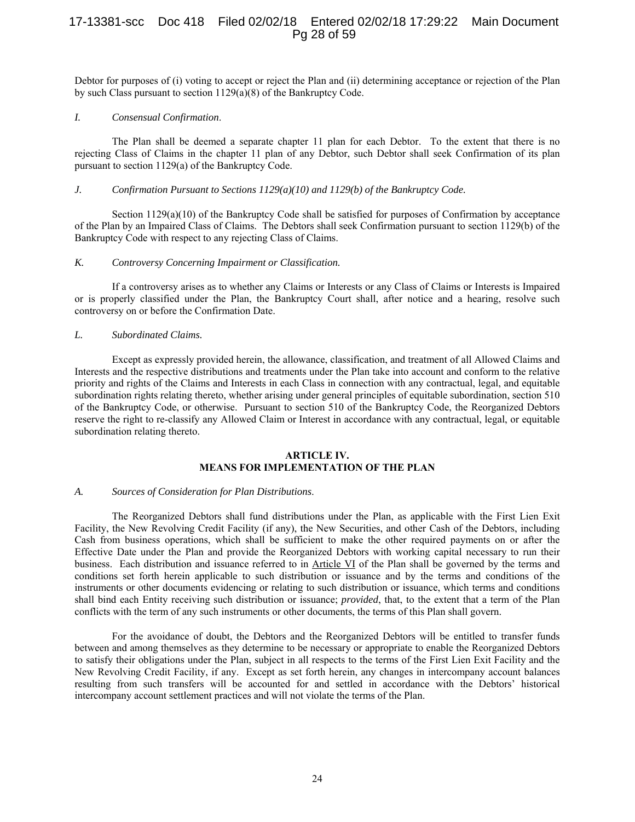# 17-13381-scc Doc 418 Filed 02/02/18 Entered 02/02/18 17:29:22 Main Document Pg 28 of 59

Debtor for purposes of (i) voting to accept or reject the Plan and (ii) determining acceptance or rejection of the Plan by such Class pursuant to section 1129(a)(8) of the Bankruptcy Code.

#### *I. Consensual Confirmation*.

The Plan shall be deemed a separate chapter 11 plan for each Debtor. To the extent that there is no rejecting Class of Claims in the chapter 11 plan of any Debtor, such Debtor shall seek Confirmation of its plan pursuant to section 1129(a) of the Bankruptcy Code.

#### *J. Confirmation Pursuant to Sections 1129(a)(10) and 1129(b) of the Bankruptcy Code.*

Section  $1129(a)(10)$  of the Bankruptcy Code shall be satisfied for purposes of Confirmation by acceptance of the Plan by an Impaired Class of Claims. The Debtors shall seek Confirmation pursuant to section 1129(b) of the Bankruptcy Code with respect to any rejecting Class of Claims.

#### *K. Controversy Concerning Impairment or Classification.*

If a controversy arises as to whether any Claims or Interests or any Class of Claims or Interests is Impaired or is properly classified under the Plan, the Bankruptcy Court shall, after notice and a hearing, resolve such controversy on or before the Confirmation Date.

#### *L. Subordinated Claims.*

Except as expressly provided herein, the allowance, classification, and treatment of all Allowed Claims and Interests and the respective distributions and treatments under the Plan take into account and conform to the relative priority and rights of the Claims and Interests in each Class in connection with any contractual, legal, and equitable subordination rights relating thereto, whether arising under general principles of equitable subordination, section 510 of the Bankruptcy Code, or otherwise. Pursuant to section 510 of the Bankruptcy Code, the Reorganized Debtors reserve the right to re-classify any Allowed Claim or Interest in accordance with any contractual, legal, or equitable subordination relating thereto.

#### **ARTICLE IV. MEANS FOR IMPLEMENTATION OF THE PLAN**

#### *A. Sources of Consideration for Plan Distributions*.

The Reorganized Debtors shall fund distributions under the Plan, as applicable with the First Lien Exit Facility, the New Revolving Credit Facility (if any), the New Securities, and other Cash of the Debtors, including Cash from business operations, which shall be sufficient to make the other required payments on or after the Effective Date under the Plan and provide the Reorganized Debtors with working capital necessary to run their business. Each distribution and issuance referred to in Article VI of the Plan shall be governed by the terms and conditions set forth herein applicable to such distribution or issuance and by the terms and conditions of the instruments or other documents evidencing or relating to such distribution or issuance, which terms and conditions shall bind each Entity receiving such distribution or issuance; *provided*, that, to the extent that a term of the Plan conflicts with the term of any such instruments or other documents, the terms of this Plan shall govern.

For the avoidance of doubt, the Debtors and the Reorganized Debtors will be entitled to transfer funds between and among themselves as they determine to be necessary or appropriate to enable the Reorganized Debtors to satisfy their obligations under the Plan, subject in all respects to the terms of the First Lien Exit Facility and the New Revolving Credit Facility, if any. Except as set forth herein, any changes in intercompany account balances resulting from such transfers will be accounted for and settled in accordance with the Debtors' historical intercompany account settlement practices and will not violate the terms of the Plan.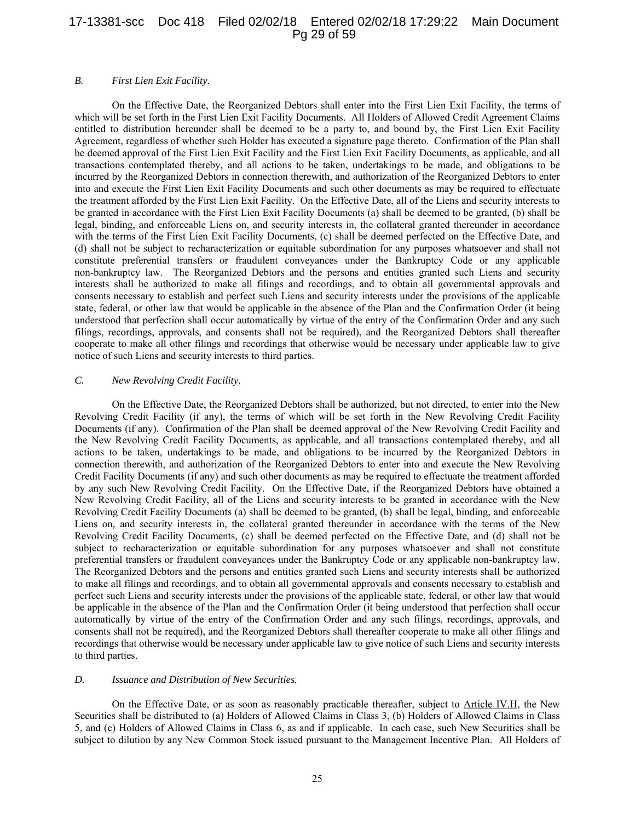## 17-13381-scc Doc 418 Filed 02/02/18 Entered 02/02/18 17:29:22 Main Document Pg 29 of 59

#### *B. First Lien Exit Facility.*

On the Effective Date, the Reorganized Debtors shall enter into the First Lien Exit Facility, the terms of which will be set forth in the First Lien Exit Facility Documents. All Holders of Allowed Credit Agreement Claims entitled to distribution hereunder shall be deemed to be a party to, and bound by, the First Lien Exit Facility Agreement, regardless of whether such Holder has executed a signature page thereto. Confirmation of the Plan shall be deemed approval of the First Lien Exit Facility and the First Lien Exit Facility Documents, as applicable, and all transactions contemplated thereby, and all actions to be taken, undertakings to be made, and obligations to be incurred by the Reorganized Debtors in connection therewith, and authorization of the Reorganized Debtors to enter into and execute the First Lien Exit Facility Documents and such other documents as may be required to effectuate the treatment afforded by the First Lien Exit Facility. On the Effective Date, all of the Liens and security interests to be granted in accordance with the First Lien Exit Facility Documents (a) shall be deemed to be granted, (b) shall be legal, binding, and enforceable Liens on, and security interests in, the collateral granted thereunder in accordance with the terms of the First Lien Exit Facility Documents, (c) shall be deemed perfected on the Effective Date, and (d) shall not be subject to recharacterization or equitable subordination for any purposes whatsoever and shall not constitute preferential transfers or fraudulent conveyances under the Bankruptcy Code or any applicable non-bankruptcy law. The Reorganized Debtors and the persons and entities granted such Liens and security interests shall be authorized to make all filings and recordings, and to obtain all governmental approvals and consents necessary to establish and perfect such Liens and security interests under the provisions of the applicable state, federal, or other law that would be applicable in the absence of the Plan and the Confirmation Order (it being understood that perfection shall occur automatically by virtue of the entry of the Confirmation Order and any such filings, recordings, approvals, and consents shall not be required), and the Reorganized Debtors shall thereafter cooperate to make all other filings and recordings that otherwise would be necessary under applicable law to give notice of such Liens and security interests to third parties.

#### *C. New Revolving Credit Facility.*

On the Effective Date, the Reorganized Debtors shall be authorized, but not directed, to enter into the New Revolving Credit Facility (if any), the terms of which will be set forth in the New Revolving Credit Facility Documents (if any). Confirmation of the Plan shall be deemed approval of the New Revolving Credit Facility and the New Revolving Credit Facility Documents, as applicable, and all transactions contemplated thereby, and all actions to be taken, undertakings to be made, and obligations to be incurred by the Reorganized Debtors in connection therewith, and authorization of the Reorganized Debtors to enter into and execute the New Revolving Credit Facility Documents (if any) and such other documents as may be required to effectuate the treatment afforded by any such New Revolving Credit Facility. On the Effective Date, if the Reorganized Debtors have obtained a New Revolving Credit Facility, all of the Liens and security interests to be granted in accordance with the New Revolving Credit Facility Documents (a) shall be deemed to be granted, (b) shall be legal, binding, and enforceable Liens on, and security interests in, the collateral granted thereunder in accordance with the terms of the New Revolving Credit Facility Documents, (c) shall be deemed perfected on the Effective Date, and (d) shall not be subject to recharacterization or equitable subordination for any purposes whatsoever and shall not constitute preferential transfers or fraudulent conveyances under the Bankruptcy Code or any applicable non-bankruptcy law. The Reorganized Debtors and the persons and entities granted such Liens and security interests shall be authorized to make all filings and recordings, and to obtain all governmental approvals and consents necessary to establish and perfect such Liens and security interests under the provisions of the applicable state, federal, or other law that would be applicable in the absence of the Plan and the Confirmation Order (it being understood that perfection shall occur automatically by virtue of the entry of the Confirmation Order and any such filings, recordings, approvals, and consents shall not be required), and the Reorganized Debtors shall thereafter cooperate to make all other filings and recordings that otherwise would be necessary under applicable law to give notice of such Liens and security interests to third parties.

#### *D. Issuance and Distribution of New Securities.*

On the Effective Date, or as soon as reasonably practicable thereafter, subject to Article IV.H, the New Securities shall be distributed to (a) Holders of Allowed Claims in Class 3, (b) Holders of Allowed Claims in Class 5, and (c) Holders of Allowed Claims in Class 6, as and if applicable. In each case, such New Securities shall be subject to dilution by any New Common Stock issued pursuant to the Management Incentive Plan. All Holders of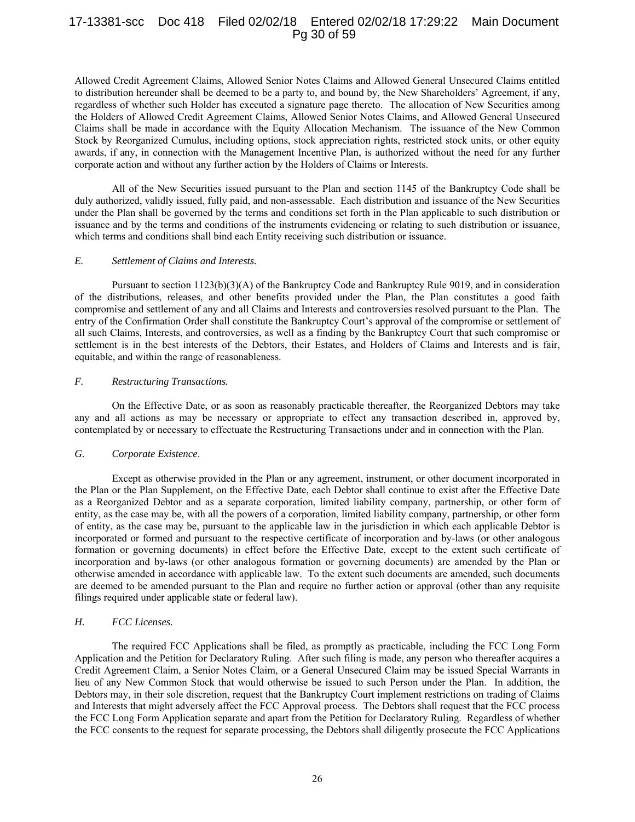## 17-13381-scc Doc 418 Filed 02/02/18 Entered 02/02/18 17:29:22 Main Document Pg 30 of 59

Allowed Credit Agreement Claims, Allowed Senior Notes Claims and Allowed General Unsecured Claims entitled to distribution hereunder shall be deemed to be a party to, and bound by, the New Shareholders' Agreement, if any, regardless of whether such Holder has executed a signature page thereto. The allocation of New Securities among the Holders of Allowed Credit Agreement Claims, Allowed Senior Notes Claims, and Allowed General Unsecured Claims shall be made in accordance with the Equity Allocation Mechanism. The issuance of the New Common Stock by Reorganized Cumulus, including options, stock appreciation rights, restricted stock units, or other equity awards, if any, in connection with the Management Incentive Plan, is authorized without the need for any further corporate action and without any further action by the Holders of Claims or Interests.

All of the New Securities issued pursuant to the Plan and section 1145 of the Bankruptcy Code shall be duly authorized, validly issued, fully paid, and non-assessable. Each distribution and issuance of the New Securities under the Plan shall be governed by the terms and conditions set forth in the Plan applicable to such distribution or issuance and by the terms and conditions of the instruments evidencing or relating to such distribution or issuance, which terms and conditions shall bind each Entity receiving such distribution or issuance.

#### *E. Settlement of Claims and Interests.*

Pursuant to section 1123(b)(3)(A) of the Bankruptcy Code and Bankruptcy Rule 9019, and in consideration of the distributions, releases, and other benefits provided under the Plan, the Plan constitutes a good faith compromise and settlement of any and all Claims and Interests and controversies resolved pursuant to the Plan. The entry of the Confirmation Order shall constitute the Bankruptcy Court's approval of the compromise or settlement of all such Claims, Interests, and controversies, as well as a finding by the Bankruptcy Court that such compromise or settlement is in the best interests of the Debtors, their Estates, and Holders of Claims and Interests and is fair, equitable, and within the range of reasonableness.

#### *F. Restructuring Transactions.*

On the Effective Date, or as soon as reasonably practicable thereafter, the Reorganized Debtors may take any and all actions as may be necessary or appropriate to effect any transaction described in, approved by, contemplated by or necessary to effectuate the Restructuring Transactions under and in connection with the Plan.

#### *G. Corporate Existence*.

Except as otherwise provided in the Plan or any agreement, instrument, or other document incorporated in the Plan or the Plan Supplement, on the Effective Date, each Debtor shall continue to exist after the Effective Date as a Reorganized Debtor and as a separate corporation, limited liability company, partnership, or other form of entity, as the case may be, with all the powers of a corporation, limited liability company, partnership, or other form of entity, as the case may be, pursuant to the applicable law in the jurisdiction in which each applicable Debtor is incorporated or formed and pursuant to the respective certificate of incorporation and by-laws (or other analogous formation or governing documents) in effect before the Effective Date, except to the extent such certificate of incorporation and by-laws (or other analogous formation or governing documents) are amended by the Plan or otherwise amended in accordance with applicable law. To the extent such documents are amended, such documents are deemed to be amended pursuant to the Plan and require no further action or approval (other than any requisite filings required under applicable state or federal law).

#### *H. FCC Licenses.*

The required FCC Applications shall be filed, as promptly as practicable, including the FCC Long Form Application and the Petition for Declaratory Ruling. After such filing is made, any person who thereafter acquires a Credit Agreement Claim, a Senior Notes Claim, or a General Unsecured Claim may be issued Special Warrants in lieu of any New Common Stock that would otherwise be issued to such Person under the Plan. In addition, the Debtors may, in their sole discretion, request that the Bankruptcy Court implement restrictions on trading of Claims and Interests that might adversely affect the FCC Approval process. The Debtors shall request that the FCC process the FCC Long Form Application separate and apart from the Petition for Declaratory Ruling. Regardless of whether the FCC consents to the request for separate processing, the Debtors shall diligently prosecute the FCC Applications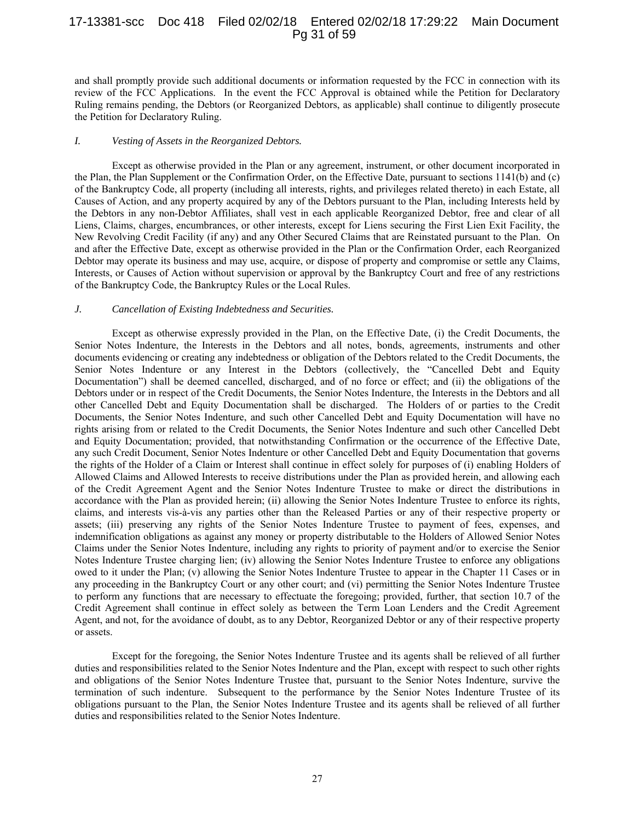## 17-13381-scc Doc 418 Filed 02/02/18 Entered 02/02/18 17:29:22 Main Document Pg 31 of 59

and shall promptly provide such additional documents or information requested by the FCC in connection with its review of the FCC Applications. In the event the FCC Approval is obtained while the Petition for Declaratory Ruling remains pending, the Debtors (or Reorganized Debtors, as applicable) shall continue to diligently prosecute the Petition for Declaratory Ruling.

#### *I. Vesting of Assets in the Reorganized Debtors.*

Except as otherwise provided in the Plan or any agreement, instrument, or other document incorporated in the Plan, the Plan Supplement or the Confirmation Order, on the Effective Date, pursuant to sections 1141(b) and (c) of the Bankruptcy Code, all property (including all interests, rights, and privileges related thereto) in each Estate, all Causes of Action, and any property acquired by any of the Debtors pursuant to the Plan, including Interests held by the Debtors in any non-Debtor Affiliates, shall vest in each applicable Reorganized Debtor, free and clear of all Liens, Claims, charges, encumbrances, or other interests, except for Liens securing the First Lien Exit Facility, the New Revolving Credit Facility (if any) and any Other Secured Claims that are Reinstated pursuant to the Plan. On and after the Effective Date, except as otherwise provided in the Plan or the Confirmation Order, each Reorganized Debtor may operate its business and may use, acquire, or dispose of property and compromise or settle any Claims, Interests, or Causes of Action without supervision or approval by the Bankruptcy Court and free of any restrictions of the Bankruptcy Code, the Bankruptcy Rules or the Local Rules.

#### *J. Cancellation of Existing Indebtedness and Securities.*

Except as otherwise expressly provided in the Plan, on the Effective Date, (i) the Credit Documents, the Senior Notes Indenture, the Interests in the Debtors and all notes, bonds, agreements, instruments and other documents evidencing or creating any indebtedness or obligation of the Debtors related to the Credit Documents, the Senior Notes Indenture or any Interest in the Debtors (collectively, the "Cancelled Debt and Equity Documentation") shall be deemed cancelled, discharged, and of no force or effect; and (ii) the obligations of the Debtors under or in respect of the Credit Documents, the Senior Notes Indenture, the Interests in the Debtors and all other Cancelled Debt and Equity Documentation shall be discharged. The Holders of or parties to the Credit Documents, the Senior Notes Indenture, and such other Cancelled Debt and Equity Documentation will have no rights arising from or related to the Credit Documents, the Senior Notes Indenture and such other Cancelled Debt and Equity Documentation; provided, that notwithstanding Confirmation or the occurrence of the Effective Date, any such Credit Document, Senior Notes Indenture or other Cancelled Debt and Equity Documentation that governs the rights of the Holder of a Claim or Interest shall continue in effect solely for purposes of (i) enabling Holders of Allowed Claims and Allowed Interests to receive distributions under the Plan as provided herein, and allowing each of the Credit Agreement Agent and the Senior Notes Indenture Trustee to make or direct the distributions in accordance with the Plan as provided herein; (ii) allowing the Senior Notes Indenture Trustee to enforce its rights, claims, and interests vis-à-vis any parties other than the Released Parties or any of their respective property or assets; (iii) preserving any rights of the Senior Notes Indenture Trustee to payment of fees, expenses, and indemnification obligations as against any money or property distributable to the Holders of Allowed Senior Notes Claims under the Senior Notes Indenture, including any rights to priority of payment and/or to exercise the Senior Notes Indenture Trustee charging lien; (iv) allowing the Senior Notes Indenture Trustee to enforce any obligations owed to it under the Plan; (v) allowing the Senior Notes Indenture Trustee to appear in the Chapter 11 Cases or in any proceeding in the Bankruptcy Court or any other court; and (vi) permitting the Senior Notes Indenture Trustee to perform any functions that are necessary to effectuate the foregoing; provided, further, that section 10.7 of the Credit Agreement shall continue in effect solely as between the Term Loan Lenders and the Credit Agreement Agent, and not, for the avoidance of doubt, as to any Debtor, Reorganized Debtor or any of their respective property or assets.

Except for the foregoing, the Senior Notes Indenture Trustee and its agents shall be relieved of all further duties and responsibilities related to the Senior Notes Indenture and the Plan, except with respect to such other rights and obligations of the Senior Notes Indenture Trustee that, pursuant to the Senior Notes Indenture, survive the termination of such indenture. Subsequent to the performance by the Senior Notes Indenture Trustee of its obligations pursuant to the Plan, the Senior Notes Indenture Trustee and its agents shall be relieved of all further duties and responsibilities related to the Senior Notes Indenture.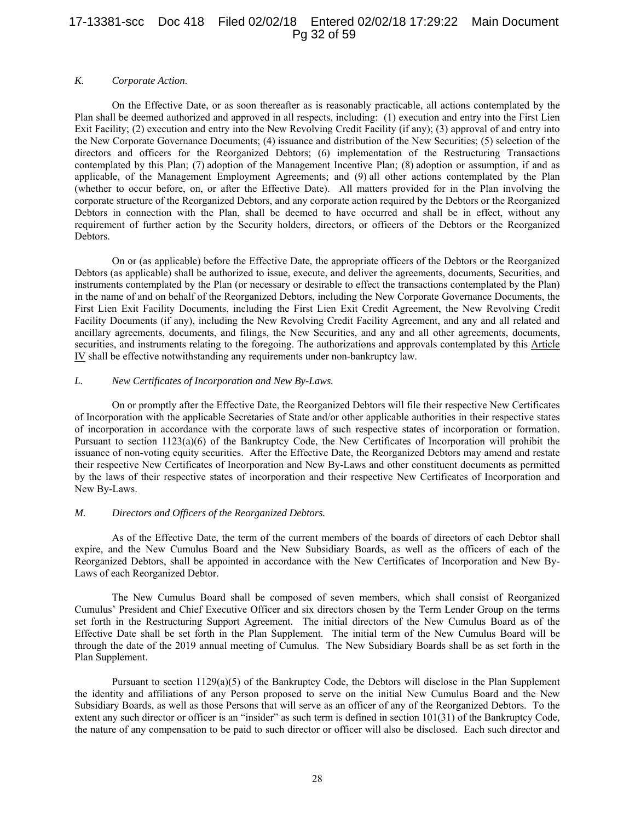## 17-13381-scc Doc 418 Filed 02/02/18 Entered 02/02/18 17:29:22 Main Document Pg 32 of 59

#### *K. Corporate Action*.

On the Effective Date, or as soon thereafter as is reasonably practicable, all actions contemplated by the Plan shall be deemed authorized and approved in all respects, including: (1) execution and entry into the First Lien Exit Facility; (2) execution and entry into the New Revolving Credit Facility (if any); (3) approval of and entry into the New Corporate Governance Documents; (4) issuance and distribution of the New Securities; (5) selection of the directors and officers for the Reorganized Debtors; (6) implementation of the Restructuring Transactions contemplated by this Plan; (7) adoption of the Management Incentive Plan; (8) adoption or assumption, if and as applicable, of the Management Employment Agreements; and (9) all other actions contemplated by the Plan (whether to occur before, on, or after the Effective Date). All matters provided for in the Plan involving the corporate structure of the Reorganized Debtors, and any corporate action required by the Debtors or the Reorganized Debtors in connection with the Plan, shall be deemed to have occurred and shall be in effect, without any requirement of further action by the Security holders, directors, or officers of the Debtors or the Reorganized Debtors.

On or (as applicable) before the Effective Date, the appropriate officers of the Debtors or the Reorganized Debtors (as applicable) shall be authorized to issue, execute, and deliver the agreements, documents, Securities, and instruments contemplated by the Plan (or necessary or desirable to effect the transactions contemplated by the Plan) in the name of and on behalf of the Reorganized Debtors, including the New Corporate Governance Documents, the First Lien Exit Facility Documents, including the First Lien Exit Credit Agreement, the New Revolving Credit Facility Documents (if any), including the New Revolving Credit Facility Agreement, and any and all related and ancillary agreements, documents, and filings, the New Securities, and any and all other agreements, documents, securities, and instruments relating to the foregoing. The authorizations and approvals contemplated by this Article IV shall be effective notwithstanding any requirements under non-bankruptcy law.

#### *L. New Certificates of Incorporation and New By-Laws.*

On or promptly after the Effective Date, the Reorganized Debtors will file their respective New Certificates of Incorporation with the applicable Secretaries of State and/or other applicable authorities in their respective states of incorporation in accordance with the corporate laws of such respective states of incorporation or formation. Pursuant to section 1123(a)(6) of the Bankruptcy Code, the New Certificates of Incorporation will prohibit the issuance of non-voting equity securities. After the Effective Date, the Reorganized Debtors may amend and restate their respective New Certificates of Incorporation and New By-Laws and other constituent documents as permitted by the laws of their respective states of incorporation and their respective New Certificates of Incorporation and New By-Laws.

#### *M. Directors and Officers of the Reorganized Debtors.*

As of the Effective Date, the term of the current members of the boards of directors of each Debtor shall expire, and the New Cumulus Board and the New Subsidiary Boards, as well as the officers of each of the Reorganized Debtors, shall be appointed in accordance with the New Certificates of Incorporation and New By-Laws of each Reorganized Debtor.

The New Cumulus Board shall be composed of seven members, which shall consist of Reorganized Cumulus' President and Chief Executive Officer and six directors chosen by the Term Lender Group on the terms set forth in the Restructuring Support Agreement. The initial directors of the New Cumulus Board as of the Effective Date shall be set forth in the Plan Supplement. The initial term of the New Cumulus Board will be through the date of the 2019 annual meeting of Cumulus. The New Subsidiary Boards shall be as set forth in the Plan Supplement.

Pursuant to section 1129(a)(5) of the Bankruptcy Code, the Debtors will disclose in the Plan Supplement the identity and affiliations of any Person proposed to serve on the initial New Cumulus Board and the New Subsidiary Boards, as well as those Persons that will serve as an officer of any of the Reorganized Debtors. To the extent any such director or officer is an "insider" as such term is defined in section 101(31) of the Bankruptcy Code, the nature of any compensation to be paid to such director or officer will also be disclosed. Each such director and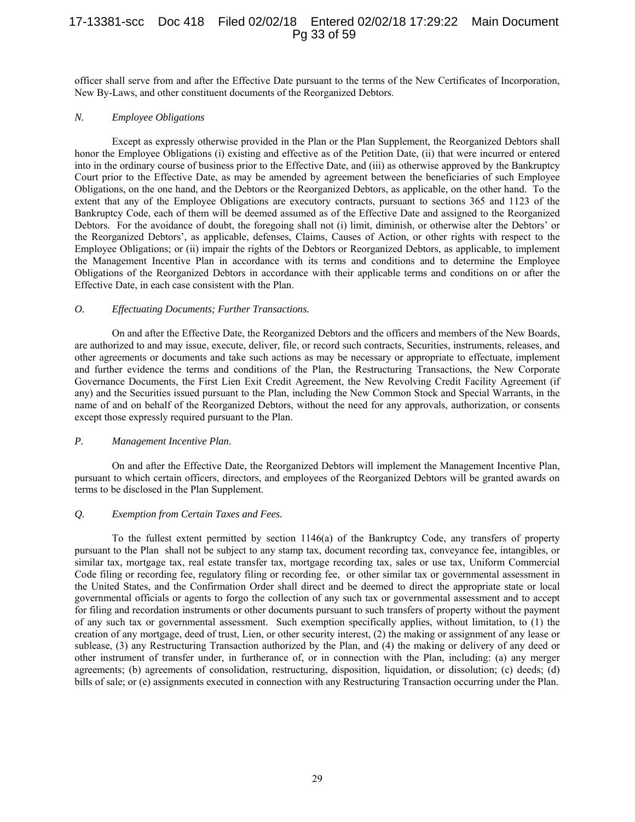# 17-13381-scc Doc 418 Filed 02/02/18 Entered 02/02/18 17:29:22 Main Document Pg 33 of 59

officer shall serve from and after the Effective Date pursuant to the terms of the New Certificates of Incorporation, New By-Laws, and other constituent documents of the Reorganized Debtors.

#### *N. Employee Obligations*

Except as expressly otherwise provided in the Plan or the Plan Supplement, the Reorganized Debtors shall honor the Employee Obligations (i) existing and effective as of the Petition Date, (ii) that were incurred or entered into in the ordinary course of business prior to the Effective Date, and (iii) as otherwise approved by the Bankruptcy Court prior to the Effective Date, as may be amended by agreement between the beneficiaries of such Employee Obligations, on the one hand, and the Debtors or the Reorganized Debtors, as applicable, on the other hand. To the extent that any of the Employee Obligations are executory contracts, pursuant to sections 365 and 1123 of the Bankruptcy Code, each of them will be deemed assumed as of the Effective Date and assigned to the Reorganized Debtors. For the avoidance of doubt, the foregoing shall not (i) limit, diminish, or otherwise alter the Debtors' or the Reorganized Debtors', as applicable, defenses, Claims, Causes of Action, or other rights with respect to the Employee Obligations; or (ii) impair the rights of the Debtors or Reorganized Debtors, as applicable, to implement the Management Incentive Plan in accordance with its terms and conditions and to determine the Employee Obligations of the Reorganized Debtors in accordance with their applicable terms and conditions on or after the Effective Date, in each case consistent with the Plan.

#### *O. Effectuating Documents; Further Transactions.*

On and after the Effective Date, the Reorganized Debtors and the officers and members of the New Boards, are authorized to and may issue, execute, deliver, file, or record such contracts, Securities, instruments, releases, and other agreements or documents and take such actions as may be necessary or appropriate to effectuate, implement and further evidence the terms and conditions of the Plan, the Restructuring Transactions, the New Corporate Governance Documents, the First Lien Exit Credit Agreement, the New Revolving Credit Facility Agreement (if any) and the Securities issued pursuant to the Plan, including the New Common Stock and Special Warrants, in the name of and on behalf of the Reorganized Debtors, without the need for any approvals, authorization, or consents except those expressly required pursuant to the Plan.

#### *P. Management Incentive Plan*.

On and after the Effective Date, the Reorganized Debtors will implement the Management Incentive Plan, pursuant to which certain officers, directors, and employees of the Reorganized Debtors will be granted awards on terms to be disclosed in the Plan Supplement.

## *Q. Exemption from Certain Taxes and Fees.*

To the fullest extent permitted by section 1146(a) of the Bankruptcy Code, any transfers of property pursuant to the Plan shall not be subject to any stamp tax, document recording tax, conveyance fee, intangibles, or similar tax, mortgage tax, real estate transfer tax, mortgage recording tax, sales or use tax, Uniform Commercial Code filing or recording fee, regulatory filing or recording fee, or other similar tax or governmental assessment in the United States, and the Confirmation Order shall direct and be deemed to direct the appropriate state or local governmental officials or agents to forgo the collection of any such tax or governmental assessment and to accept for filing and recordation instruments or other documents pursuant to such transfers of property without the payment of any such tax or governmental assessment. Such exemption specifically applies, without limitation, to (1) the creation of any mortgage, deed of trust, Lien, or other security interest, (2) the making or assignment of any lease or sublease, (3) any Restructuring Transaction authorized by the Plan, and (4) the making or delivery of any deed or other instrument of transfer under, in furtherance of, or in connection with the Plan, including: (a) any merger agreements; (b) agreements of consolidation, restructuring, disposition, liquidation, or dissolution; (c) deeds; (d) bills of sale; or (e) assignments executed in connection with any Restructuring Transaction occurring under the Plan.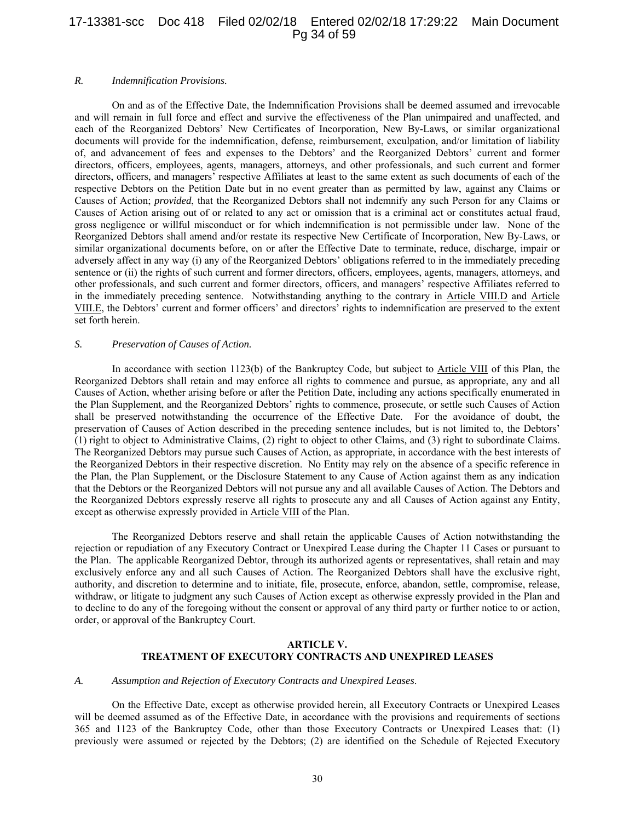## 17-13381-scc Doc 418 Filed 02/02/18 Entered 02/02/18 17:29:22 Main Document Pg 34 of 59

#### *R. Indemnification Provisions.*

On and as of the Effective Date, the Indemnification Provisions shall be deemed assumed and irrevocable and will remain in full force and effect and survive the effectiveness of the Plan unimpaired and unaffected, and each of the Reorganized Debtors' New Certificates of Incorporation, New By-Laws, or similar organizational documents will provide for the indemnification, defense, reimbursement, exculpation, and/or limitation of liability of, and advancement of fees and expenses to the Debtors' and the Reorganized Debtors' current and former directors, officers, employees, agents, managers, attorneys, and other professionals, and such current and former directors, officers, and managers' respective Affiliates at least to the same extent as such documents of each of the respective Debtors on the Petition Date but in no event greater than as permitted by law, against any Claims or Causes of Action; *provided*, that the Reorganized Debtors shall not indemnify any such Person for any Claims or Causes of Action arising out of or related to any act or omission that is a criminal act or constitutes actual fraud, gross negligence or willful misconduct or for which indemnification is not permissible under law. None of the Reorganized Debtors shall amend and/or restate its respective New Certificate of Incorporation, New By-Laws, or similar organizational documents before, on or after the Effective Date to terminate, reduce, discharge, impair or adversely affect in any way (i) any of the Reorganized Debtors' obligations referred to in the immediately preceding sentence or (ii) the rights of such current and former directors, officers, employees, agents, managers, attorneys, and other professionals, and such current and former directors, officers, and managers' respective Affiliates referred to in the immediately preceding sentence. Notwithstanding anything to the contrary in Article VIII.D and Article VIII.E, the Debtors' current and former officers' and directors' rights to indemnification are preserved to the extent set forth herein.

#### *S. Preservation of Causes of Action.*

In accordance with section 1123(b) of the Bankruptcy Code, but subject to Article VIII of this Plan, the Reorganized Debtors shall retain and may enforce all rights to commence and pursue, as appropriate, any and all Causes of Action, whether arising before or after the Petition Date, including any actions specifically enumerated in the Plan Supplement, and the Reorganized Debtors' rights to commence, prosecute, or settle such Causes of Action shall be preserved notwithstanding the occurrence of the Effective Date. For the avoidance of doubt, the preservation of Causes of Action described in the preceding sentence includes, but is not limited to, the Debtors' (1) right to object to Administrative Claims, (2) right to object to other Claims, and (3) right to subordinate Claims. The Reorganized Debtors may pursue such Causes of Action, as appropriate, in accordance with the best interests of the Reorganized Debtors in their respective discretion. No Entity may rely on the absence of a specific reference in the Plan, the Plan Supplement, or the Disclosure Statement to any Cause of Action against them as any indication that the Debtors or the Reorganized Debtors will not pursue any and all available Causes of Action. The Debtors and the Reorganized Debtors expressly reserve all rights to prosecute any and all Causes of Action against any Entity, except as otherwise expressly provided in Article VIII of the Plan.

The Reorganized Debtors reserve and shall retain the applicable Causes of Action notwithstanding the rejection or repudiation of any Executory Contract or Unexpired Lease during the Chapter 11 Cases or pursuant to the Plan. The applicable Reorganized Debtor, through its authorized agents or representatives, shall retain and may exclusively enforce any and all such Causes of Action. The Reorganized Debtors shall have the exclusive right, authority, and discretion to determine and to initiate, file, prosecute, enforce, abandon, settle, compromise, release, withdraw, or litigate to judgment any such Causes of Action except as otherwise expressly provided in the Plan and to decline to do any of the foregoing without the consent or approval of any third party or further notice to or action, order, or approval of the Bankruptcy Court.

#### **ARTICLE V. TREATMENT OF EXECUTORY CONTRACTS AND UNEXPIRED LEASES**

#### *A. Assumption and Rejection of Executory Contracts and Unexpired Leases*.

On the Effective Date, except as otherwise provided herein, all Executory Contracts or Unexpired Leases will be deemed assumed as of the Effective Date, in accordance with the provisions and requirements of sections 365 and 1123 of the Bankruptcy Code, other than those Executory Contracts or Unexpired Leases that: (1) previously were assumed or rejected by the Debtors; (2) are identified on the Schedule of Rejected Executory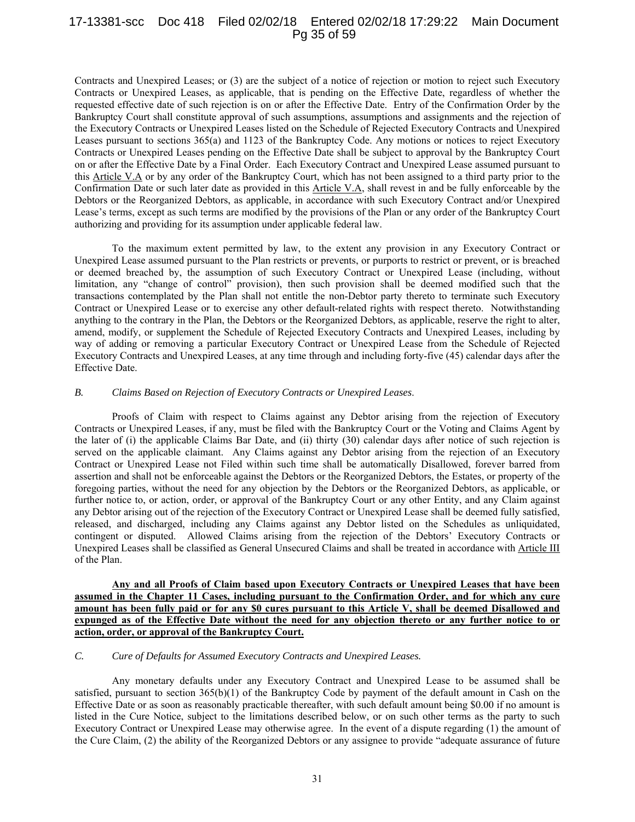## 17-13381-scc Doc 418 Filed 02/02/18 Entered 02/02/18 17:29:22 Main Document Pg 35 of 59

Contracts and Unexpired Leases; or (3) are the subject of a notice of rejection or motion to reject such Executory Contracts or Unexpired Leases, as applicable, that is pending on the Effective Date, regardless of whether the requested effective date of such rejection is on or after the Effective Date. Entry of the Confirmation Order by the Bankruptcy Court shall constitute approval of such assumptions, assumptions and assignments and the rejection of the Executory Contracts or Unexpired Leases listed on the Schedule of Rejected Executory Contracts and Unexpired Leases pursuant to sections 365(a) and 1123 of the Bankruptcy Code. Any motions or notices to reject Executory Contracts or Unexpired Leases pending on the Effective Date shall be subject to approval by the Bankruptcy Court on or after the Effective Date by a Final Order. Each Executory Contract and Unexpired Lease assumed pursuant to this Article V.A or by any order of the Bankruptcy Court, which has not been assigned to a third party prior to the Confirmation Date or such later date as provided in this Article V.A, shall revest in and be fully enforceable by the Debtors or the Reorganized Debtors, as applicable, in accordance with such Executory Contract and/or Unexpired Lease's terms, except as such terms are modified by the provisions of the Plan or any order of the Bankruptcy Court authorizing and providing for its assumption under applicable federal law.

To the maximum extent permitted by law, to the extent any provision in any Executory Contract or Unexpired Lease assumed pursuant to the Plan restricts or prevents, or purports to restrict or prevent, or is breached or deemed breached by, the assumption of such Executory Contract or Unexpired Lease (including, without limitation, any "change of control" provision), then such provision shall be deemed modified such that the transactions contemplated by the Plan shall not entitle the non-Debtor party thereto to terminate such Executory Contract or Unexpired Lease or to exercise any other default-related rights with respect thereto. Notwithstanding anything to the contrary in the Plan, the Debtors or the Reorganized Debtors, as applicable, reserve the right to alter, amend, modify, or supplement the Schedule of Rejected Executory Contracts and Unexpired Leases, including by way of adding or removing a particular Executory Contract or Unexpired Lease from the Schedule of Rejected Executory Contracts and Unexpired Leases, at any time through and including forty-five (45) calendar days after the Effective Date.

#### *B. Claims Based on Rejection of Executory Contracts or Unexpired Leases*.

Proofs of Claim with respect to Claims against any Debtor arising from the rejection of Executory Contracts or Unexpired Leases, if any, must be filed with the Bankruptcy Court or the Voting and Claims Agent by the later of (i) the applicable Claims Bar Date, and (ii) thirty (30) calendar days after notice of such rejection is served on the applicable claimant. Any Claims against any Debtor arising from the rejection of an Executory Contract or Unexpired Lease not Filed within such time shall be automatically Disallowed, forever barred from assertion and shall not be enforceable against the Debtors or the Reorganized Debtors, the Estates, or property of the foregoing parties, without the need for any objection by the Debtors or the Reorganized Debtors, as applicable, or further notice to, or action, order, or approval of the Bankruptcy Court or any other Entity, and any Claim against any Debtor arising out of the rejection of the Executory Contract or Unexpired Lease shall be deemed fully satisfied, released, and discharged, including any Claims against any Debtor listed on the Schedules as unliquidated, contingent or disputed. Allowed Claims arising from the rejection of the Debtors' Executory Contracts or Unexpired Leases shall be classified as General Unsecured Claims and shall be treated in accordance with Article III of the Plan.

**Any and all Proofs of Claim based upon Executory Contracts or Unexpired Leases that have been assumed in the Chapter 11 Cases, including pursuant to the Confirmation Order, and for which any cure amount has been fully paid or for any \$0 cures pursuant to this Article V, shall be deemed Disallowed and expunged as of the Effective Date without the need for any objection thereto or any further notice to or action, order, or approval of the Bankruptcy Court.** 

## *C. Cure of Defaults for Assumed Executory Contracts and Unexpired Leases.*

Any monetary defaults under any Executory Contract and Unexpired Lease to be assumed shall be satisfied, pursuant to section  $365(b)(1)$  of the Bankruptcy Code by payment of the default amount in Cash on the Effective Date or as soon as reasonably practicable thereafter, with such default amount being \$0.00 if no amount is listed in the Cure Notice, subject to the limitations described below, or on such other terms as the party to such Executory Contract or Unexpired Lease may otherwise agree. In the event of a dispute regarding (1) the amount of the Cure Claim, (2) the ability of the Reorganized Debtors or any assignee to provide "adequate assurance of future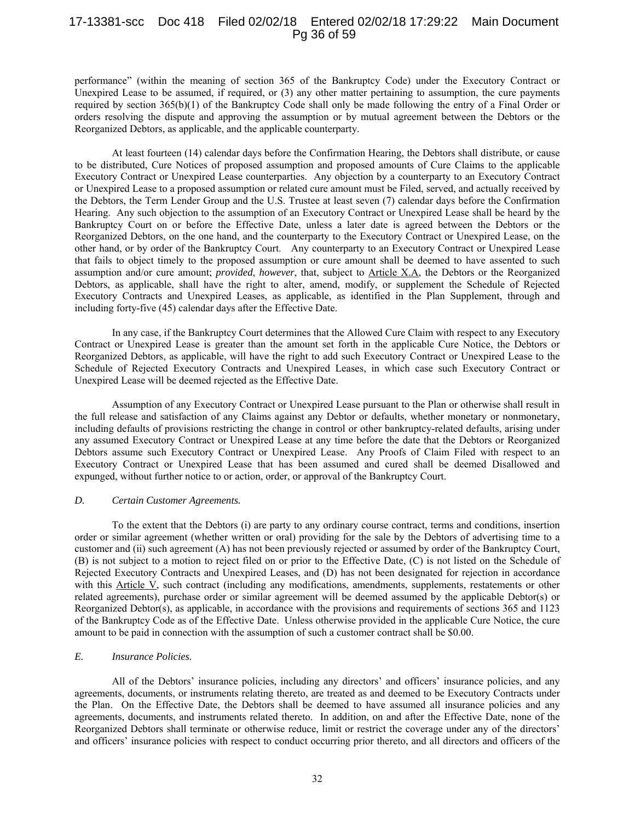## 17-13381-scc Doc 418 Filed 02/02/18 Entered 02/02/18 17:29:22 Main Document Pg 36 of 59

performance" (within the meaning of section 365 of the Bankruptcy Code) under the Executory Contract or Unexpired Lease to be assumed, if required, or (3) any other matter pertaining to assumption, the cure payments required by section 365(b)(1) of the Bankruptcy Code shall only be made following the entry of a Final Order or orders resolving the dispute and approving the assumption or by mutual agreement between the Debtors or the Reorganized Debtors, as applicable, and the applicable counterparty.

At least fourteen (14) calendar days before the Confirmation Hearing, the Debtors shall distribute, or cause to be distributed, Cure Notices of proposed assumption and proposed amounts of Cure Claims to the applicable Executory Contract or Unexpired Lease counterparties. Any objection by a counterparty to an Executory Contract or Unexpired Lease to a proposed assumption or related cure amount must be Filed, served, and actually received by the Debtors, the Term Lender Group and the U.S. Trustee at least seven (7) calendar days before the Confirmation Hearing. Any such objection to the assumption of an Executory Contract or Unexpired Lease shall be heard by the Bankruptcy Court on or before the Effective Date, unless a later date is agreed between the Debtors or the Reorganized Debtors, on the one hand, and the counterparty to the Executory Contract or Unexpired Lease, on the other hand, or by order of the Bankruptcy Court. Any counterparty to an Executory Contract or Unexpired Lease that fails to object timely to the proposed assumption or cure amount shall be deemed to have assented to such assumption and/or cure amount; *provided*, *however*, that, subject to Article X.A, the Debtors or the Reorganized Debtors, as applicable, shall have the right to alter, amend, modify, or supplement the Schedule of Rejected Executory Contracts and Unexpired Leases, as applicable, as identified in the Plan Supplement, through and including forty-five (45) calendar days after the Effective Date.

In any case, if the Bankruptcy Court determines that the Allowed Cure Claim with respect to any Executory Contract or Unexpired Lease is greater than the amount set forth in the applicable Cure Notice, the Debtors or Reorganized Debtors, as applicable, will have the right to add such Executory Contract or Unexpired Lease to the Schedule of Rejected Executory Contracts and Unexpired Leases, in which case such Executory Contract or Unexpired Lease will be deemed rejected as the Effective Date.

Assumption of any Executory Contract or Unexpired Lease pursuant to the Plan or otherwise shall result in the full release and satisfaction of any Claims against any Debtor or defaults, whether monetary or nonmonetary, including defaults of provisions restricting the change in control or other bankruptcy-related defaults, arising under any assumed Executory Contract or Unexpired Lease at any time before the date that the Debtors or Reorganized Debtors assume such Executory Contract or Unexpired Lease. Any Proofs of Claim Filed with respect to an Executory Contract or Unexpired Lease that has been assumed and cured shall be deemed Disallowed and expunged, without further notice to or action, order, or approval of the Bankruptcy Court.

#### *D. Certain Customer Agreements.*

To the extent that the Debtors (i) are party to any ordinary course contract, terms and conditions, insertion order or similar agreement (whether written or oral) providing for the sale by the Debtors of advertising time to a customer and (ii) such agreement (A) has not been previously rejected or assumed by order of the Bankruptcy Court, (B) is not subject to a motion to reject filed on or prior to the Effective Date, (C) is not listed on the Schedule of Rejected Executory Contracts and Unexpired Leases, and (D) has not been designated for rejection in accordance with this Article V, such contract (including any modifications, amendments, supplements, restatements or other related agreements), purchase order or similar agreement will be deemed assumed by the applicable Debtor(s) or Reorganized Debtor(s), as applicable, in accordance with the provisions and requirements of sections 365 and 1123 of the Bankruptcy Code as of the Effective Date. Unless otherwise provided in the applicable Cure Notice, the cure amount to be paid in connection with the assumption of such a customer contract shall be \$0.00.

## *E. Insurance Policies.*

All of the Debtors' insurance policies, including any directors' and officers' insurance policies, and any agreements, documents, or instruments relating thereto, are treated as and deemed to be Executory Contracts under the Plan. On the Effective Date, the Debtors shall be deemed to have assumed all insurance policies and any agreements, documents, and instruments related thereto. In addition, on and after the Effective Date, none of the Reorganized Debtors shall terminate or otherwise reduce, limit or restrict the coverage under any of the directors' and officers' insurance policies with respect to conduct occurring prior thereto, and all directors and officers of the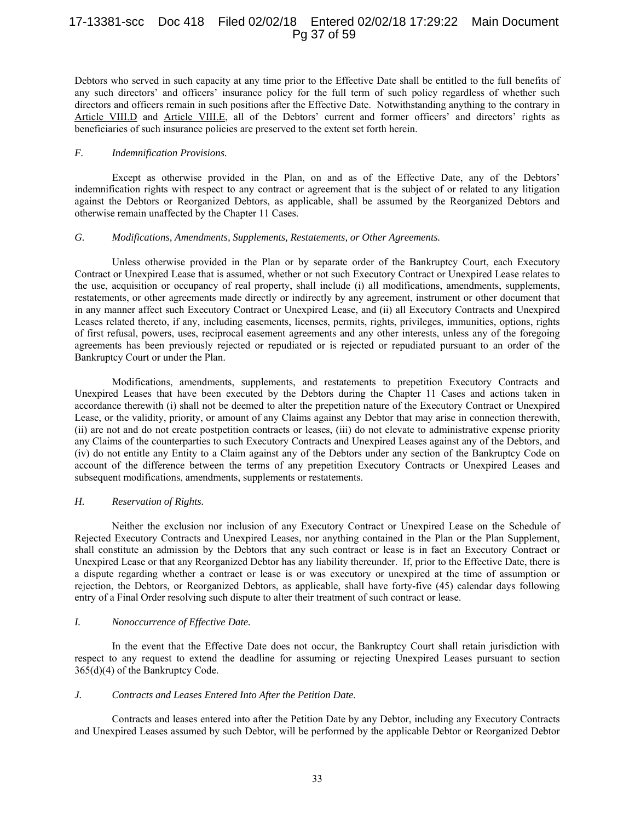# 17-13381-scc Doc 418 Filed 02/02/18 Entered 02/02/18 17:29:22 Main Document Pg 37 of 59

Debtors who served in such capacity at any time prior to the Effective Date shall be entitled to the full benefits of any such directors' and officers' insurance policy for the full term of such policy regardless of whether such directors and officers remain in such positions after the Effective Date. Notwithstanding anything to the contrary in Article VIII.D and Article VIII.E, all of the Debtors' current and former officers' and directors' rights as beneficiaries of such insurance policies are preserved to the extent set forth herein.

#### *F. Indemnification Provisions.*

Except as otherwise provided in the Plan, on and as of the Effective Date, any of the Debtors' indemnification rights with respect to any contract or agreement that is the subject of or related to any litigation against the Debtors or Reorganized Debtors, as applicable, shall be assumed by the Reorganized Debtors and otherwise remain unaffected by the Chapter 11 Cases.

#### *G. Modifications, Amendments, Supplements, Restatements, or Other Agreements.*

Unless otherwise provided in the Plan or by separate order of the Bankruptcy Court, each Executory Contract or Unexpired Lease that is assumed, whether or not such Executory Contract or Unexpired Lease relates to the use, acquisition or occupancy of real property, shall include (i) all modifications, amendments, supplements, restatements, or other agreements made directly or indirectly by any agreement, instrument or other document that in any manner affect such Executory Contract or Unexpired Lease, and (ii) all Executory Contracts and Unexpired Leases related thereto, if any, including easements, licenses, permits, rights, privileges, immunities, options, rights of first refusal, powers, uses, reciprocal easement agreements and any other interests, unless any of the foregoing agreements has been previously rejected or repudiated or is rejected or repudiated pursuant to an order of the Bankruptcy Court or under the Plan.

Modifications, amendments, supplements, and restatements to prepetition Executory Contracts and Unexpired Leases that have been executed by the Debtors during the Chapter 11 Cases and actions taken in accordance therewith (i) shall not be deemed to alter the prepetition nature of the Executory Contract or Unexpired Lease, or the validity, priority, or amount of any Claims against any Debtor that may arise in connection therewith, (ii) are not and do not create postpetition contracts or leases, (iii) do not elevate to administrative expense priority any Claims of the counterparties to such Executory Contracts and Unexpired Leases against any of the Debtors, and (iv) do not entitle any Entity to a Claim against any of the Debtors under any section of the Bankruptcy Code on account of the difference between the terms of any prepetition Executory Contracts or Unexpired Leases and subsequent modifications, amendments, supplements or restatements.

## *H. Reservation of Rights.*

Neither the exclusion nor inclusion of any Executory Contract or Unexpired Lease on the Schedule of Rejected Executory Contracts and Unexpired Leases, nor anything contained in the Plan or the Plan Supplement, shall constitute an admission by the Debtors that any such contract or lease is in fact an Executory Contract or Unexpired Lease or that any Reorganized Debtor has any liability thereunder. If, prior to the Effective Date, there is a dispute regarding whether a contract or lease is or was executory or unexpired at the time of assumption or rejection, the Debtors, or Reorganized Debtors, as applicable, shall have forty-five (45) calendar days following entry of a Final Order resolving such dispute to alter their treatment of such contract or lease.

## *I. Nonoccurrence of Effective Date.*

In the event that the Effective Date does not occur, the Bankruptcy Court shall retain jurisdiction with respect to any request to extend the deadline for assuming or rejecting Unexpired Leases pursuant to section 365(d)(4) of the Bankruptcy Code.

## *J. Contracts and Leases Entered Into After the Petition Date*.

Contracts and leases entered into after the Petition Date by any Debtor, including any Executory Contracts and Unexpired Leases assumed by such Debtor, will be performed by the applicable Debtor or Reorganized Debtor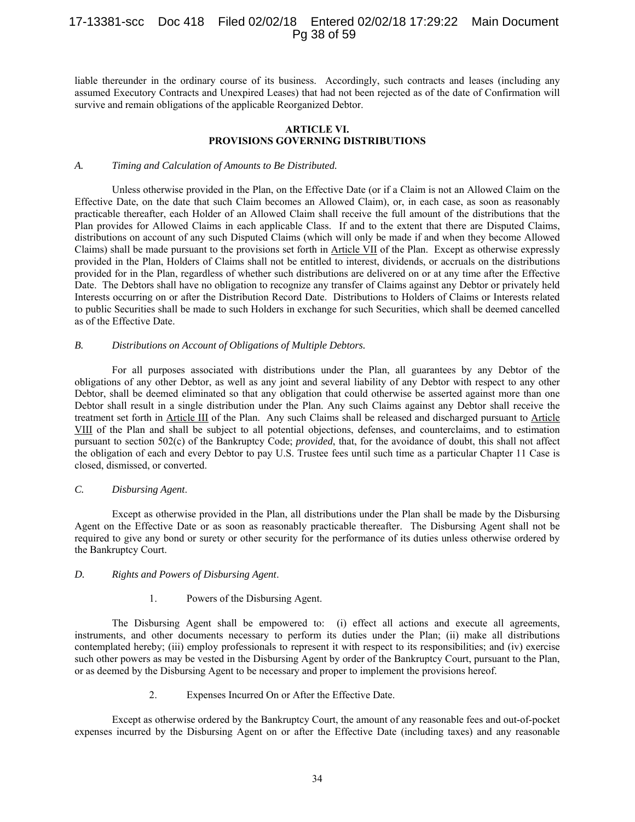# 17-13381-scc Doc 418 Filed 02/02/18 Entered 02/02/18 17:29:22 Main Document Pg 38 of 59

liable thereunder in the ordinary course of its business. Accordingly, such contracts and leases (including any assumed Executory Contracts and Unexpired Leases) that had not been rejected as of the date of Confirmation will survive and remain obligations of the applicable Reorganized Debtor.

#### **ARTICLE VI. PROVISIONS GOVERNING DISTRIBUTIONS**

#### *A. Timing and Calculation of Amounts to Be Distributed.*

Unless otherwise provided in the Plan, on the Effective Date (or if a Claim is not an Allowed Claim on the Effective Date, on the date that such Claim becomes an Allowed Claim), or, in each case, as soon as reasonably practicable thereafter, each Holder of an Allowed Claim shall receive the full amount of the distributions that the Plan provides for Allowed Claims in each applicable Class. If and to the extent that there are Disputed Claims, distributions on account of any such Disputed Claims (which will only be made if and when they become Allowed Claims) shall be made pursuant to the provisions set forth in Article VII of the Plan. Except as otherwise expressly provided in the Plan, Holders of Claims shall not be entitled to interest, dividends, or accruals on the distributions provided for in the Plan, regardless of whether such distributions are delivered on or at any time after the Effective Date. The Debtors shall have no obligation to recognize any transfer of Claims against any Debtor or privately held Interests occurring on or after the Distribution Record Date. Distributions to Holders of Claims or Interests related to public Securities shall be made to such Holders in exchange for such Securities, which shall be deemed cancelled as of the Effective Date.

#### *B. Distributions on Account of Obligations of Multiple Debtors.*

For all purposes associated with distributions under the Plan, all guarantees by any Debtor of the obligations of any other Debtor, as well as any joint and several liability of any Debtor with respect to any other Debtor, shall be deemed eliminated so that any obligation that could otherwise be asserted against more than one Debtor shall result in a single distribution under the Plan. Any such Claims against any Debtor shall receive the treatment set forth in Article III of the Plan. Any such Claims shall be released and discharged pursuant to Article VIII of the Plan and shall be subject to all potential objections, defenses, and counterclaims, and to estimation pursuant to section 502(c) of the Bankruptcy Code; *provided*, that, for the avoidance of doubt, this shall not affect the obligation of each and every Debtor to pay U.S. Trustee fees until such time as a particular Chapter 11 Case is closed, dismissed, or converted.

#### *C. Disbursing Agent*.

Except as otherwise provided in the Plan, all distributions under the Plan shall be made by the Disbursing Agent on the Effective Date or as soon as reasonably practicable thereafter. The Disbursing Agent shall not be required to give any bond or surety or other security for the performance of its duties unless otherwise ordered by the Bankruptcy Court.

#### *D. Rights and Powers of Disbursing Agent*.

## 1. Powers of the Disbursing Agent.

The Disbursing Agent shall be empowered to: (i) effect all actions and execute all agreements, instruments, and other documents necessary to perform its duties under the Plan; (ii) make all distributions contemplated hereby; (iii) employ professionals to represent it with respect to its responsibilities; and (iv) exercise such other powers as may be vested in the Disbursing Agent by order of the Bankruptcy Court, pursuant to the Plan, or as deemed by the Disbursing Agent to be necessary and proper to implement the provisions hereof.

2. Expenses Incurred On or After the Effective Date.

Except as otherwise ordered by the Bankruptcy Court, the amount of any reasonable fees and out-of-pocket expenses incurred by the Disbursing Agent on or after the Effective Date (including taxes) and any reasonable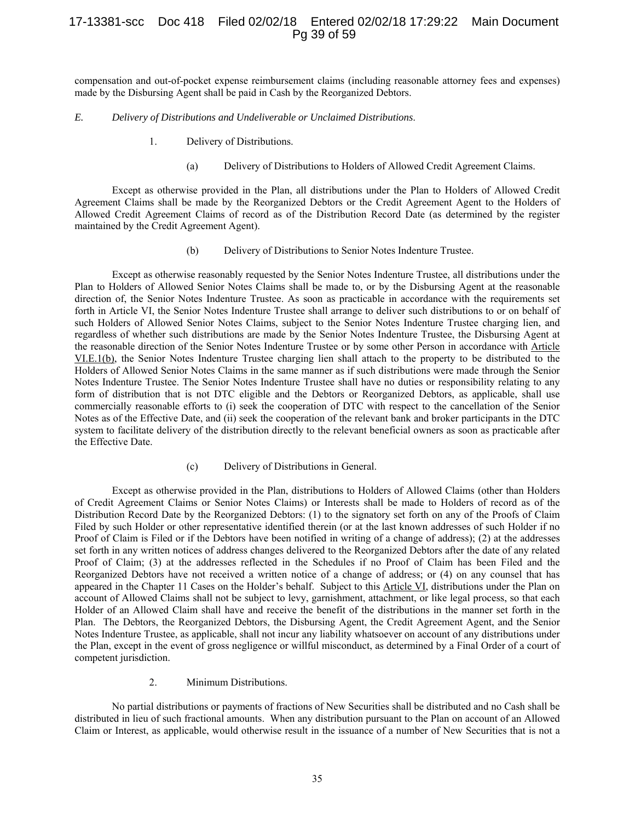# 17-13381-scc Doc 418 Filed 02/02/18 Entered 02/02/18 17:29:22 Main Document Pg 39 of 59

compensation and out-of-pocket expense reimbursement claims (including reasonable attorney fees and expenses) made by the Disbursing Agent shall be paid in Cash by the Reorganized Debtors.

#### *E. Delivery of Distributions and Undeliverable or Unclaimed Distributions*.

- 1. Delivery of Distributions.
	- (a) Delivery of Distributions to Holders of Allowed Credit Agreement Claims.

Except as otherwise provided in the Plan, all distributions under the Plan to Holders of Allowed Credit Agreement Claims shall be made by the Reorganized Debtors or the Credit Agreement Agent to the Holders of Allowed Credit Agreement Claims of record as of the Distribution Record Date (as determined by the register maintained by the Credit Agreement Agent).

(b) Delivery of Distributions to Senior Notes Indenture Trustee.

Except as otherwise reasonably requested by the Senior Notes Indenture Trustee, all distributions under the Plan to Holders of Allowed Senior Notes Claims shall be made to, or by the Disbursing Agent at the reasonable direction of, the Senior Notes Indenture Trustee. As soon as practicable in accordance with the requirements set forth in Article VI, the Senior Notes Indenture Trustee shall arrange to deliver such distributions to or on behalf of such Holders of Allowed Senior Notes Claims, subject to the Senior Notes Indenture Trustee charging lien, and regardless of whether such distributions are made by the Senior Notes Indenture Trustee, the Disbursing Agent at the reasonable direction of the Senior Notes Indenture Trustee or by some other Person in accordance with Article VI.E.1(b), the Senior Notes Indenture Trustee charging lien shall attach to the property to be distributed to the Holders of Allowed Senior Notes Claims in the same manner as if such distributions were made through the Senior Notes Indenture Trustee. The Senior Notes Indenture Trustee shall have no duties or responsibility relating to any form of distribution that is not DTC eligible and the Debtors or Reorganized Debtors, as applicable, shall use commercially reasonable efforts to (i) seek the cooperation of DTC with respect to the cancellation of the Senior Notes as of the Effective Date, and (ii) seek the cooperation of the relevant bank and broker participants in the DTC system to facilitate delivery of the distribution directly to the relevant beneficial owners as soon as practicable after the Effective Date.

(c) Delivery of Distributions in General.

Except as otherwise provided in the Plan, distributions to Holders of Allowed Claims (other than Holders of Credit Agreement Claims or Senior Notes Claims) or Interests shall be made to Holders of record as of the Distribution Record Date by the Reorganized Debtors: (1) to the signatory set forth on any of the Proofs of Claim Filed by such Holder or other representative identified therein (or at the last known addresses of such Holder if no Proof of Claim is Filed or if the Debtors have been notified in writing of a change of address); (2) at the addresses set forth in any written notices of address changes delivered to the Reorganized Debtors after the date of any related Proof of Claim; (3) at the addresses reflected in the Schedules if no Proof of Claim has been Filed and the Reorganized Debtors have not received a written notice of a change of address; or (4) on any counsel that has appeared in the Chapter 11 Cases on the Holder's behalf. Subject to this Article VI, distributions under the Plan on account of Allowed Claims shall not be subject to levy, garnishment, attachment, or like legal process, so that each Holder of an Allowed Claim shall have and receive the benefit of the distributions in the manner set forth in the Plan. The Debtors, the Reorganized Debtors, the Disbursing Agent, the Credit Agreement Agent, and the Senior Notes Indenture Trustee, as applicable, shall not incur any liability whatsoever on account of any distributions under the Plan, except in the event of gross negligence or willful misconduct, as determined by a Final Order of a court of competent jurisdiction.

2. Minimum Distributions.

No partial distributions or payments of fractions of New Securities shall be distributed and no Cash shall be distributed in lieu of such fractional amounts. When any distribution pursuant to the Plan on account of an Allowed Claim or Interest, as applicable, would otherwise result in the issuance of a number of New Securities that is not a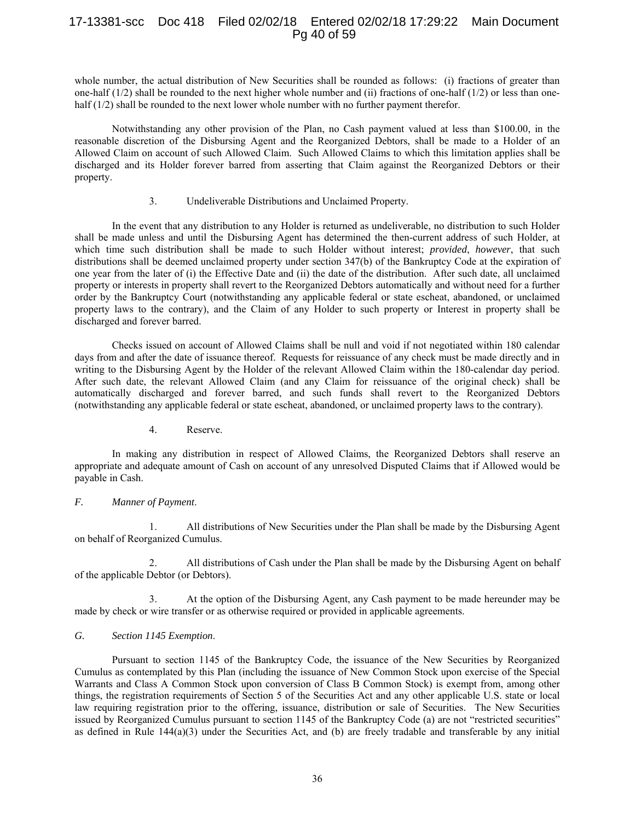# 17-13381-scc Doc 418 Filed 02/02/18 Entered 02/02/18 17:29:22 Main Document Pg 40 of 59

whole number, the actual distribution of New Securities shall be rounded as follows: (i) fractions of greater than one-half  $(1/2)$  shall be rounded to the next higher whole number and (ii) fractions of one-half  $(1/2)$  or less than onehalf (1/2) shall be rounded to the next lower whole number with no further payment therefor.

Notwithstanding any other provision of the Plan, no Cash payment valued at less than \$100.00, in the reasonable discretion of the Disbursing Agent and the Reorganized Debtors, shall be made to a Holder of an Allowed Claim on account of such Allowed Claim. Such Allowed Claims to which this limitation applies shall be discharged and its Holder forever barred from asserting that Claim against the Reorganized Debtors or their property.

#### 3. Undeliverable Distributions and Unclaimed Property.

In the event that any distribution to any Holder is returned as undeliverable, no distribution to such Holder shall be made unless and until the Disbursing Agent has determined the then-current address of such Holder, at which time such distribution shall be made to such Holder without interest; *provided*, *however*, that such distributions shall be deemed unclaimed property under section 347(b) of the Bankruptcy Code at the expiration of one year from the later of (i) the Effective Date and (ii) the date of the distribution. After such date, all unclaimed property or interests in property shall revert to the Reorganized Debtors automatically and without need for a further order by the Bankruptcy Court (notwithstanding any applicable federal or state escheat, abandoned, or unclaimed property laws to the contrary), and the Claim of any Holder to such property or Interest in property shall be discharged and forever barred.

Checks issued on account of Allowed Claims shall be null and void if not negotiated within 180 calendar days from and after the date of issuance thereof. Requests for reissuance of any check must be made directly and in writing to the Disbursing Agent by the Holder of the relevant Allowed Claim within the 180-calendar day period. After such date, the relevant Allowed Claim (and any Claim for reissuance of the original check) shall be automatically discharged and forever barred, and such funds shall revert to the Reorganized Debtors (notwithstanding any applicable federal or state escheat, abandoned, or unclaimed property laws to the contrary).

## 4. Reserve.

In making any distribution in respect of Allowed Claims, the Reorganized Debtors shall reserve an appropriate and adequate amount of Cash on account of any unresolved Disputed Claims that if Allowed would be payable in Cash.

## *F. Manner of Payment*.

1. All distributions of New Securities under the Plan shall be made by the Disbursing Agent on behalf of Reorganized Cumulus.

2. All distributions of Cash under the Plan shall be made by the Disbursing Agent on behalf of the applicable Debtor (or Debtors).

3. At the option of the Disbursing Agent, any Cash payment to be made hereunder may be made by check or wire transfer or as otherwise required or provided in applicable agreements.

#### *G. Section 1145 Exemption*.

Pursuant to section 1145 of the Bankruptcy Code, the issuance of the New Securities by Reorganized Cumulus as contemplated by this Plan (including the issuance of New Common Stock upon exercise of the Special Warrants and Class A Common Stock upon conversion of Class B Common Stock) is exempt from, among other things, the registration requirements of Section 5 of the Securities Act and any other applicable U.S. state or local law requiring registration prior to the offering, issuance, distribution or sale of Securities. The New Securities issued by Reorganized Cumulus pursuant to section 1145 of the Bankruptcy Code (a) are not "restricted securities" as defined in Rule 144(a)(3) under the Securities Act, and (b) are freely tradable and transferable by any initial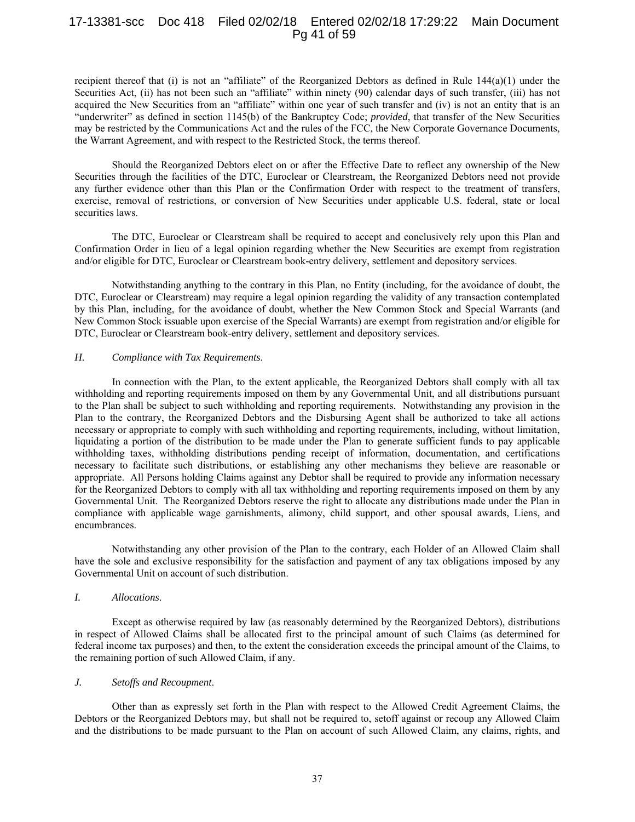## 17-13381-scc Doc 418 Filed 02/02/18 Entered 02/02/18 17:29:22 Main Document Pg 41 of 59

recipient thereof that (i) is not an "affiliate" of the Reorganized Debtors as defined in Rule 144(a)(1) under the Securities Act, (ii) has not been such an "affiliate" within ninety (90) calendar days of such transfer, (iii) has not acquired the New Securities from an "affiliate" within one year of such transfer and (iv) is not an entity that is an "underwriter" as defined in section 1145(b) of the Bankruptcy Code; *provided*, that transfer of the New Securities may be restricted by the Communications Act and the rules of the FCC, the New Corporate Governance Documents, the Warrant Agreement, and with respect to the Restricted Stock, the terms thereof.

Should the Reorganized Debtors elect on or after the Effective Date to reflect any ownership of the New Securities through the facilities of the DTC, Euroclear or Clearstream, the Reorganized Debtors need not provide any further evidence other than this Plan or the Confirmation Order with respect to the treatment of transfers, exercise, removal of restrictions, or conversion of New Securities under applicable U.S. federal, state or local securities laws.

The DTC, Euroclear or Clearstream shall be required to accept and conclusively rely upon this Plan and Confirmation Order in lieu of a legal opinion regarding whether the New Securities are exempt from registration and/or eligible for DTC, Euroclear or Clearstream book-entry delivery, settlement and depository services.

Notwithstanding anything to the contrary in this Plan, no Entity (including, for the avoidance of doubt, the DTC, Euroclear or Clearstream) may require a legal opinion regarding the validity of any transaction contemplated by this Plan, including, for the avoidance of doubt, whether the New Common Stock and Special Warrants (and New Common Stock issuable upon exercise of the Special Warrants) are exempt from registration and/or eligible for DTC, Euroclear or Clearstream book-entry delivery, settlement and depository services.

#### *H. Compliance with Tax Requirements*.

In connection with the Plan, to the extent applicable, the Reorganized Debtors shall comply with all tax withholding and reporting requirements imposed on them by any Governmental Unit, and all distributions pursuant to the Plan shall be subject to such withholding and reporting requirements. Notwithstanding any provision in the Plan to the contrary, the Reorganized Debtors and the Disbursing Agent shall be authorized to take all actions necessary or appropriate to comply with such withholding and reporting requirements, including, without limitation, liquidating a portion of the distribution to be made under the Plan to generate sufficient funds to pay applicable withholding taxes, withholding distributions pending receipt of information, documentation, and certifications necessary to facilitate such distributions, or establishing any other mechanisms they believe are reasonable or appropriate. All Persons holding Claims against any Debtor shall be required to provide any information necessary for the Reorganized Debtors to comply with all tax withholding and reporting requirements imposed on them by any Governmental Unit. The Reorganized Debtors reserve the right to allocate any distributions made under the Plan in compliance with applicable wage garnishments, alimony, child support, and other spousal awards, Liens, and encumbrances.

Notwithstanding any other provision of the Plan to the contrary, each Holder of an Allowed Claim shall have the sole and exclusive responsibility for the satisfaction and payment of any tax obligations imposed by any Governmental Unit on account of such distribution.

#### *I. Allocations*.

Except as otherwise required by law (as reasonably determined by the Reorganized Debtors), distributions in respect of Allowed Claims shall be allocated first to the principal amount of such Claims (as determined for federal income tax purposes) and then, to the extent the consideration exceeds the principal amount of the Claims, to the remaining portion of such Allowed Claim, if any.

## *J. Setoffs and Recoupment*.

Other than as expressly set forth in the Plan with respect to the Allowed Credit Agreement Claims, the Debtors or the Reorganized Debtors may, but shall not be required to, setoff against or recoup any Allowed Claim and the distributions to be made pursuant to the Plan on account of such Allowed Claim, any claims, rights, and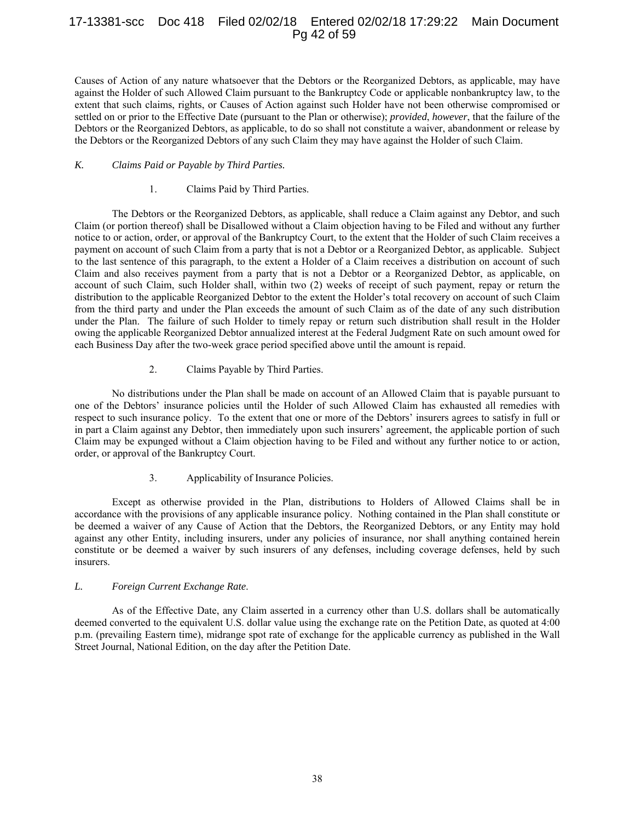# 17-13381-scc Doc 418 Filed 02/02/18 Entered 02/02/18 17:29:22 Main Document Pg 42 of 59

Causes of Action of any nature whatsoever that the Debtors or the Reorganized Debtors, as applicable, may have against the Holder of such Allowed Claim pursuant to the Bankruptcy Code or applicable nonbankruptcy law, to the extent that such claims, rights, or Causes of Action against such Holder have not been otherwise compromised or settled on or prior to the Effective Date (pursuant to the Plan or otherwise); *provided*, *however*, that the failure of the Debtors or the Reorganized Debtors, as applicable, to do so shall not constitute a waiver, abandonment or release by the Debtors or the Reorganized Debtors of any such Claim they may have against the Holder of such Claim.

#### *K. Claims Paid or Payable by Third Parties.*

#### 1. Claims Paid by Third Parties.

The Debtors or the Reorganized Debtors, as applicable, shall reduce a Claim against any Debtor, and such Claim (or portion thereof) shall be Disallowed without a Claim objection having to be Filed and without any further notice to or action, order, or approval of the Bankruptcy Court, to the extent that the Holder of such Claim receives a payment on account of such Claim from a party that is not a Debtor or a Reorganized Debtor, as applicable. Subject to the last sentence of this paragraph, to the extent a Holder of a Claim receives a distribution on account of such Claim and also receives payment from a party that is not a Debtor or a Reorganized Debtor, as applicable, on account of such Claim, such Holder shall, within two (2) weeks of receipt of such payment, repay or return the distribution to the applicable Reorganized Debtor to the extent the Holder's total recovery on account of such Claim from the third party and under the Plan exceeds the amount of such Claim as of the date of any such distribution under the Plan. The failure of such Holder to timely repay or return such distribution shall result in the Holder owing the applicable Reorganized Debtor annualized interest at the Federal Judgment Rate on such amount owed for each Business Day after the two-week grace period specified above until the amount is repaid.

## 2. Claims Payable by Third Parties.

No distributions under the Plan shall be made on account of an Allowed Claim that is payable pursuant to one of the Debtors' insurance policies until the Holder of such Allowed Claim has exhausted all remedies with respect to such insurance policy. To the extent that one or more of the Debtors' insurers agrees to satisfy in full or in part a Claim against any Debtor, then immediately upon such insurers' agreement, the applicable portion of such Claim may be expunged without a Claim objection having to be Filed and without any further notice to or action, order, or approval of the Bankruptcy Court.

## 3. Applicability of Insurance Policies.

Except as otherwise provided in the Plan, distributions to Holders of Allowed Claims shall be in accordance with the provisions of any applicable insurance policy. Nothing contained in the Plan shall constitute or be deemed a waiver of any Cause of Action that the Debtors, the Reorganized Debtors, or any Entity may hold against any other Entity, including insurers, under any policies of insurance, nor shall anything contained herein constitute or be deemed a waiver by such insurers of any defenses, including coverage defenses, held by such insurers.

#### *L. Foreign Current Exchange Rate*.

As of the Effective Date, any Claim asserted in a currency other than U.S. dollars shall be automatically deemed converted to the equivalent U.S. dollar value using the exchange rate on the Petition Date, as quoted at 4:00 p.m. (prevailing Eastern time), midrange spot rate of exchange for the applicable currency as published in the Wall Street Journal, National Edition, on the day after the Petition Date.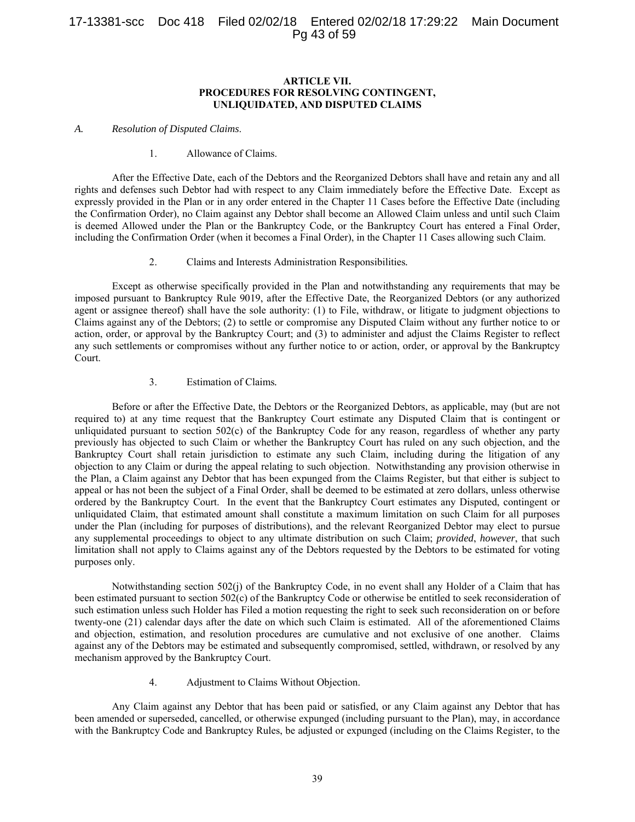#### **ARTICLE VII. PROCEDURES FOR RESOLVING CONTINGENT, UNLIQUIDATED, AND DISPUTED CLAIMS**

#### *A. Resolution of Disputed Claims*.

#### 1. Allowance of Claims.

After the Effective Date, each of the Debtors and the Reorganized Debtors shall have and retain any and all rights and defenses such Debtor had with respect to any Claim immediately before the Effective Date. Except as expressly provided in the Plan or in any order entered in the Chapter 11 Cases before the Effective Date (including the Confirmation Order), no Claim against any Debtor shall become an Allowed Claim unless and until such Claim is deemed Allowed under the Plan or the Bankruptcy Code, or the Bankruptcy Court has entered a Final Order, including the Confirmation Order (when it becomes a Final Order), in the Chapter 11 Cases allowing such Claim.

2. Claims and Interests Administration Responsibilities*.*

Except as otherwise specifically provided in the Plan and notwithstanding any requirements that may be imposed pursuant to Bankruptcy Rule 9019, after the Effective Date, the Reorganized Debtors (or any authorized agent or assignee thereof) shall have the sole authority: (1) to File, withdraw, or litigate to judgment objections to Claims against any of the Debtors; (2) to settle or compromise any Disputed Claim without any further notice to or action, order, or approval by the Bankruptcy Court; and (3) to administer and adjust the Claims Register to reflect any such settlements or compromises without any further notice to or action, order, or approval by the Bankruptcy Court.

#### 3. Estimation of Claims*.*

Before or after the Effective Date, the Debtors or the Reorganized Debtors, as applicable, may (but are not required to) at any time request that the Bankruptcy Court estimate any Disputed Claim that is contingent or unliquidated pursuant to section 502(c) of the Bankruptcy Code for any reason, regardless of whether any party previously has objected to such Claim or whether the Bankruptcy Court has ruled on any such objection, and the Bankruptcy Court shall retain jurisdiction to estimate any such Claim, including during the litigation of any objection to any Claim or during the appeal relating to such objection. Notwithstanding any provision otherwise in the Plan, a Claim against any Debtor that has been expunged from the Claims Register, but that either is subject to appeal or has not been the subject of a Final Order, shall be deemed to be estimated at zero dollars, unless otherwise ordered by the Bankruptcy Court. In the event that the Bankruptcy Court estimates any Disputed, contingent or unliquidated Claim, that estimated amount shall constitute a maximum limitation on such Claim for all purposes under the Plan (including for purposes of distributions), and the relevant Reorganized Debtor may elect to pursue any supplemental proceedings to object to any ultimate distribution on such Claim; *provided*, *however*, that such limitation shall not apply to Claims against any of the Debtors requested by the Debtors to be estimated for voting purposes only.

Notwithstanding section 502(j) of the Bankruptcy Code, in no event shall any Holder of a Claim that has been estimated pursuant to section 502(c) of the Bankruptcy Code or otherwise be entitled to seek reconsideration of such estimation unless such Holder has Filed a motion requesting the right to seek such reconsideration on or before twenty-one (21) calendar days after the date on which such Claim is estimated. All of the aforementioned Claims and objection, estimation, and resolution procedures are cumulative and not exclusive of one another. Claims against any of the Debtors may be estimated and subsequently compromised, settled, withdrawn, or resolved by any mechanism approved by the Bankruptcy Court.

4. Adjustment to Claims Without Objection.

Any Claim against any Debtor that has been paid or satisfied, or any Claim against any Debtor that has been amended or superseded, cancelled, or otherwise expunged (including pursuant to the Plan), may, in accordance with the Bankruptcy Code and Bankruptcy Rules, be adjusted or expunged (including on the Claims Register, to the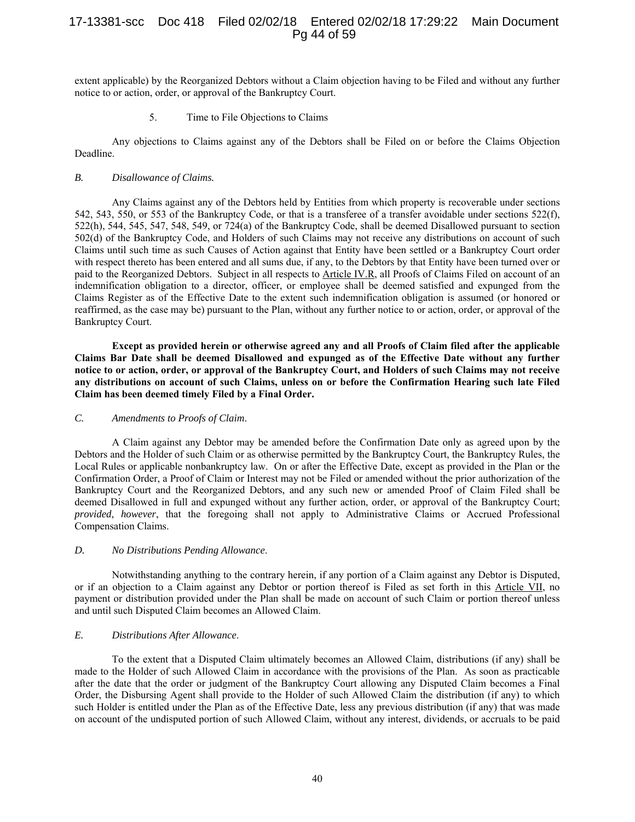# 17-13381-scc Doc 418 Filed 02/02/18 Entered 02/02/18 17:29:22 Main Document Pg 44 of 59

extent applicable) by the Reorganized Debtors without a Claim objection having to be Filed and without any further notice to or action, order, or approval of the Bankruptcy Court.

5. Time to File Objections to Claims

Any objections to Claims against any of the Debtors shall be Filed on or before the Claims Objection Deadline.

#### *B. Disallowance of Claims.*

Any Claims against any of the Debtors held by Entities from which property is recoverable under sections 542, 543, 550, or 553 of the Bankruptcy Code, or that is a transferee of a transfer avoidable under sections 522(f), 522(h), 544, 545, 547, 548, 549, or 724(a) of the Bankruptcy Code, shall be deemed Disallowed pursuant to section 502(d) of the Bankruptcy Code, and Holders of such Claims may not receive any distributions on account of such Claims until such time as such Causes of Action against that Entity have been settled or a Bankruptcy Court order with respect thereto has been entered and all sums due, if any, to the Debtors by that Entity have been turned over or paid to the Reorganized Debtors. Subject in all respects to Article IV.R, all Proofs of Claims Filed on account of an indemnification obligation to a director, officer, or employee shall be deemed satisfied and expunged from the Claims Register as of the Effective Date to the extent such indemnification obligation is assumed (or honored or reaffirmed, as the case may be) pursuant to the Plan, without any further notice to or action, order, or approval of the Bankruptcy Court.

**Except as provided herein or otherwise agreed any and all Proofs of Claim filed after the applicable Claims Bar Date shall be deemed Disallowed and expunged as of the Effective Date without any further notice to or action, order, or approval of the Bankruptcy Court, and Holders of such Claims may not receive any distributions on account of such Claims, unless on or before the Confirmation Hearing such late Filed Claim has been deemed timely Filed by a Final Order.** 

#### *C. Amendments to Proofs of Claim*.

A Claim against any Debtor may be amended before the Confirmation Date only as agreed upon by the Debtors and the Holder of such Claim or as otherwise permitted by the Bankruptcy Court, the Bankruptcy Rules, the Local Rules or applicable nonbankruptcy law. On or after the Effective Date, except as provided in the Plan or the Confirmation Order, a Proof of Claim or Interest may not be Filed or amended without the prior authorization of the Bankruptcy Court and the Reorganized Debtors, and any such new or amended Proof of Claim Filed shall be deemed Disallowed in full and expunged without any further action, order, or approval of the Bankruptcy Court; *provided*, *however*, that the foregoing shall not apply to Administrative Claims or Accrued Professional Compensation Claims.

#### *D. No Distributions Pending Allowance*.

Notwithstanding anything to the contrary herein, if any portion of a Claim against any Debtor is Disputed, or if an objection to a Claim against any Debtor or portion thereof is Filed as set forth in this Article VII, no payment or distribution provided under the Plan shall be made on account of such Claim or portion thereof unless and until such Disputed Claim becomes an Allowed Claim.

# *E. Distributions After Allowance*.

To the extent that a Disputed Claim ultimately becomes an Allowed Claim, distributions (if any) shall be made to the Holder of such Allowed Claim in accordance with the provisions of the Plan. As soon as practicable after the date that the order or judgment of the Bankruptcy Court allowing any Disputed Claim becomes a Final Order, the Disbursing Agent shall provide to the Holder of such Allowed Claim the distribution (if any) to which such Holder is entitled under the Plan as of the Effective Date, less any previous distribution (if any) that was made on account of the undisputed portion of such Allowed Claim, without any interest, dividends, or accruals to be paid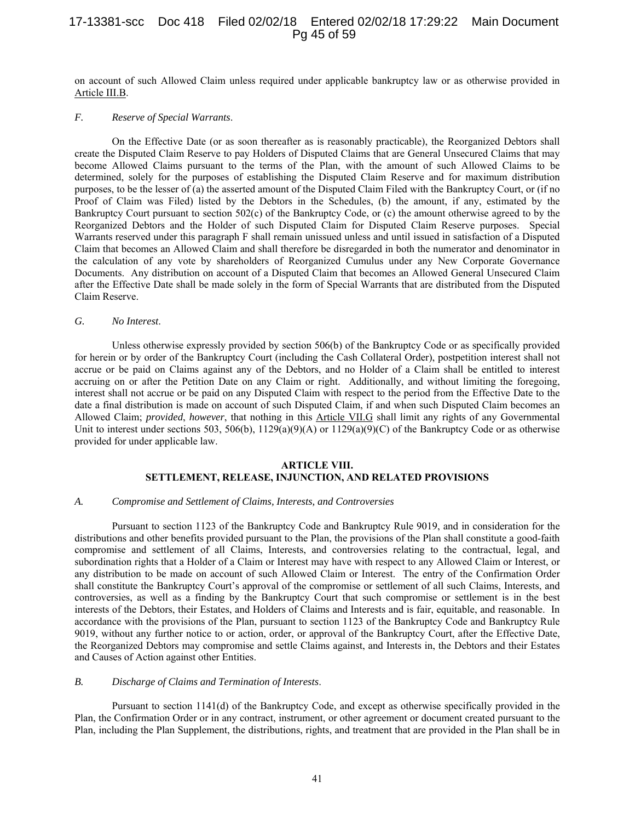## 17-13381-scc Doc 418 Filed 02/02/18 Entered 02/02/18 17:29:22 Main Document Pg 45 of 59

on account of such Allowed Claim unless required under applicable bankruptcy law or as otherwise provided in Article III.B.

#### *F. Reserve of Special Warrants*.

On the Effective Date (or as soon thereafter as is reasonably practicable), the Reorganized Debtors shall create the Disputed Claim Reserve to pay Holders of Disputed Claims that are General Unsecured Claims that may become Allowed Claims pursuant to the terms of the Plan, with the amount of such Allowed Claims to be determined, solely for the purposes of establishing the Disputed Claim Reserve and for maximum distribution purposes, to be the lesser of (a) the asserted amount of the Disputed Claim Filed with the Bankruptcy Court, or (if no Proof of Claim was Filed) listed by the Debtors in the Schedules, (b) the amount, if any, estimated by the Bankruptcy Court pursuant to section 502(c) of the Bankruptcy Code, or (c) the amount otherwise agreed to by the Reorganized Debtors and the Holder of such Disputed Claim for Disputed Claim Reserve purposes. Special Warrants reserved under this paragraph F shall remain unissued unless and until issued in satisfaction of a Disputed Claim that becomes an Allowed Claim and shall therefore be disregarded in both the numerator and denominator in the calculation of any vote by shareholders of Reorganized Cumulus under any New Corporate Governance Documents. Any distribution on account of a Disputed Claim that becomes an Allowed General Unsecured Claim after the Effective Date shall be made solely in the form of Special Warrants that are distributed from the Disputed Claim Reserve.

#### *G. No Interest*.

Unless otherwise expressly provided by section 506(b) of the Bankruptcy Code or as specifically provided for herein or by order of the Bankruptcy Court (including the Cash Collateral Order), postpetition interest shall not accrue or be paid on Claims against any of the Debtors, and no Holder of a Claim shall be entitled to interest accruing on or after the Petition Date on any Claim or right. Additionally, and without limiting the foregoing, interest shall not accrue or be paid on any Disputed Claim with respect to the period from the Effective Date to the date a final distribution is made on account of such Disputed Claim, if and when such Disputed Claim becomes an Allowed Claim; *provided*, *however*, that nothing in this Article VII.G shall limit any rights of any Governmental Unit to interest under sections 503, 506(b),  $1129(a)(9)(A)$  or  $1129(a)(9)(C)$  of the Bankruptcy Code or as otherwise provided for under applicable law.

## **ARTICLE VIII. SETTLEMENT, RELEASE, INJUNCTION, AND RELATED PROVISIONS**

#### *A. Compromise and Settlement of Claims, Interests, and Controversies*

Pursuant to section 1123 of the Bankruptcy Code and Bankruptcy Rule 9019, and in consideration for the distributions and other benefits provided pursuant to the Plan, the provisions of the Plan shall constitute a good-faith compromise and settlement of all Claims, Interests, and controversies relating to the contractual, legal, and subordination rights that a Holder of a Claim or Interest may have with respect to any Allowed Claim or Interest, or any distribution to be made on account of such Allowed Claim or Interest. The entry of the Confirmation Order shall constitute the Bankruptcy Court's approval of the compromise or settlement of all such Claims, Interests, and controversies, as well as a finding by the Bankruptcy Court that such compromise or settlement is in the best interests of the Debtors, their Estates, and Holders of Claims and Interests and is fair, equitable, and reasonable. In accordance with the provisions of the Plan, pursuant to section 1123 of the Bankruptcy Code and Bankruptcy Rule 9019, without any further notice to or action, order, or approval of the Bankruptcy Court, after the Effective Date, the Reorganized Debtors may compromise and settle Claims against, and Interests in, the Debtors and their Estates and Causes of Action against other Entities.

#### *B. Discharge of Claims and Termination of Interests*.

Pursuant to section 1141(d) of the Bankruptcy Code, and except as otherwise specifically provided in the Plan, the Confirmation Order or in any contract, instrument, or other agreement or document created pursuant to the Plan, including the Plan Supplement, the distributions, rights, and treatment that are provided in the Plan shall be in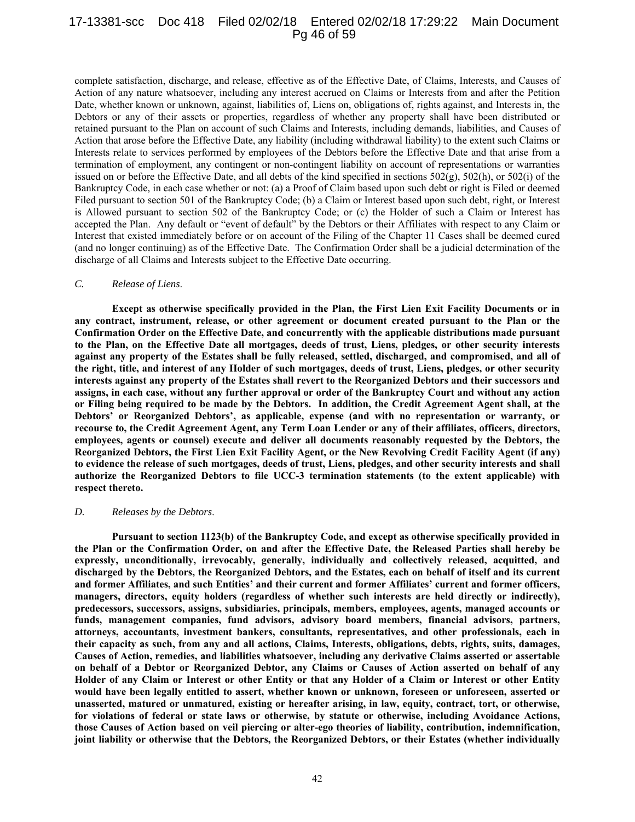## 17-13381-scc Doc 418 Filed 02/02/18 Entered 02/02/18 17:29:22 Main Document Pg 46 of 59

complete satisfaction, discharge, and release, effective as of the Effective Date, of Claims, Interests, and Causes of Action of any nature whatsoever, including any interest accrued on Claims or Interests from and after the Petition Date, whether known or unknown, against, liabilities of, Liens on, obligations of, rights against, and Interests in, the Debtors or any of their assets or properties, regardless of whether any property shall have been distributed or retained pursuant to the Plan on account of such Claims and Interests, including demands, liabilities, and Causes of Action that arose before the Effective Date, any liability (including withdrawal liability) to the extent such Claims or Interests relate to services performed by employees of the Debtors before the Effective Date and that arise from a termination of employment, any contingent or non-contingent liability on account of representations or warranties issued on or before the Effective Date, and all debts of the kind specified in sections  $502(g)$ ,  $502(h)$ , or  $502(i)$  of the Bankruptcy Code, in each case whether or not: (a) a Proof of Claim based upon such debt or right is Filed or deemed Filed pursuant to section 501 of the Bankruptcy Code; (b) a Claim or Interest based upon such debt, right, or Interest is Allowed pursuant to section 502 of the Bankruptcy Code; or (c) the Holder of such a Claim or Interest has accepted the Plan. Any default or "event of default" by the Debtors or their Affiliates with respect to any Claim or Interest that existed immediately before or on account of the Filing of the Chapter 11 Cases shall be deemed cured (and no longer continuing) as of the Effective Date. The Confirmation Order shall be a judicial determination of the discharge of all Claims and Interests subject to the Effective Date occurring.

#### *C. Release of Liens*.

**Except as otherwise specifically provided in the Plan, the First Lien Exit Facility Documents or in any contract, instrument, release, or other agreement or document created pursuant to the Plan or the Confirmation Order on the Effective Date, and concurrently with the applicable distributions made pursuant to the Plan, on the Effective Date all mortgages, deeds of trust, Liens, pledges, or other security interests against any property of the Estates shall be fully released, settled, discharged, and compromised, and all of the right, title, and interest of any Holder of such mortgages, deeds of trust, Liens, pledges, or other security interests against any property of the Estates shall revert to the Reorganized Debtors and their successors and assigns, in each case, without any further approval or order of the Bankruptcy Court and without any action or Filing being required to be made by the Debtors. In addition, the Credit Agreement Agent shall, at the Debtors' or Reorganized Debtors', as applicable, expense (and with no representation or warranty, or recourse to, the Credit Agreement Agent, any Term Loan Lender or any of their affiliates, officers, directors, employees, agents or counsel) execute and deliver all documents reasonably requested by the Debtors, the Reorganized Debtors, the First Lien Exit Facility Agent, or the New Revolving Credit Facility Agent (if any) to evidence the release of such mortgages, deeds of trust, Liens, pledges, and other security interests and shall authorize the Reorganized Debtors to file UCC-3 termination statements (to the extent applicable) with respect thereto.** 

#### *D. Releases by the Debtors*.

**Pursuant to section 1123(b) of the Bankruptcy Code, and except as otherwise specifically provided in the Plan or the Confirmation Order, on and after the Effective Date, the Released Parties shall hereby be expressly, unconditionally, irrevocably, generally, individually and collectively released, acquitted, and discharged by the Debtors, the Reorganized Debtors, and the Estates, each on behalf of itself and its current and former Affiliates, and such Entities' and their current and former Affiliates' current and former officers, managers, directors, equity holders (regardless of whether such interests are held directly or indirectly), predecessors, successors, assigns, subsidiaries, principals, members, employees, agents, managed accounts or funds, management companies, fund advisors, advisory board members, financial advisors, partners, attorneys, accountants, investment bankers, consultants, representatives, and other professionals, each in their capacity as such, from any and all actions, Claims, Interests, obligations, debts, rights, suits, damages, Causes of Action, remedies, and liabilities whatsoever, including any derivative Claims asserted or assertable on behalf of a Debtor or Reorganized Debtor, any Claims or Causes of Action asserted on behalf of any Holder of any Claim or Interest or other Entity or that any Holder of a Claim or Interest or other Entity would have been legally entitled to assert, whether known or unknown, foreseen or unforeseen, asserted or unasserted, matured or unmatured, existing or hereafter arising, in law, equity, contract, tort, or otherwise, for violations of federal or state laws or otherwise, by statute or otherwise, including Avoidance Actions, those Causes of Action based on veil piercing or alter-ego theories of liability, contribution, indemnification, joint liability or otherwise that the Debtors, the Reorganized Debtors, or their Estates (whether individually**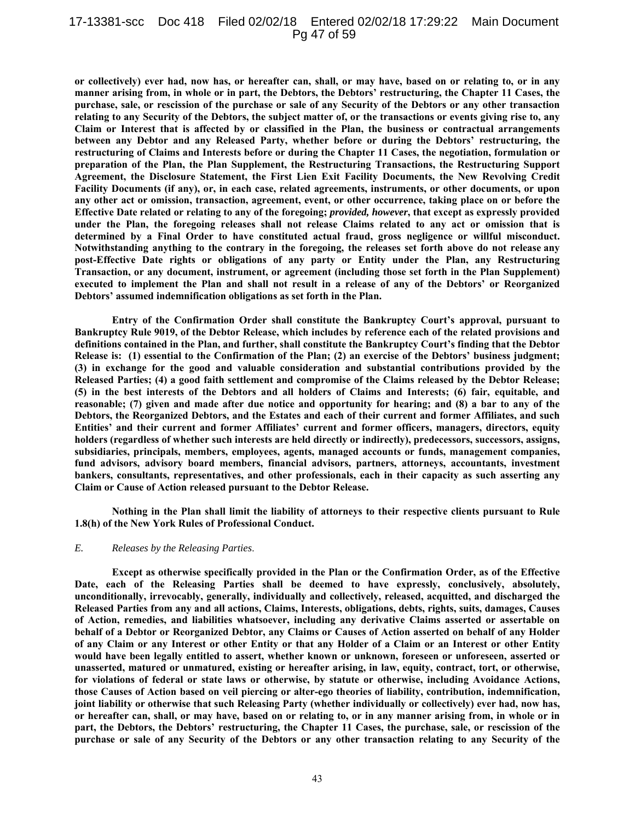#### 17-13381-scc Doc 418 Filed 02/02/18 Entered 02/02/18 17:29:22 Main Document Pg 47 of 59

**or collectively) ever had, now has, or hereafter can, shall, or may have, based on or relating to, or in any manner arising from, in whole or in part, the Debtors, the Debtors' restructuring, the Chapter 11 Cases, the purchase, sale, or rescission of the purchase or sale of any Security of the Debtors or any other transaction relating to any Security of the Debtors, the subject matter of, or the transactions or events giving rise to, any Claim or Interest that is affected by or classified in the Plan, the business or contractual arrangements between any Debtor and any Released Party, whether before or during the Debtors' restructuring, the restructuring of Claims and Interests before or during the Chapter 11 Cases, the negotiation, formulation or preparation of the Plan, the Plan Supplement, the Restructuring Transactions, the Restructuring Support Agreement, the Disclosure Statement, the First Lien Exit Facility Documents, the New Revolving Credit Facility Documents (if any), or, in each case, related agreements, instruments, or other documents, or upon any other act or omission, transaction, agreement, event, or other occurrence, taking place on or before the Effective Date related or relating to any of the foregoing;** *provided, however***, that except as expressly provided under the Plan, the foregoing releases shall not release Claims related to any act or omission that is determined by a Final Order to have constituted actual fraud, gross negligence or willful misconduct. Notwithstanding anything to the contrary in the foregoing, the releases set forth above do not release any post-Effective Date rights or obligations of any party or Entity under the Plan, any Restructuring Transaction, or any document, instrument, or agreement (including those set forth in the Plan Supplement) executed to implement the Plan and shall not result in a release of any of the Debtors' or Reorganized Debtors' assumed indemnification obligations as set forth in the Plan.** 

**Entry of the Confirmation Order shall constitute the Bankruptcy Court's approval, pursuant to Bankruptcy Rule 9019, of the Debtor Release, which includes by reference each of the related provisions and definitions contained in the Plan, and further, shall constitute the Bankruptcy Court's finding that the Debtor Release is: (1) essential to the Confirmation of the Plan; (2) an exercise of the Debtors' business judgment; (3) in exchange for the good and valuable consideration and substantial contributions provided by the Released Parties; (4) a good faith settlement and compromise of the Claims released by the Debtor Release; (5) in the best interests of the Debtors and all holders of Claims and Interests; (6) fair, equitable, and reasonable; (7) given and made after due notice and opportunity for hearing; and (8) a bar to any of the Debtors, the Reorganized Debtors, and the Estates and each of their current and former Affiliates, and such Entities' and their current and former Affiliates' current and former officers, managers, directors, equity holders (regardless of whether such interests are held directly or indirectly), predecessors, successors, assigns, subsidiaries, principals, members, employees, agents, managed accounts or funds, management companies, fund advisors, advisory board members, financial advisors, partners, attorneys, accountants, investment bankers, consultants, representatives, and other professionals, each in their capacity as such asserting any Claim or Cause of Action released pursuant to the Debtor Release.** 

**Nothing in the Plan shall limit the liability of attorneys to their respective clients pursuant to Rule 1.8(h) of the New York Rules of Professional Conduct.** 

#### *E. Releases by the Releasing Parties*.

**Except as otherwise specifically provided in the Plan or the Confirmation Order, as of the Effective Date, each of the Releasing Parties shall be deemed to have expressly, conclusively, absolutely, unconditionally, irrevocably, generally, individually and collectively, released, acquitted, and discharged the Released Parties from any and all actions, Claims, Interests, obligations, debts, rights, suits, damages, Causes of Action, remedies, and liabilities whatsoever, including any derivative Claims asserted or assertable on behalf of a Debtor or Reorganized Debtor, any Claims or Causes of Action asserted on behalf of any Holder of any Claim or any Interest or other Entity or that any Holder of a Claim or an Interest or other Entity would have been legally entitled to assert, whether known or unknown, foreseen or unforeseen, asserted or unasserted, matured or unmatured, existing or hereafter arising, in law, equity, contract, tort, or otherwise, for violations of federal or state laws or otherwise, by statute or otherwise, including Avoidance Actions, those Causes of Action based on veil piercing or alter-ego theories of liability, contribution, indemnification, joint liability or otherwise that such Releasing Party (whether individually or collectively) ever had, now has, or hereafter can, shall, or may have, based on or relating to, or in any manner arising from, in whole or in part, the Debtors, the Debtors' restructuring, the Chapter 11 Cases, the purchase, sale, or rescission of the purchase or sale of any Security of the Debtors or any other transaction relating to any Security of the**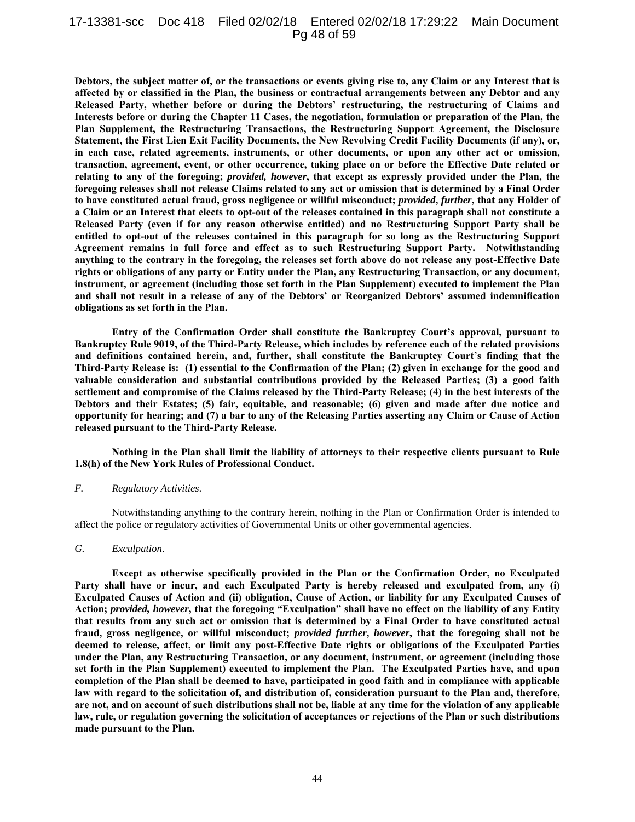## 17-13381-scc Doc 418 Filed 02/02/18 Entered 02/02/18 17:29:22 Main Document Pg 48 of 59

**Debtors, the subject matter of, or the transactions or events giving rise to, any Claim or any Interest that is affected by or classified in the Plan, the business or contractual arrangements between any Debtor and any Released Party, whether before or during the Debtors' restructuring, the restructuring of Claims and Interests before or during the Chapter 11 Cases, the negotiation, formulation or preparation of the Plan, the Plan Supplement, the Restructuring Transactions, the Restructuring Support Agreement, the Disclosure Statement, the First Lien Exit Facility Documents, the New Revolving Credit Facility Documents (if any), or, in each case, related agreements, instruments, or other documents, or upon any other act or omission, transaction, agreement, event, or other occurrence, taking place on or before the Effective Date related or relating to any of the foregoing;** *provided, however***, that except as expressly provided under the Plan, the foregoing releases shall not release Claims related to any act or omission that is determined by a Final Order to have constituted actual fraud, gross negligence or willful misconduct;** *provided***,** *further***, that any Holder of a Claim or an Interest that elects to opt-out of the releases contained in this paragraph shall not constitute a Released Party (even if for any reason otherwise entitled) and no Restructuring Support Party shall be entitled to opt-out of the releases contained in this paragraph for so long as the Restructuring Support Agreement remains in full force and effect as to such Restructuring Support Party. Notwithstanding anything to the contrary in the foregoing, the releases set forth above do not release any post-Effective Date rights or obligations of any party or Entity under the Plan, any Restructuring Transaction, or any document, instrument, or agreement (including those set forth in the Plan Supplement) executed to implement the Plan and shall not result in a release of any of the Debtors' or Reorganized Debtors' assumed indemnification obligations as set forth in the Plan.** 

**Entry of the Confirmation Order shall constitute the Bankruptcy Court's approval, pursuant to Bankruptcy Rule 9019, of the Third-Party Release, which includes by reference each of the related provisions and definitions contained herein, and, further, shall constitute the Bankruptcy Court's finding that the Third-Party Release is: (1) essential to the Confirmation of the Plan; (2) given in exchange for the good and valuable consideration and substantial contributions provided by the Released Parties; (3) a good faith settlement and compromise of the Claims released by the Third-Party Release; (4) in the best interests of the Debtors and their Estates; (5) fair, equitable, and reasonable; (6) given and made after due notice and opportunity for hearing; and (7) a bar to any of the Releasing Parties asserting any Claim or Cause of Action released pursuant to the Third-Party Release.** 

**Nothing in the Plan shall limit the liability of attorneys to their respective clients pursuant to Rule 1.8(h) of the New York Rules of Professional Conduct.** 

#### *F. Regulatory Activities*.

Notwithstanding anything to the contrary herein, nothing in the Plan or Confirmation Order is intended to affect the police or regulatory activities of Governmental Units or other governmental agencies.

#### *G. Exculpation*.

**Except as otherwise specifically provided in the Plan or the Confirmation Order, no Exculpated Party shall have or incur, and each Exculpated Party is hereby released and exculpated from, any (i) Exculpated Causes of Action and (ii) obligation, Cause of Action, or liability for any Exculpated Causes of Action;** *provided, however***, that the foregoing "Exculpation" shall have no effect on the liability of any Entity that results from any such act or omission that is determined by a Final Order to have constituted actual fraud, gross negligence, or willful misconduct;** *provided further***,** *however***, that the foregoing shall not be deemed to release, affect, or limit any post-Effective Date rights or obligations of the Exculpated Parties under the Plan, any Restructuring Transaction, or any document, instrument, or agreement (including those set forth in the Plan Supplement) executed to implement the Plan. The Exculpated Parties have, and upon completion of the Plan shall be deemed to have, participated in good faith and in compliance with applicable law with regard to the solicitation of, and distribution of, consideration pursuant to the Plan and, therefore, are not, and on account of such distributions shall not be, liable at any time for the violation of any applicable law, rule, or regulation governing the solicitation of acceptances or rejections of the Plan or such distributions made pursuant to the Plan.**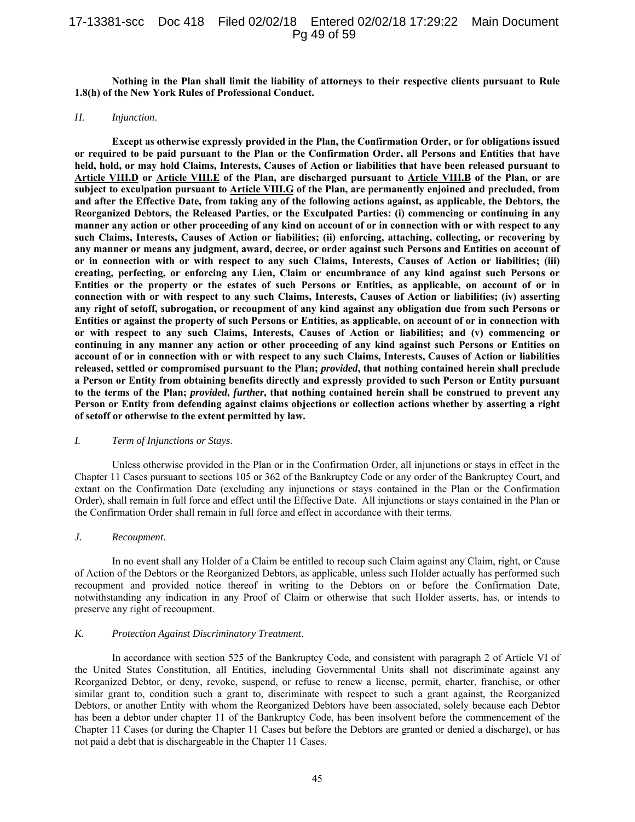## 17-13381-scc Doc 418 Filed 02/02/18 Entered 02/02/18 17:29:22 Main Document Pg 49 of 59

**Nothing in the Plan shall limit the liability of attorneys to their respective clients pursuant to Rule 1.8(h) of the New York Rules of Professional Conduct.** 

#### *H. Injunction*.

**Except as otherwise expressly provided in the Plan, the Confirmation Order, or for obligations issued or required to be paid pursuant to the Plan or the Confirmation Order, all Persons and Entities that have held, hold, or may hold Claims, Interests, Causes of Action or liabilities that have been released pursuant to Article VIII.D or Article VIII.E of the Plan, are discharged pursuant to Article VIII.B of the Plan, or are subject to exculpation pursuant to Article VIII.G of the Plan, are permanently enjoined and precluded, from and after the Effective Date, from taking any of the following actions against, as applicable, the Debtors, the Reorganized Debtors, the Released Parties, or the Exculpated Parties: (i) commencing or continuing in any manner any action or other proceeding of any kind on account of or in connection with or with respect to any such Claims, Interests, Causes of Action or liabilities; (ii) enforcing, attaching, collecting, or recovering by any manner or means any judgment, award, decree, or order against such Persons and Entities on account of or in connection with or with respect to any such Claims, Interests, Causes of Action or liabilities; (iii) creating, perfecting, or enforcing any Lien, Claim or encumbrance of any kind against such Persons or Entities or the property or the estates of such Persons or Entities, as applicable, on account of or in connection with or with respect to any such Claims, Interests, Causes of Action or liabilities; (iv) asserting any right of setoff, subrogation, or recoupment of any kind against any obligation due from such Persons or Entities or against the property of such Persons or Entities, as applicable, on account of or in connection with or with respect to any such Claims, Interests, Causes of Action or liabilities; and (v) commencing or continuing in any manner any action or other proceeding of any kind against such Persons or Entities on account of or in connection with or with respect to any such Claims, Interests, Causes of Action or liabilities released, settled or compromised pursuant to the Plan;** *provided***, that nothing contained herein shall preclude a Person or Entity from obtaining benefits directly and expressly provided to such Person or Entity pursuant to the terms of the Plan;** *provided***,** *further***, that nothing contained herein shall be construed to prevent any Person or Entity from defending against claims objections or collection actions whether by asserting a right of setoff or otherwise to the extent permitted by law.** 

#### *I. Term of Injunctions or Stays*.

Unless otherwise provided in the Plan or in the Confirmation Order, all injunctions or stays in effect in the Chapter 11 Cases pursuant to sections 105 or 362 of the Bankruptcy Code or any order of the Bankruptcy Court, and extant on the Confirmation Date (excluding any injunctions or stays contained in the Plan or the Confirmation Order), shall remain in full force and effect until the Effective Date. All injunctions or stays contained in the Plan or the Confirmation Order shall remain in full force and effect in accordance with their terms.

#### *J. Recoupment*.

In no event shall any Holder of a Claim be entitled to recoup such Claim against any Claim, right, or Cause of Action of the Debtors or the Reorganized Debtors, as applicable, unless such Holder actually has performed such recoupment and provided notice thereof in writing to the Debtors on or before the Confirmation Date, notwithstanding any indication in any Proof of Claim or otherwise that such Holder asserts, has, or intends to preserve any right of recoupment.

#### *K. Protection Against Discriminatory Treatment*.

In accordance with section 525 of the Bankruptcy Code, and consistent with paragraph 2 of Article VI of the United States Constitution, all Entities, including Governmental Units shall not discriminate against any Reorganized Debtor, or deny, revoke, suspend, or refuse to renew a license, permit, charter, franchise, or other similar grant to, condition such a grant to, discriminate with respect to such a grant against, the Reorganized Debtors, or another Entity with whom the Reorganized Debtors have been associated, solely because each Debtor has been a debtor under chapter 11 of the Bankruptcy Code, has been insolvent before the commencement of the Chapter 11 Cases (or during the Chapter 11 Cases but before the Debtors are granted or denied a discharge), or has not paid a debt that is dischargeable in the Chapter 11 Cases.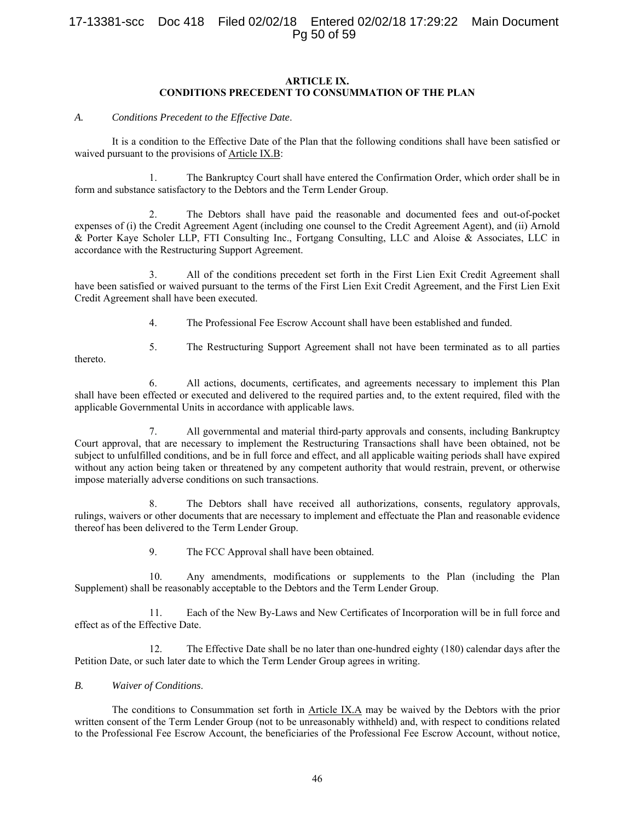# 17-13381-scc Doc 418 Filed 02/02/18 Entered 02/02/18 17:29:22 Main Document Pg 50 of 59

#### **ARTICLE IX. CONDITIONS PRECEDENT TO CONSUMMATION OF THE PLAN**

*A. Conditions Precedent to the Effective Date*.

It is a condition to the Effective Date of the Plan that the following conditions shall have been satisfied or waived pursuant to the provisions of Article IX.B:

1. The Bankruptcy Court shall have entered the Confirmation Order, which order shall be in form and substance satisfactory to the Debtors and the Term Lender Group.

2. The Debtors shall have paid the reasonable and documented fees and out-of-pocket expenses of (i) the Credit Agreement Agent (including one counsel to the Credit Agreement Agent), and (ii) Arnold & Porter Kaye Scholer LLP, FTI Consulting Inc., Fortgang Consulting, LLC and Aloise & Associates, LLC in accordance with the Restructuring Support Agreement.

3. All of the conditions precedent set forth in the First Lien Exit Credit Agreement shall have been satisfied or waived pursuant to the terms of the First Lien Exit Credit Agreement, and the First Lien Exit Credit Agreement shall have been executed.

4. The Professional Fee Escrow Account shall have been established and funded.

thereto.

5. The Restructuring Support Agreement shall not have been terminated as to all parties

6. All actions, documents, certificates, and agreements necessary to implement this Plan shall have been effected or executed and delivered to the required parties and, to the extent required, filed with the applicable Governmental Units in accordance with applicable laws.

7. All governmental and material third-party approvals and consents, including Bankruptcy Court approval, that are necessary to implement the Restructuring Transactions shall have been obtained, not be subject to unfulfilled conditions, and be in full force and effect, and all applicable waiting periods shall have expired without any action being taken or threatened by any competent authority that would restrain, prevent, or otherwise impose materially adverse conditions on such transactions.

8. The Debtors shall have received all authorizations, consents, regulatory approvals, rulings, waivers or other documents that are necessary to implement and effectuate the Plan and reasonable evidence thereof has been delivered to the Term Lender Group.

9. The FCC Approval shall have been obtained.

10. Any amendments, modifications or supplements to the Plan (including the Plan Supplement) shall be reasonably acceptable to the Debtors and the Term Lender Group.

11. Each of the New By-Laws and New Certificates of Incorporation will be in full force and effect as of the Effective Date.

12. The Effective Date shall be no later than one-hundred eighty (180) calendar days after the Petition Date, or such later date to which the Term Lender Group agrees in writing.

#### *B. Waiver of Conditions*.

The conditions to Consummation set forth in Article IX.A may be waived by the Debtors with the prior written consent of the Term Lender Group (not to be unreasonably withheld) and, with respect to conditions related to the Professional Fee Escrow Account, the beneficiaries of the Professional Fee Escrow Account, without notice,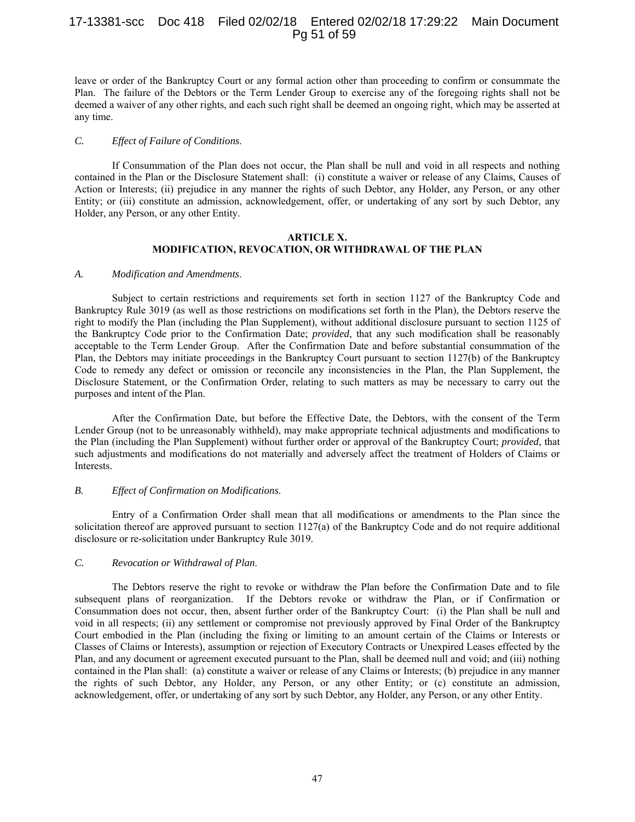## 17-13381-scc Doc 418 Filed 02/02/18 Entered 02/02/18 17:29:22 Main Document Pg 51 of 59

leave or order of the Bankruptcy Court or any formal action other than proceeding to confirm or consummate the Plan. The failure of the Debtors or the Term Lender Group to exercise any of the foregoing rights shall not be deemed a waiver of any other rights, and each such right shall be deemed an ongoing right, which may be asserted at any time.

#### *C. Effect of Failure of Conditions*.

If Consummation of the Plan does not occur, the Plan shall be null and void in all respects and nothing contained in the Plan or the Disclosure Statement shall: (i) constitute a waiver or release of any Claims, Causes of Action or Interests; (ii) prejudice in any manner the rights of such Debtor, any Holder, any Person, or any other Entity; or (iii) constitute an admission, acknowledgement, offer, or undertaking of any sort by such Debtor, any Holder, any Person, or any other Entity.

#### **ARTICLE X. MODIFICATION, REVOCATION, OR WITHDRAWAL OF THE PLAN**

#### *A. Modification and Amendments*.

Subject to certain restrictions and requirements set forth in section 1127 of the Bankruptcy Code and Bankruptcy Rule 3019 (as well as those restrictions on modifications set forth in the Plan), the Debtors reserve the right to modify the Plan (including the Plan Supplement), without additional disclosure pursuant to section 1125 of the Bankruptcy Code prior to the Confirmation Date; *provided*, that any such modification shall be reasonably acceptable to the Term Lender Group. After the Confirmation Date and before substantial consummation of the Plan, the Debtors may initiate proceedings in the Bankruptcy Court pursuant to section 1127(b) of the Bankruptcy Code to remedy any defect or omission or reconcile any inconsistencies in the Plan, the Plan Supplement, the Disclosure Statement, or the Confirmation Order, relating to such matters as may be necessary to carry out the purposes and intent of the Plan.

After the Confirmation Date, but before the Effective Date, the Debtors, with the consent of the Term Lender Group (not to be unreasonably withheld), may make appropriate technical adjustments and modifications to the Plan (including the Plan Supplement) without further order or approval of the Bankruptcy Court; *provided*, that such adjustments and modifications do not materially and adversely affect the treatment of Holders of Claims or Interests.

#### *B. Effect of Confirmation on Modifications*.

Entry of a Confirmation Order shall mean that all modifications or amendments to the Plan since the solicitation thereof are approved pursuant to section 1127(a) of the Bankruptcy Code and do not require additional disclosure or re-solicitation under Bankruptcy Rule 3019.

#### *C. Revocation or Withdrawal of Plan*.

The Debtors reserve the right to revoke or withdraw the Plan before the Confirmation Date and to file subsequent plans of reorganization. If the Debtors revoke or withdraw the Plan, or if Confirmation or Consummation does not occur, then, absent further order of the Bankruptcy Court: (i) the Plan shall be null and void in all respects; (ii) any settlement or compromise not previously approved by Final Order of the Bankruptcy Court embodied in the Plan (including the fixing or limiting to an amount certain of the Claims or Interests or Classes of Claims or Interests), assumption or rejection of Executory Contracts or Unexpired Leases effected by the Plan, and any document or agreement executed pursuant to the Plan, shall be deemed null and void; and (iii) nothing contained in the Plan shall: (a) constitute a waiver or release of any Claims or Interests; (b) prejudice in any manner the rights of such Debtor, any Holder, any Person, or any other Entity; or (c) constitute an admission, acknowledgement, offer, or undertaking of any sort by such Debtor, any Holder, any Person, or any other Entity.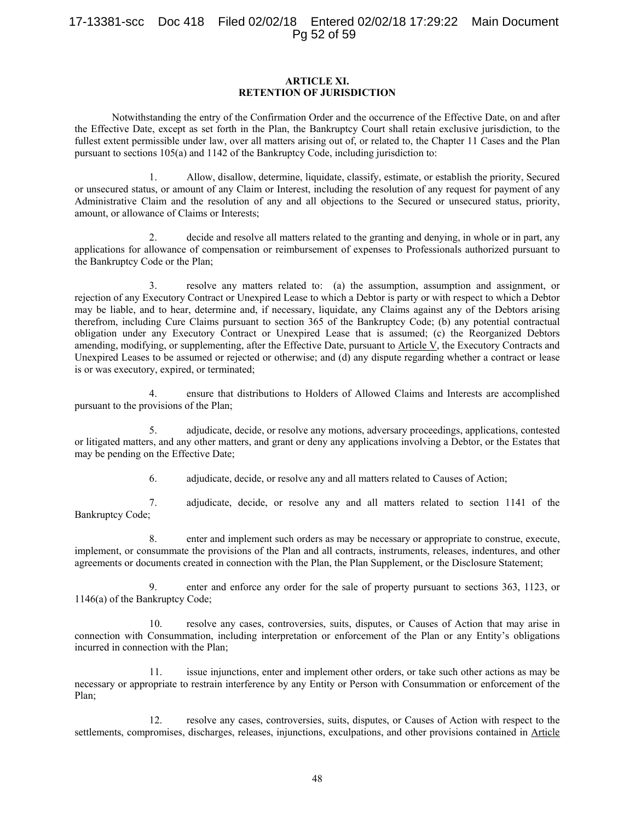## 17-13381-scc Doc 418 Filed 02/02/18 Entered 02/02/18 17:29:22 Main Document Pg 52 of 59

#### **ARTICLE XI. RETENTION OF JURISDICTION**

Notwithstanding the entry of the Confirmation Order and the occurrence of the Effective Date, on and after the Effective Date, except as set forth in the Plan, the Bankruptcy Court shall retain exclusive jurisdiction, to the fullest extent permissible under law, over all matters arising out of, or related to, the Chapter 11 Cases and the Plan pursuant to sections 105(a) and 1142 of the Bankruptcy Code, including jurisdiction to:

1. Allow, disallow, determine, liquidate, classify, estimate, or establish the priority, Secured or unsecured status, or amount of any Claim or Interest, including the resolution of any request for payment of any Administrative Claim and the resolution of any and all objections to the Secured or unsecured status, priority, amount, or allowance of Claims or Interests;

2. decide and resolve all matters related to the granting and denying, in whole or in part, any applications for allowance of compensation or reimbursement of expenses to Professionals authorized pursuant to the Bankruptcy Code or the Plan;

3. resolve any matters related to: (a) the assumption, assumption and assignment, or rejection of any Executory Contract or Unexpired Lease to which a Debtor is party or with respect to which a Debtor may be liable, and to hear, determine and, if necessary, liquidate, any Claims against any of the Debtors arising therefrom, including Cure Claims pursuant to section 365 of the Bankruptcy Code; (b) any potential contractual obligation under any Executory Contract or Unexpired Lease that is assumed; (c) the Reorganized Debtors amending, modifying, or supplementing, after the Effective Date, pursuant to Article V, the Executory Contracts and Unexpired Leases to be assumed or rejected or otherwise; and (d) any dispute regarding whether a contract or lease is or was executory, expired, or terminated;

4. ensure that distributions to Holders of Allowed Claims and Interests are accomplished pursuant to the provisions of the Plan;

5. adjudicate, decide, or resolve any motions, adversary proceedings, applications, contested or litigated matters, and any other matters, and grant or deny any applications involving a Debtor, or the Estates that may be pending on the Effective Date;

6. adjudicate, decide, or resolve any and all matters related to Causes of Action;

7. adjudicate, decide, or resolve any and all matters related to section 1141 of the Bankruptcy Code;

8. enter and implement such orders as may be necessary or appropriate to construe, execute, implement, or consummate the provisions of the Plan and all contracts, instruments, releases, indentures, and other agreements or documents created in connection with the Plan, the Plan Supplement, or the Disclosure Statement;

9. enter and enforce any order for the sale of property pursuant to sections 363, 1123, or 1146(a) of the Bankruptcy Code;

10. resolve any cases, controversies, suits, disputes, or Causes of Action that may arise in connection with Consummation, including interpretation or enforcement of the Plan or any Entity's obligations incurred in connection with the Plan;

11. issue injunctions, enter and implement other orders, or take such other actions as may be necessary or appropriate to restrain interference by any Entity or Person with Consummation or enforcement of the Plan;

12. resolve any cases, controversies, suits, disputes, or Causes of Action with respect to the settlements, compromises, discharges, releases, injunctions, exculpations, and other provisions contained in Article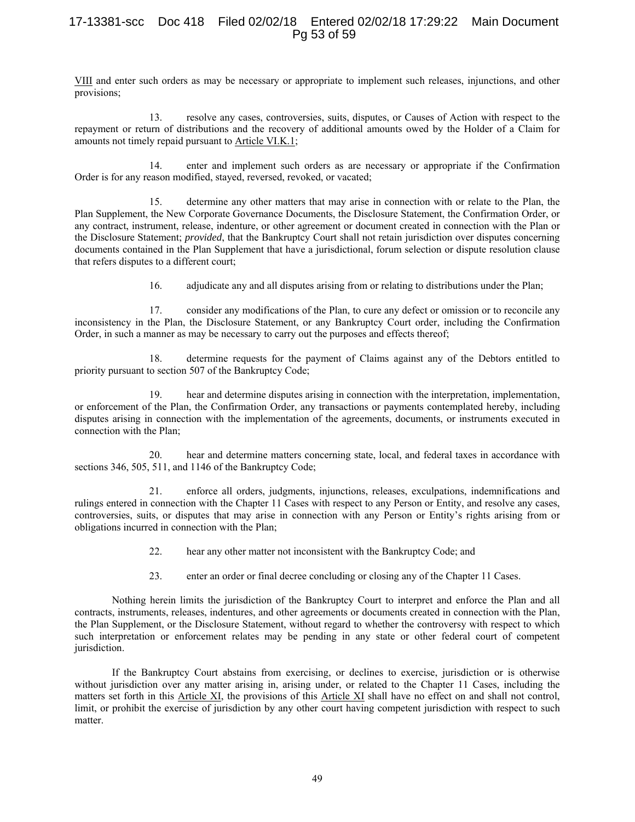# 17-13381-scc Doc 418 Filed 02/02/18 Entered 02/02/18 17:29:22 Main Document Pg 53 of 59

VIII and enter such orders as may be necessary or appropriate to implement such releases, injunctions, and other provisions;

13. resolve any cases, controversies, suits, disputes, or Causes of Action with respect to the repayment or return of distributions and the recovery of additional amounts owed by the Holder of a Claim for amounts not timely repaid pursuant to Article VI.K.1;

14. enter and implement such orders as are necessary or appropriate if the Confirmation Order is for any reason modified, stayed, reversed, revoked, or vacated;

15. determine any other matters that may arise in connection with or relate to the Plan, the Plan Supplement, the New Corporate Governance Documents, the Disclosure Statement, the Confirmation Order, or any contract, instrument, release, indenture, or other agreement or document created in connection with the Plan or the Disclosure Statement; *provided*, that the Bankruptcy Court shall not retain jurisdiction over disputes concerning documents contained in the Plan Supplement that have a jurisdictional, forum selection or dispute resolution clause that refers disputes to a different court;

16. adjudicate any and all disputes arising from or relating to distributions under the Plan;

17. consider any modifications of the Plan, to cure any defect or omission or to reconcile any inconsistency in the Plan, the Disclosure Statement, or any Bankruptcy Court order, including the Confirmation Order, in such a manner as may be necessary to carry out the purposes and effects thereof;

18. determine requests for the payment of Claims against any of the Debtors entitled to priority pursuant to section 507 of the Bankruptcy Code;

19. hear and determine disputes arising in connection with the interpretation, implementation, or enforcement of the Plan, the Confirmation Order, any transactions or payments contemplated hereby, including disputes arising in connection with the implementation of the agreements, documents, or instruments executed in connection with the Plan;

20. hear and determine matters concerning state, local, and federal taxes in accordance with sections 346, 505, 511, and 1146 of the Bankruptcy Code;

21. enforce all orders, judgments, injunctions, releases, exculpations, indemnifications and rulings entered in connection with the Chapter 11 Cases with respect to any Person or Entity, and resolve any cases, controversies, suits, or disputes that may arise in connection with any Person or Entity's rights arising from or obligations incurred in connection with the Plan;

- 22. hear any other matter not inconsistent with the Bankruptcy Code; and
- 23. enter an order or final decree concluding or closing any of the Chapter 11 Cases.

Nothing herein limits the jurisdiction of the Bankruptcy Court to interpret and enforce the Plan and all contracts, instruments, releases, indentures, and other agreements or documents created in connection with the Plan, the Plan Supplement, or the Disclosure Statement, without regard to whether the controversy with respect to which such interpretation or enforcement relates may be pending in any state or other federal court of competent jurisdiction.

If the Bankruptcy Court abstains from exercising, or declines to exercise, jurisdiction or is otherwise without jurisdiction over any matter arising in, arising under, or related to the Chapter 11 Cases, including the matters set forth in this Article XI, the provisions of this Article XI shall have no effect on and shall not control, limit, or prohibit the exercise of jurisdiction by any other court having competent jurisdiction with respect to such matter.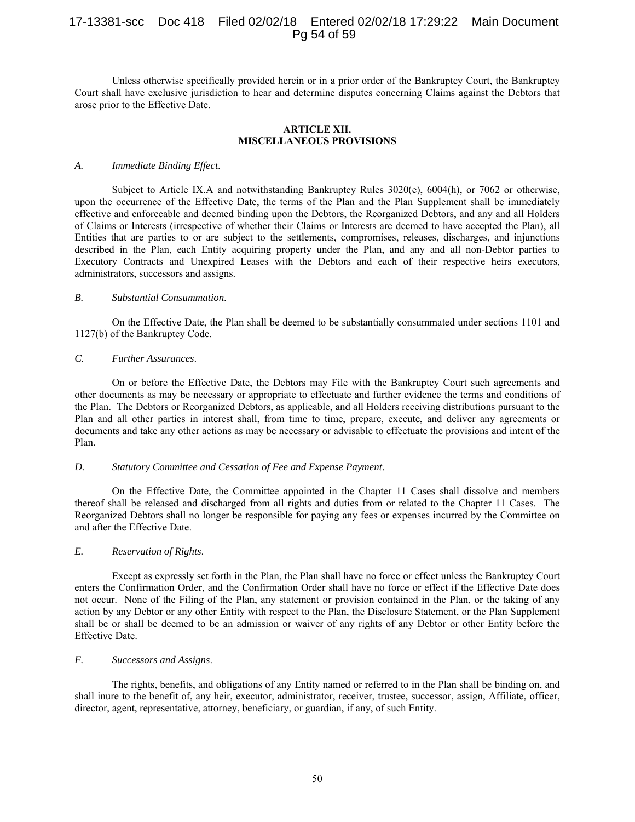# 17-13381-scc Doc 418 Filed 02/02/18 Entered 02/02/18 17:29:22 Main Document Pg 54 of 59

Unless otherwise specifically provided herein or in a prior order of the Bankruptcy Court, the Bankruptcy Court shall have exclusive jurisdiction to hear and determine disputes concerning Claims against the Debtors that arose prior to the Effective Date.

#### **ARTICLE XII. MISCELLANEOUS PROVISIONS**

#### *A. Immediate Binding Effect*.

Subject to Article IX.A and notwithstanding Bankruptcy Rules 3020(e), 6004(h), or 7062 or otherwise, upon the occurrence of the Effective Date, the terms of the Plan and the Plan Supplement shall be immediately effective and enforceable and deemed binding upon the Debtors, the Reorganized Debtors, and any and all Holders of Claims or Interests (irrespective of whether their Claims or Interests are deemed to have accepted the Plan), all Entities that are parties to or are subject to the settlements, compromises, releases, discharges, and injunctions described in the Plan, each Entity acquiring property under the Plan, and any and all non-Debtor parties to Executory Contracts and Unexpired Leases with the Debtors and each of their respective heirs executors, administrators, successors and assigns.

#### *B. Substantial Consummation*.

On the Effective Date, the Plan shall be deemed to be substantially consummated under sections 1101 and 1127(b) of the Bankruptcy Code.

#### *C. Further Assurances*.

On or before the Effective Date, the Debtors may File with the Bankruptcy Court such agreements and other documents as may be necessary or appropriate to effectuate and further evidence the terms and conditions of the Plan. The Debtors or Reorganized Debtors, as applicable, and all Holders receiving distributions pursuant to the Plan and all other parties in interest shall, from time to time, prepare, execute, and deliver any agreements or documents and take any other actions as may be necessary or advisable to effectuate the provisions and intent of the Plan.

#### *D. Statutory Committee and Cessation of Fee and Expense Payment*.

On the Effective Date, the Committee appointed in the Chapter 11 Cases shall dissolve and members thereof shall be released and discharged from all rights and duties from or related to the Chapter 11 Cases. The Reorganized Debtors shall no longer be responsible for paying any fees or expenses incurred by the Committee on and after the Effective Date.

## *E. Reservation of Rights*.

Except as expressly set forth in the Plan, the Plan shall have no force or effect unless the Bankruptcy Court enters the Confirmation Order, and the Confirmation Order shall have no force or effect if the Effective Date does not occur. None of the Filing of the Plan, any statement or provision contained in the Plan, or the taking of any action by any Debtor or any other Entity with respect to the Plan, the Disclosure Statement, or the Plan Supplement shall be or shall be deemed to be an admission or waiver of any rights of any Debtor or other Entity before the Effective Date.

## *F. Successors and Assigns*.

The rights, benefits, and obligations of any Entity named or referred to in the Plan shall be binding on, and shall inure to the benefit of, any heir, executor, administrator, receiver, trustee, successor, assign, Affiliate, officer, director, agent, representative, attorney, beneficiary, or guardian, if any, of such Entity.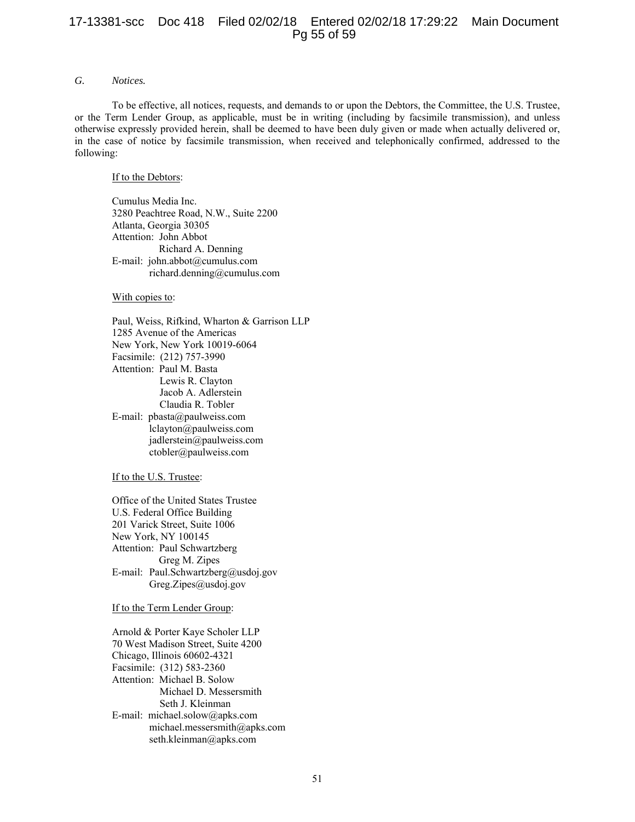## 17-13381-scc Doc 418 Filed 02/02/18 Entered 02/02/18 17:29:22 Main Document Pg 55 of 59

## *G. Notices.*

To be effective, all notices, requests, and demands to or upon the Debtors, the Committee, the U.S. Trustee, or the Term Lender Group, as applicable, must be in writing (including by facsimile transmission), and unless otherwise expressly provided herein, shall be deemed to have been duly given or made when actually delivered or, in the case of notice by facsimile transmission, when received and telephonically confirmed, addressed to the following:

#### If to the Debtors:

Cumulus Media Inc. 3280 Peachtree Road, N.W., Suite 2200 Atlanta, Georgia 30305 Attention: John Abbot Richard A. Denning E-mail: john.abbot@cumulus.com richard.denning@cumulus.com

#### With copies to:

 Paul, Weiss, Rifkind, Wharton & Garrison LLP 1285 Avenue of the Americas New York, New York 10019-6064 Facsimile: (212) 757-3990 Attention: Paul M. Basta Lewis R. Clayton Jacob A. Adlerstein Claudia R. Tobler E-mail: pbasta@paulweiss.com lclayton@paulweiss.com jadlerstein@paulweiss.com ctobler@paulweiss.com

#### If to the U.S. Trustee:

Office of the United States Trustee U.S. Federal Office Building 201 Varick Street, Suite 1006 New York, NY 100145 Attention: Paul Schwartzberg Greg M. Zipes E-mail: Paul.Schwartzberg@usdoj.gov Greg.Zipes@usdoj.gov

#### If to the Term Lender Group:

 Arnold & Porter Kaye Scholer LLP 70 West Madison Street, Suite 4200 Chicago, Illinois 60602-4321 Facsimile: (312) 583-2360 Attention: Michael B. Solow Michael D. Messersmith Seth J. Kleinman E-mail: michael.solow@apks.com michael.messersmith@apks.com seth.kleinman@apks.com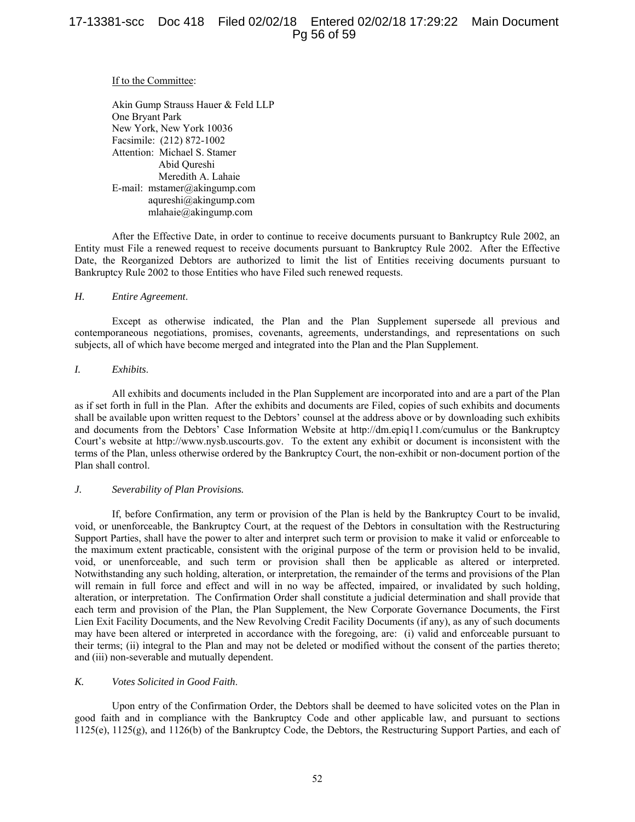#### If to the Committee:

Akin Gump Strauss Hauer & Feld LLP One Bryant Park New York, New York 10036 Facsimile: (212) 872-1002 Attention: Michael S. Stamer Abid Qureshi Meredith A. Lahaie E-mail: mstamer@akingump.com aqureshi@akingump.com mlahaie@akingump.com

After the Effective Date, in order to continue to receive documents pursuant to Bankruptcy Rule 2002, an Entity must File a renewed request to receive documents pursuant to Bankruptcy Rule 2002. After the Effective Date, the Reorganized Debtors are authorized to limit the list of Entities receiving documents pursuant to Bankruptcy Rule 2002 to those Entities who have Filed such renewed requests.

## *H. Entire Agreement*.

Except as otherwise indicated, the Plan and the Plan Supplement supersede all previous and contemporaneous negotiations, promises, covenants, agreements, understandings, and representations on such subjects, all of which have become merged and integrated into the Plan and the Plan Supplement.

#### *I. Exhibits*.

All exhibits and documents included in the Plan Supplement are incorporated into and are a part of the Plan as if set forth in full in the Plan. After the exhibits and documents are Filed, copies of such exhibits and documents shall be available upon written request to the Debtors' counsel at the address above or by downloading such exhibits and documents from the Debtors' Case Information Website at http://dm.epiq11.com/cumulus or the Bankruptcy Court's website at http://www.nysb.uscourts.gov. To the extent any exhibit or document is inconsistent with the terms of the Plan, unless otherwise ordered by the Bankruptcy Court, the non-exhibit or non-document portion of the Plan shall control.

#### *J. Severability of Plan Provisions.*

If, before Confirmation, any term or provision of the Plan is held by the Bankruptcy Court to be invalid, void, or unenforceable, the Bankruptcy Court, at the request of the Debtors in consultation with the Restructuring Support Parties, shall have the power to alter and interpret such term or provision to make it valid or enforceable to the maximum extent practicable, consistent with the original purpose of the term or provision held to be invalid, void, or unenforceable, and such term or provision shall then be applicable as altered or interpreted. Notwithstanding any such holding, alteration, or interpretation, the remainder of the terms and provisions of the Plan will remain in full force and effect and will in no way be affected, impaired, or invalidated by such holding, alteration, or interpretation. The Confirmation Order shall constitute a judicial determination and shall provide that each term and provision of the Plan, the Plan Supplement, the New Corporate Governance Documents, the First Lien Exit Facility Documents, and the New Revolving Credit Facility Documents (if any), as any of such documents may have been altered or interpreted in accordance with the foregoing, are: (i) valid and enforceable pursuant to their terms; (ii) integral to the Plan and may not be deleted or modified without the consent of the parties thereto; and (iii) non-severable and mutually dependent.

## *K. Votes Solicited in Good Faith*.

Upon entry of the Confirmation Order, the Debtors shall be deemed to have solicited votes on the Plan in good faith and in compliance with the Bankruptcy Code and other applicable law, and pursuant to sections 1125(e), 1125(g), and 1126(b) of the Bankruptcy Code, the Debtors, the Restructuring Support Parties, and each of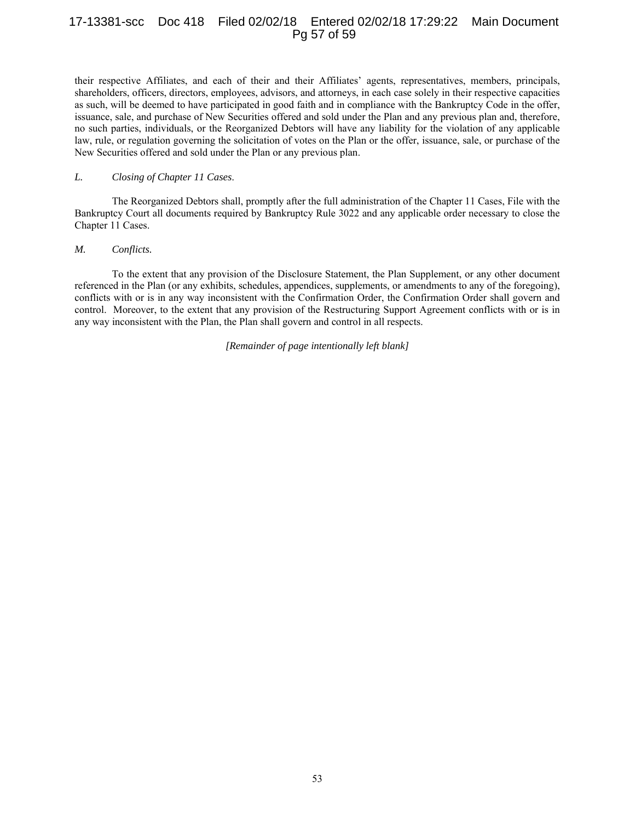# 17-13381-scc Doc 418 Filed 02/02/18 Entered 02/02/18 17:29:22 Main Document Pg 57 of 59

their respective Affiliates, and each of their and their Affiliates' agents, representatives, members, principals, shareholders, officers, directors, employees, advisors, and attorneys, in each case solely in their respective capacities as such, will be deemed to have participated in good faith and in compliance with the Bankruptcy Code in the offer, issuance, sale, and purchase of New Securities offered and sold under the Plan and any previous plan and, therefore, no such parties, individuals, or the Reorganized Debtors will have any liability for the violation of any applicable law, rule, or regulation governing the solicitation of votes on the Plan or the offer, issuance, sale, or purchase of the New Securities offered and sold under the Plan or any previous plan.

#### *L. Closing of Chapter 11 Cases*.

The Reorganized Debtors shall, promptly after the full administration of the Chapter 11 Cases, File with the Bankruptcy Court all documents required by Bankruptcy Rule 3022 and any applicable order necessary to close the Chapter 11 Cases.

#### *M. Conflicts.*

To the extent that any provision of the Disclosure Statement, the Plan Supplement, or any other document referenced in the Plan (or any exhibits, schedules, appendices, supplements, or amendments to any of the foregoing), conflicts with or is in any way inconsistent with the Confirmation Order, the Confirmation Order shall govern and control. Moreover, to the extent that any provision of the Restructuring Support Agreement conflicts with or is in any way inconsistent with the Plan, the Plan shall govern and control in all respects.

*[Remainder of page intentionally left blank]*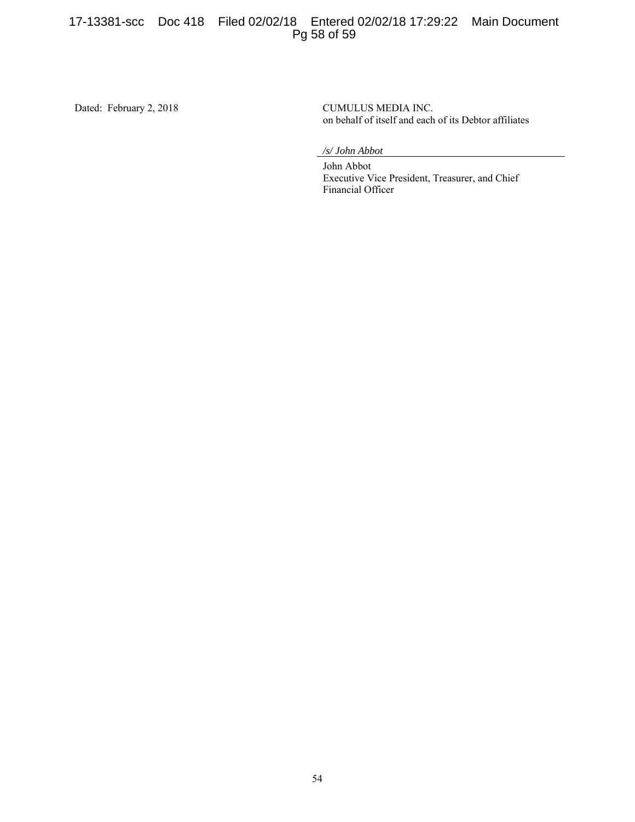# 17-13381-scc Doc 418 Filed 02/02/18 Entered 02/02/18 17:29:22 Main Document Pg 58 of 59

Dated: February 2, 2018 CUMULUS MEDIA INC.

on behalf of itself and each of its Debtor affiliates

*/s/ John Abbot* 

 John Abbot Executive Vice President, Treasurer, and Chief Financial Officer